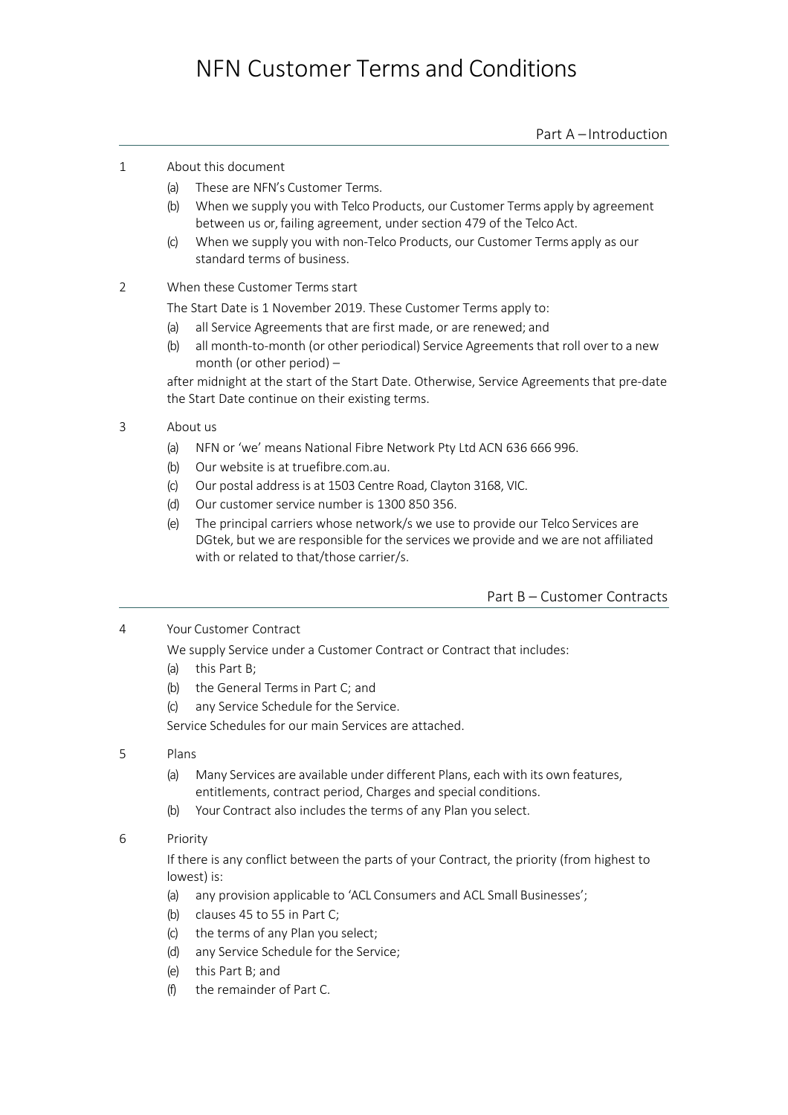# NFN Customer Terms and Conditions

Part A – Introduction

## 1 About this document

- (a) These are NFN's Customer Terms.
- (b) When we supply you with Telco Products, our Customer Terms apply by agreement between us or, failing agreement, under section 479 of the Telco Act.
- (c) When we supply you with non-Telco Products, our Customer Terms apply as our standard terms of business.

## 2 When these Customer Terms start

The Start Date is 1 November 2019. These Customer Terms apply to:

- (a) all Service Agreements that are first made, or are renewed; and
- (b) all month-to-month (or other periodical) Service Agreements that roll over to a new month (or other period) –

after midnight at the start of the Start Date. Otherwise, Service Agreements that pre-date the Start Date continue on their existing terms.

## 3 About us

- (a) NFN or 'we' means National Fibre Network Pty Ltd ACN 636 666 996.
- (b) Our website is at truefibre.com.au.
- (c) Our postal address is at 1503 Centre Road, Clayton 3168, VIC.
- (d) Our customer service number is 1300 850 356.
- (e) The principal carriers whose network/s we use to provide our Telco Services are DGtek, but we are responsible for the services we provide and we are not affiliated with or related to that/those carrier/s.

## Part B – Customer Contracts

4 Your Customer Contract

We supply Service under a Customer Contract or Contract that includes:

- (a) this Part B;
- (b) the General Terms in Part C; and
- (c) any Service Schedule for the Service.

Service Schedules for our main Services are attached.

#### 5 Plans

- (a) Many Services are available under different Plans, each with its own features, entitlements, contract period, Charges and special conditions.
- (b) Your Contract also includes the terms of any Plan you select.
- 6 Priority

If there is any conflict between the parts of your Contract, the priority (from highest to lowest) is:

- (a) any provision applicable to 'ACL Consumers and ACL Small Businesses';
- (b) clauses 45 to 55 in Part C;
- (c) the terms of any Plan you select;
- (d) any Service Schedule for the Service;
- (e) this Part B; and
- (f) the remainder of Part C.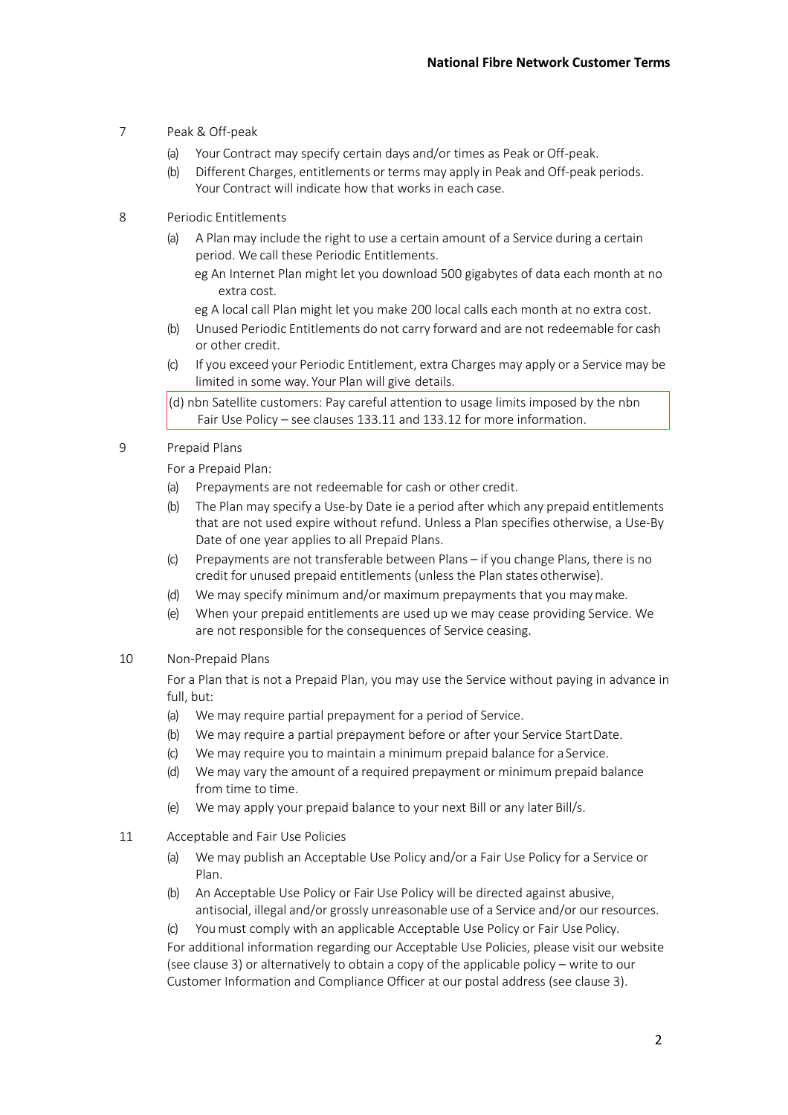- 7 Peak & Off-peak
	- (a) Your Contract may specify certain days and/or times as Peak or Off-peak.
	- (b) Different Charges, entitlements or terms may apply in Peak and Off-peak periods. Your Contract will indicate how that works in each case.
- 8 Periodic Entitlements
	- (a) A Plan may include the right to use a certain amount of a Service during a certain period. We call these Periodic Entitlements.
		- eg An Internet Plan might let you download 500 gigabytes of data each month at no extra cost.
		- eg A local call Plan might let you make 200 local calls each month at no extra cost.
	- (b) Unused Periodic Entitlements do not carry forward and are not redeemable for cash or other credit.
	- (c) If you exceed your Periodic Entitlement, extra Charges may apply or a Service may be limited in some way. Your Plan will give details.

 $\vert$ (d) nbn Satellite customers: Pay careful attention to usage limits imposed by the nbn Fair Use Policy – see clauses 133.11 and 133.12 for more information.

9 Prepaid Plans

For a Prepaid Plan:

- (a) Prepayments are not redeemable for cash or other credit.
- (b) The Plan may specify a Use-by Date ie a period after which any prepaid entitlements that are not used expire without refund. Unless a Plan specifies otherwise, a Use-By Date of one year applies to all Prepaid Plans.
- (c) Prepayments are not transferable between Plans if you change Plans, there is no credit for unused prepaid entitlements (unless the Plan states otherwise).
- (d) We may specify minimum and/or maximum prepayments that you maymake.
- (e) When your prepaid entitlements are used up we may cease providing Service. We are not responsible for the consequences of Service ceasing.
- 10 Non-Prepaid Plans

For a Plan that is not a Prepaid Plan, you may use the Service without paying in advance in full, but:

- (a) We may require partial prepayment for a period of Service.
- (b) We may require a partial prepayment before or after your Service StartDate.
- (c) We may require you to maintain a minimum prepaid balance for a Service.
- (d) We may vary the amount of a required prepayment or minimum prepaid balance from time to time.
- (e) We may apply your prepaid balance to your next Bill or any later Bill/s.
- 11 Acceptable and Fair Use Policies
	- (a) We may publish an Acceptable Use Policy and/or a Fair Use Policy for a Service or Plan.
	- (b) An Acceptable Use Policy or Fair Use Policy will be directed against abusive, antisocial, illegal and/or grossly unreasonable use of a Service and/or our resources.
	- You must comply with an applicable Acceptable Use Policy or Fair Use Policy.

For additional information regarding our Acceptable Use Policies, please visit our website (see clause 3) or alternatively to obtain a copy of the applicable policy – write to our Customer Information and Compliance Officer at our postal address (see clause 3).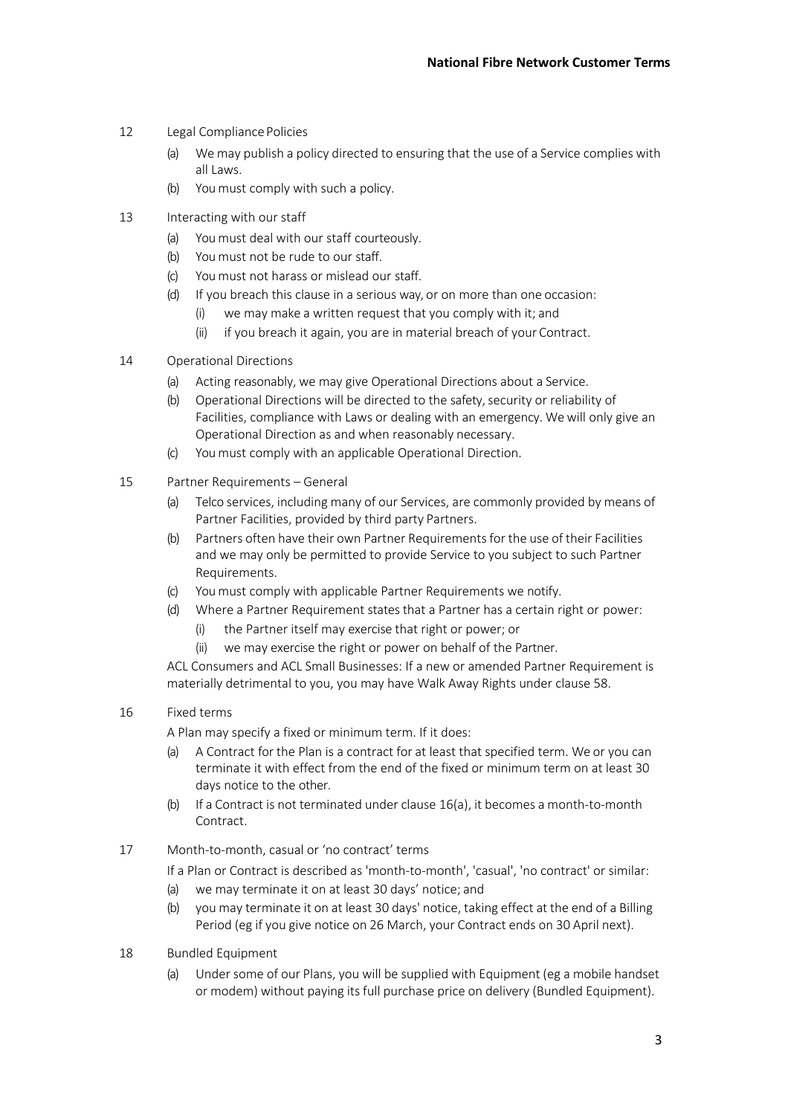- 12 Legal Compliance Policies
	- (a) We may publish a policy directed to ensuring that the use of a Service complies with all Laws.
	- (b) You must comply with such a policy.
- 13 Interacting with our staff
	- (a) You must deal with our staff courteously.
	- (b) You must not be rude to our staff.
	- (c) You must not harass or mislead our staff.
	- (d) If you breach this clause in a serious way, or on more than one occasion:
		- (i) we may make a written request that you comply with it; and
		- (ii) if you breach it again, you are in material breach of your Contract.
- 14 Operational Directions
	- (a) Acting reasonably, we may give Operational Directions about a Service.
	- (b) Operational Directions will be directed to the safety, security or reliability of Facilities, compliance with Laws or dealing with an emergency. We will only give an Operational Direction as and when reasonably necessary.
	- (c) You must comply with an applicable Operational Direction.
- 15 Partner Requirements General
	- (a) Telco services, including many of our Services, are commonly provided by means of Partner Facilities, provided by third party Partners.
	- (b) Partners often have their own Partner Requirementsfor the use of their Facilities and we may only be permitted to provide Service to you subject to such Partner Requirements.
	- (c) You must comply with applicable Partner Requirements we notify.
	- (d) Where a Partner Requirement states that a Partner has a certain right or power:
		- (i) the Partner itself may exercise that right or power; or
		- (ii) we may exercise the right or power on behalf of the Partner.

ACL Consumers and ACL Small Businesses: If a new or amended Partner Requirement is materially detrimental to you, you may have Walk Away Rights under clause 58.

## 16 Fixed terms

A Plan may specify a fixed or minimum term. If it does:

- (a) A Contract for the Plan is a contract for at least that specified term. We or you can terminate it with effect from the end of the fixed or minimum term on at least 30 days notice to the other.
- (b) If a Contract is not terminated under clause 16(a), it becomes a month-to-month Contract.
- 17 Month-to-month, casual or 'no contract' terms

If a Plan or Contract is described as 'month-to-month', 'casual', 'no contract' or similar:

- (a) we may terminate it on at least 30 days' notice; and
- (b) you may terminate it on at least 30 days' notice, taking effect at the end of a Billing Period (eg if you give notice on 26 March, your Contract ends on 30 April next).
- 18 Bundled Equipment
	- (a) Under some of our Plans, you will be supplied with Equipment (eg a mobile handset or modem) without paying its full purchase price on delivery (Bundled Equipment).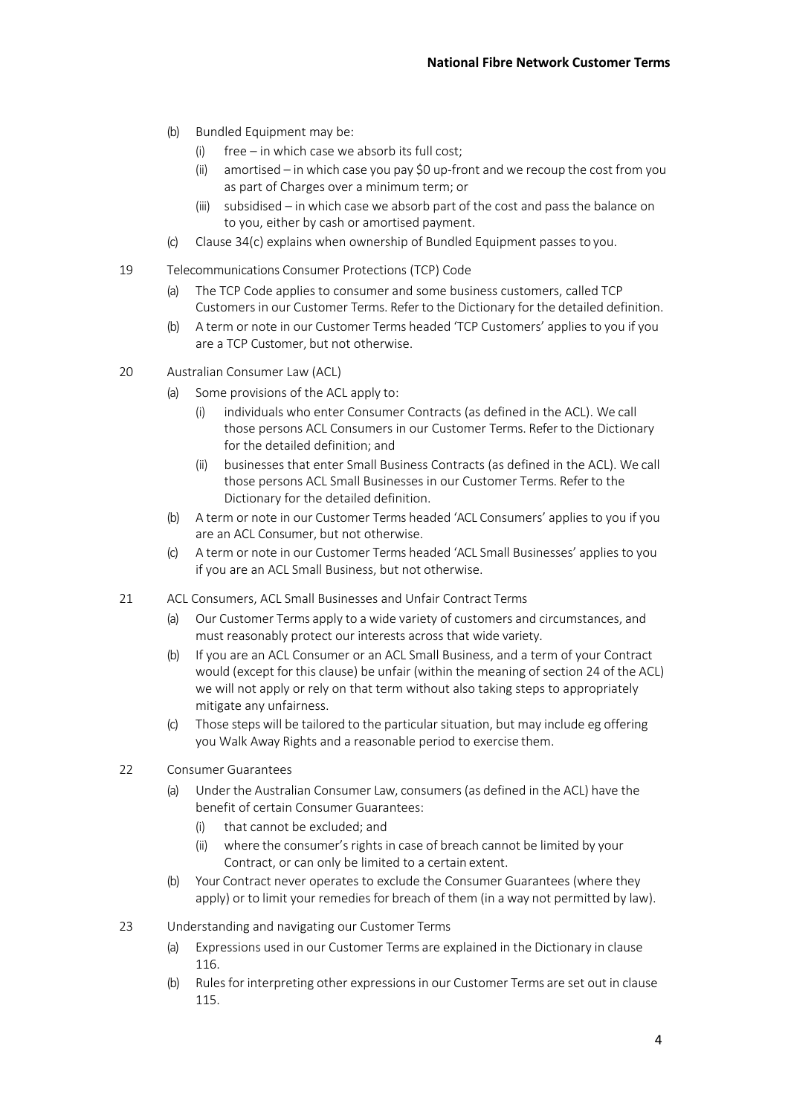- (b) Bundled Equipment may be:
	- (i) free in which case we absorb its full cost;
	- (ii) amortised in which case you pay \$0 up-front and we recoup the cost from you as part of Charges over a minimum term; or
	- (iii) subsidised in which case we absorb part of the cost and pass the balance on to you, either by cash or amortised payment.
- (c) Clause 34(c) explains when ownership of Bundled Equipment passes to you.
- 19 Telecommunications Consumer Protections (TCP) Code
	- (a) The TCP Code applies to consumer and some business customers, called TCP Customers in our Customer Terms. Refer to the Dictionary for the detailed definition.
	- (b) A term or note in our Customer Terms headed 'TCP Customers' applies to you if you are a TCP Customer, but not otherwise.
- 20 Australian Consumer Law (ACL)
	- (a) Some provisions of the ACL apply to:
		- (i) individuals who enter Consumer Contracts (as defined in the ACL). We call those persons ACL Consumers in our Customer Terms. Refer to the Dictionary for the detailed definition; and
		- (ii) businesses that enter Small Business Contracts (as defined in the ACL). We call those persons ACL Small Businesses in our Customer Terms. Refer to the Dictionary for the detailed definition.
	- (b) A term or note in our Customer Terms headed 'ACL Consumers' applies to you if you are an ACL Consumer, but not otherwise.
	- (c) A term or note in our Customer Terms headed 'ACL Small Businesses' applies to you if you are an ACL Small Business, but not otherwise.
- 21 ACL Consumers, ACL Small Businesses and Unfair Contract Terms
	- (a) Our Customer Terms apply to a wide variety of customers and circumstances, and must reasonably protect our interests across that wide variety.
	- (b) If you are an ACL Consumer or an ACL Small Business, and a term of your Contract would (except for this clause) be unfair (within the meaning of section 24 of the ACL) we will not apply or rely on that term without also taking steps to appropriately mitigate any unfairness.
	- (c) Those steps will be tailored to the particular situation, but may include eg offering you Walk Away Rights and a reasonable period to exercise them.
- 22 Consumer Guarantees
	- (a) Under the Australian Consumer Law, consumers (as defined in the ACL) have the benefit of certain Consumer Guarantees:
		- (i) that cannot be excluded; and
		- (ii) where the consumer's rights in case of breach cannot be limited by your Contract, or can only be limited to a certain extent.
	- (b) Your Contract never operates to exclude the Consumer Guarantees (where they apply) or to limit your remedies for breach of them (in a way not permitted by law).
- 23 Understanding and navigating our Customer Terms
	- (a) Expressions used in our Customer Terms are explained in the Dictionary in clause 116.
	- (b) Rules for interpreting other expressions in our Customer Terms are set out in clause 115.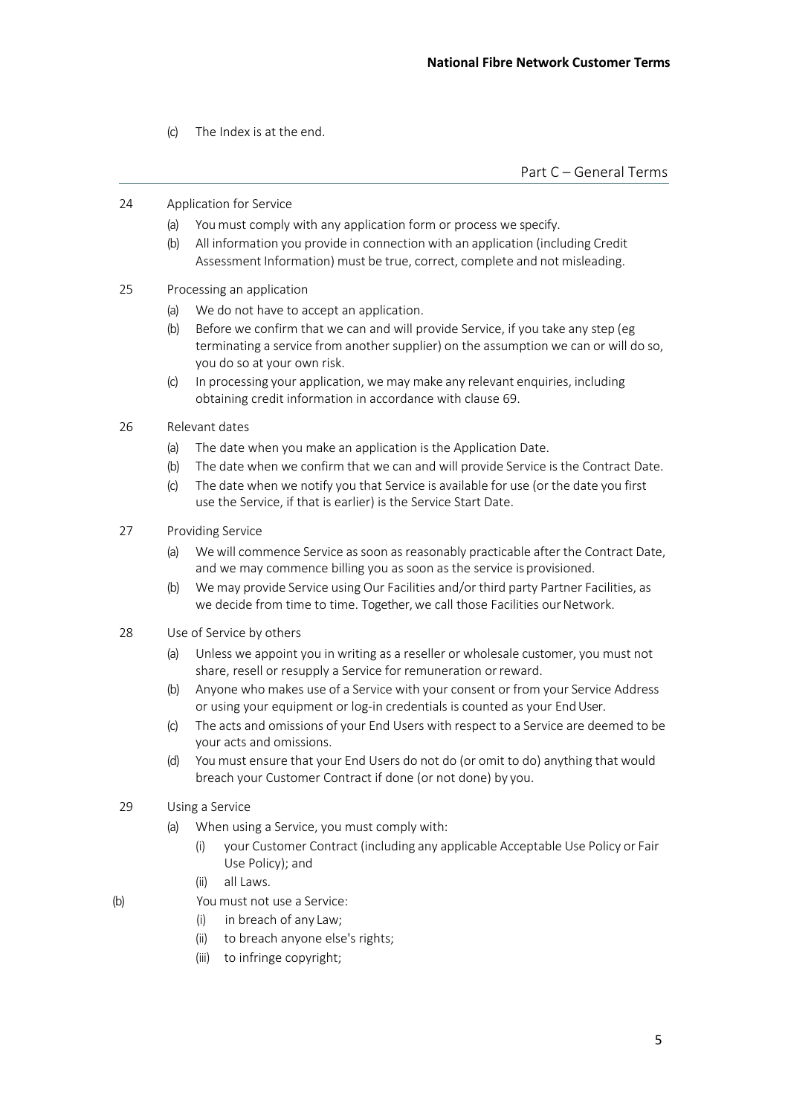(c) The Index is at the end.

Part C – General Terms

- 24 Application for Service
	- (a) You must comply with any application form or process we specify.
	- (b) All information you provide in connection with an application (including Credit Assessment Information) must be true, correct, complete and not misleading.
- 25 Processing an application
	- (a) We do not have to accept an application.
	- (b) Before we confirm that we can and will provide Service, if you take any step (eg terminating a service from another supplier) on the assumption we can or will do so, you do so at your own risk.
	- (c) In processing your application, we may make any relevant enquiries, including obtaining credit information in accordance with clause 69.
- 26 Relevant dates
	- (a) The date when you make an application is the Application Date.
	- (b) The date when we confirm that we can and will provide Service is the Contract Date.
	- (c) The date when we notify you that Service is available for use (or the date you first use the Service, if that is earlier) is the Service Start Date.
- 27 Providing Service
	- (a) We will commence Service as soon as reasonably practicable after the Contract Date, and we may commence billing you as soon as the service is provisioned.
	- (b) We may provide Service using Our Facilities and/or third party Partner Facilities, as we decide from time to time. Together, we call those Facilities our Network.
- 28 Use of Service by others
	- (a) Unless we appoint you in writing as a reseller or wholesale customer, you must not share, resell or resupply a Service for remuneration orreward.
	- (b) Anyone who makes use of a Service with your consent or from your Service Address or using your equipment or log-in credentials is counted as your EndUser.
	- (c) The acts and omissions of your End Users with respect to a Service are deemed to be your acts and omissions.
	- (d) You must ensure that your End Users do not do (or omit to do) anything that would breach your Customer Contract if done (or not done) by you.
- 29 Using a Service
	- (a) When using a Service, you must comply with:
		- (i) your Customer Contract (including any applicable Acceptable Use Policy or Fair Use Policy); and
		- (ii) all Laws.
- (b) You must not use a Service:
	- (i) in breach of any Law;
	- (ii) to breach anyone else's rights;
	- (iii) to infringe copyright;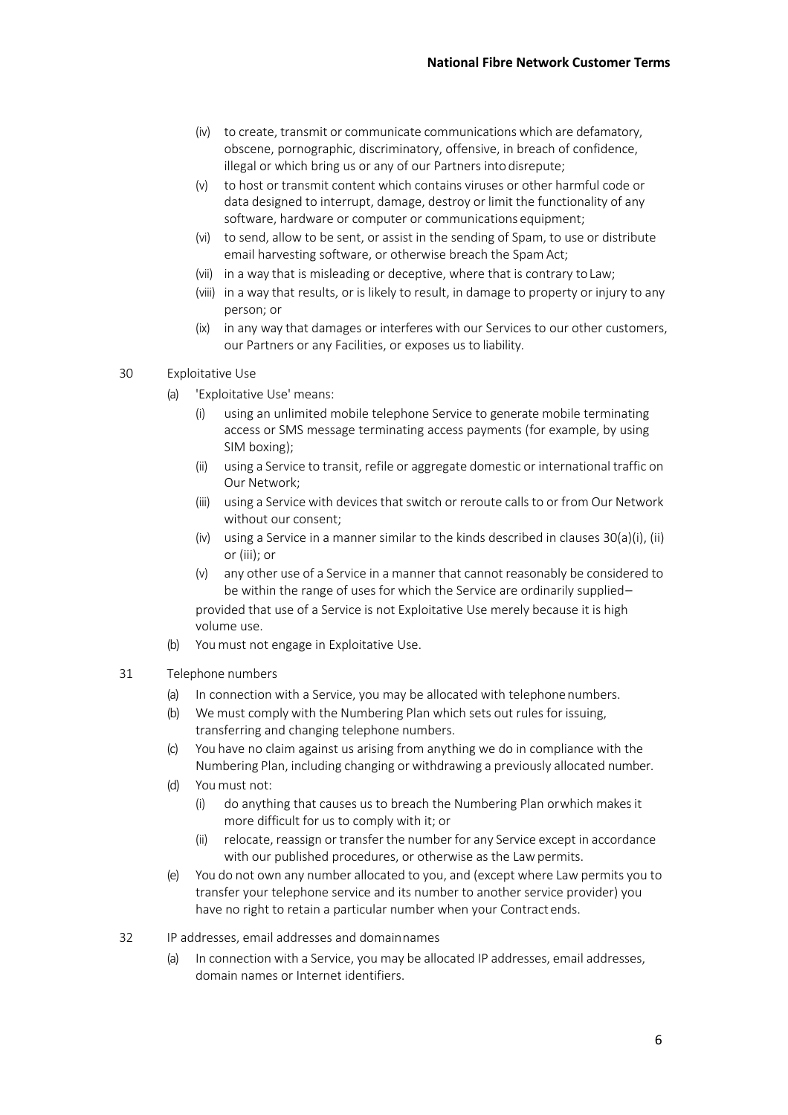- (iv) to create, transmit or communicate communications which are defamatory, obscene, pornographic, discriminatory, offensive, in breach of confidence, illegal or which bring us or any of our Partners into disrepute;
- (v) to host or transmit content which contains viruses or other harmful code or data designed to interrupt, damage, destroy or limit the functionality of any software, hardware or computer or communications equipment;
- (vi) to send, allow to be sent, or assist in the sending of Spam, to use or distribute email harvesting software, or otherwise breach the Spam Act;
- (vii) in a way that is misleading or deceptive, where that is contrary toLaw;
- (viii) in a way that results, or is likely to result, in damage to property or injury to any person; or
- (ix) in any way that damages or interferes with our Services to our other customers, our Partners or any Facilities, or exposes us to liability.
- 30 Exploitative Use
	- (a) 'Exploitative Use' means:
		- (i) using an unlimited mobile telephone Service to generate mobile terminating access or SMS message terminating access payments (for example, by using SIM boxing);
		- (ii) using a Service to transit, refile or aggregate domestic or international traffic on Our Network;
		- (iii) using a Service with devices that switch or reroute callsto or from Our Network without our consent;
		- (iv) using a Service in a manner similar to the kinds described in clauses  $30(a)(i)$ , (ii) or (iii); or
		- (v) any other use of a Service in a manner that cannot reasonably be considered to be within the range of uses for which the Service are ordinarily supplied– provided that use of a Service is not Exploitative Use merely because it is high volume use.
	- (b) You must not engage in Exploitative Use.
- 31 Telephone numbers
	- (a) In connection with a Service, you may be allocated with telephonenumbers.
	- (b) We must comply with the Numbering Plan which sets out rules for issuing, transferring and changing telephone numbers.
	- (c) You have no claim against us arising from anything we do in compliance with the Numbering Plan, including changing or withdrawing a previously allocated number.
	- (d) You must not:
		- (i) do anything that causes us to breach the Numbering Plan orwhich makes it more difficult for us to comply with it; or
		- (ii) relocate, reassign or transfer the number for any Service except in accordance with our published procedures, or otherwise as the Law permits.
	- (e) You do not own any number allocated to you, and (except where Law permits you to transfer your telephone service and its number to another service provider) you have no right to retain a particular number when your Contract ends.
- 32 IP addresses, email addresses and domainnames
	- (a) In connection with a Service, you may be allocated IP addresses, email addresses, domain names or Internet identifiers.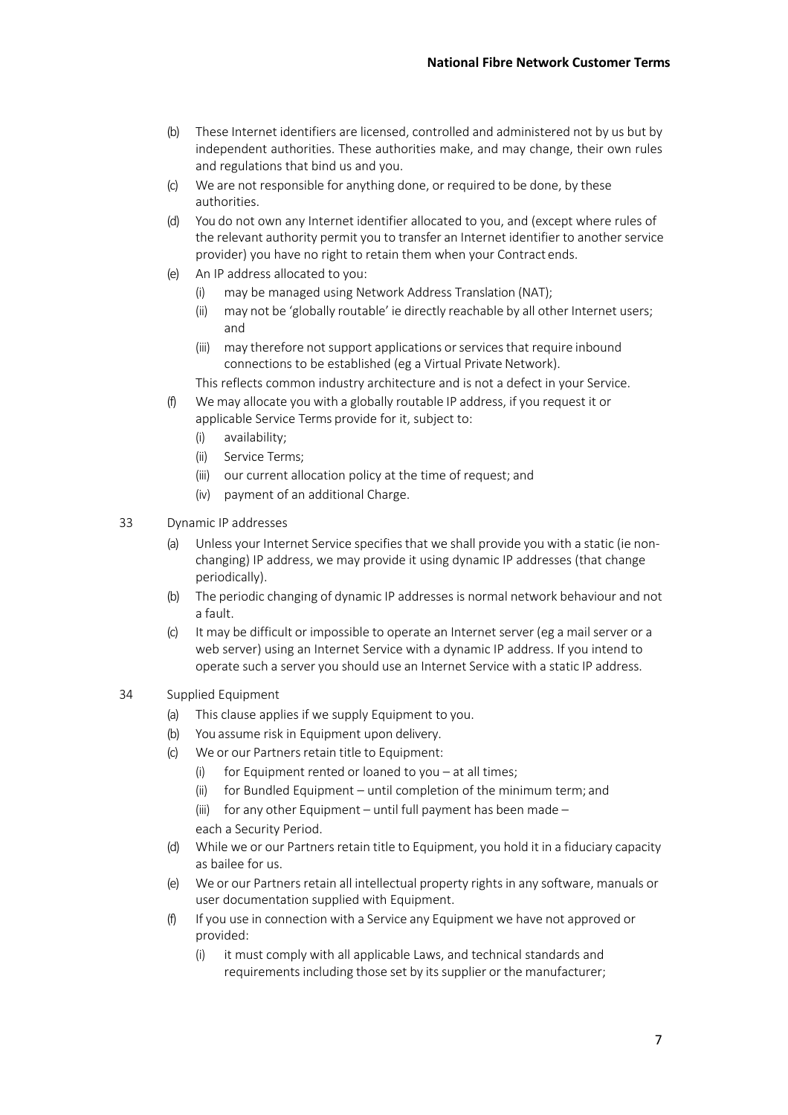- (b) These Internet identifiers are licensed, controlled and administered not by us but by independent authorities. These authorities make, and may change, their own rules and regulations that bind us and you.
- (c) We are not responsible for anything done, or required to be done, by these authorities.
- (d) You do not own any Internet identifier allocated to you, and (except where rules of the relevant authority permit you to transfer an Internet identifier to another service provider) you have no right to retain them when your Contract ends.
- (e) An IP address allocated to you:
	- (i) may be managed using Network Address Translation (NAT);
	- (ii) may not be 'globally routable' ie directly reachable by all other Internet users; and
	- (iii) may therefore not support applications or services that require inbound connections to be established (eg a Virtual Private Network).

This reflects common industry architecture and is not a defect in your Service.

- (f) We may allocate you with a globally routable IP address, if you request it or applicable Service Terms provide for it, subject to:
	- (i) availability;
	- (ii) Service Terms;
	- (iii) our current allocation policy at the time of request; and
	- (iv) payment of an additional Charge.
- 33 Dynamic IP addresses
	- (a) Unless your Internet Service specifies that we shall provide you with a static (ie nonchanging) IP address, we may provide it using dynamic IP addresses (that change periodically).
	- (b) The periodic changing of dynamic IP addresses is normal network behaviour and not a fault.
	- (c) It may be difficult or impossible to operate an Internet server (eg a mail server or a web server) using an Internet Service with a dynamic IP address. If you intend to operate such a server you should use an Internet Service with a static IP address.

## 34 Supplied Equipment

- (a) This clause applies if we supply Equipment to you.
- (b) You assume risk in Equipment upon delivery.
- (c) We or our Partners retain title to Equipment:
	- (i) for Equipment rented or loaned to you  $-$  at all times;
	- (ii) for Bundled Equipment until completion of the minimum term; and

(iii) for any other Equipment – until full payment has been made – each a Security Period.

- (d) While we or our Partners retain title to Equipment, you hold it in a fiduciary capacity as bailee for us.
- (e) We or our Partners retain all intellectual property rights in any software, manuals or user documentation supplied with Equipment.
- (f) If you use in connection with a Service any Equipment we have not approved or provided:
	- (i) it must comply with all applicable Laws, and technical standards and requirements including those set by its supplier or the manufacturer;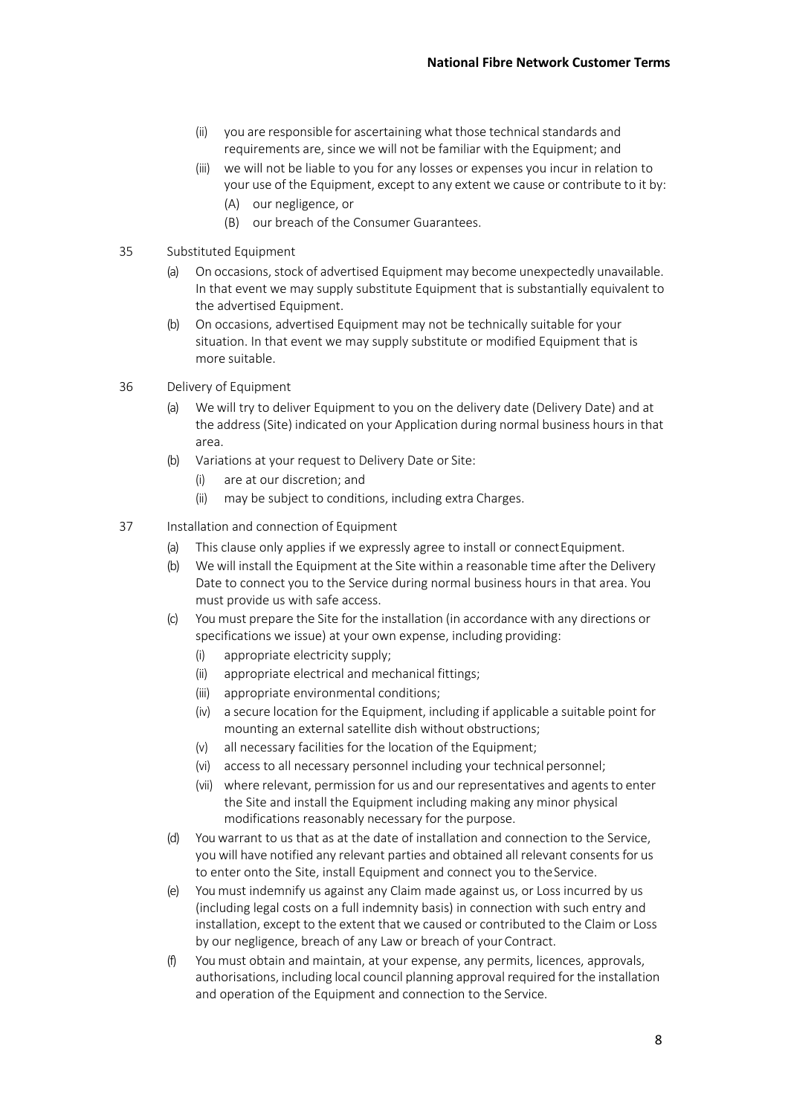- (ii) you are responsible for ascertaining what those technical standards and requirements are, since we will not be familiar with the Equipment; and
- (iii) we will not be liable to you for any losses or expenses you incur in relation to your use of the Equipment, except to any extent we cause or contribute to it by: (A) our negligence, or
	- (B) our breach of the Consumer Guarantees.
- 35 Substituted Equipment
	- (a) On occasions, stock of advertised Equipment may become unexpectedly unavailable. In that event we may supply substitute Equipment that is substantially equivalent to the advertised Equipment.
	- (b) On occasions, advertised Equipment may not be technically suitable for your situation. In that event we may supply substitute or modified Equipment that is more suitable.
- 36 Delivery of Equipment
	- (a) We will try to deliver Equipment to you on the delivery date (Delivery Date) and at the address (Site) indicated on your Application during normal business hours in that area.
	- (b) Variations at your request to Delivery Date or Site:
		- (i) are at our discretion; and
		- (ii) may be subject to conditions, including extra Charges.
- 37 Installation and connection of Equipment
	- (a) This clause only applies if we expressly agree to install or connect Equipment.
	- (b) We will install the Equipment at the Site within a reasonable time after the Delivery Date to connect you to the Service during normal business hours in that area. You must provide us with safe access.
	- (c) You must prepare the Site for the installation (in accordance with any directions or specifications we issue) at your own expense, including providing:
		- (i) appropriate electricity supply;
		- (ii) appropriate electrical and mechanical fittings;
		- (iii) appropriate environmental conditions;
		- (iv) a secure location for the Equipment, including if applicable a suitable point for mounting an external satellite dish without obstructions;
		- (v) all necessary facilities for the location of the Equipment;
		- (vi) access to all necessary personnel including your technical personnel;
		- (vii) where relevant, permission for us and our representatives and agents to enter the Site and install the Equipment including making any minor physical modifications reasonably necessary for the purpose.
	- (d) You warrant to us that as at the date of installation and connection to the Service, you will have notified any relevant parties and obtained all relevant consents for us to enter onto the Site, install Equipment and connect you to theService.
	- (e) You must indemnify us against any Claim made against us, or Loss incurred by us (including legal costs on a full indemnity basis) in connection with such entry and installation, except to the extent that we caused or contributed to the Claim or Loss by our negligence, breach of any Law or breach of your Contract.
	- (f) You must obtain and maintain, at your expense, any permits, licences, approvals, authorisations, including local council planning approval required for the installation and operation of the Equipment and connection to the Service.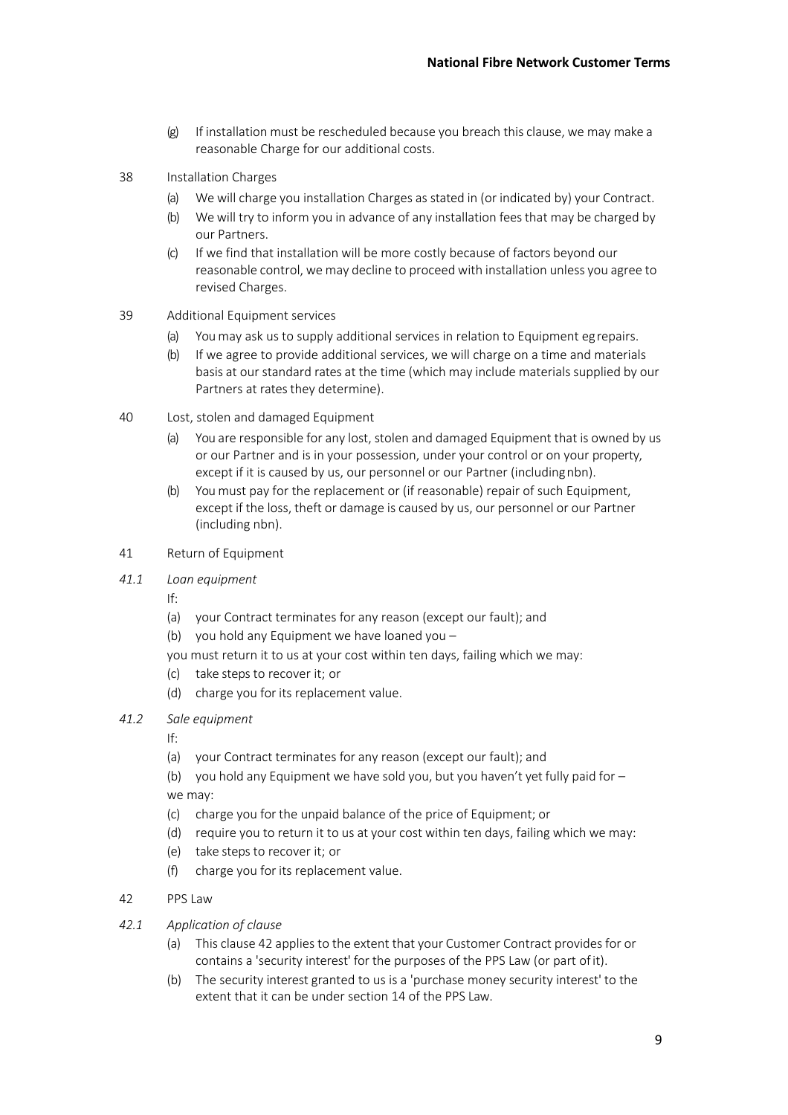- (g) If installation must be rescheduled because you breach this clause, we may make a reasonable Charge for our additional costs.
- 38 Installation Charges
	- (a) We will charge you installation Charges as stated in (or indicated by) your Contract.
	- (b) We will try to inform you in advance of any installation feesthat may be charged by our Partners.
	- (c) If we find that installation will be more costly because of factors beyond our reasonable control, we may decline to proceed with installation unless you agree to revised Charges.
- 39 Additional Equipment services
	- (a) You may ask us to supply additional services in relation to Equipment egrepairs.
	- (b) If we agree to provide additional services, we will charge on a time and materials basis at our standard rates at the time (which may include materials supplied by our Partners at rates they determine).
- 40 Lost, stolen and damaged Equipment
	- (a) You are responsible for any lost, stolen and damaged Equipment that is owned by us or our Partner and is in your possession, under your control or on your property, except if it is caused by us, our personnel or our Partner (includingnbn).
	- (b) You must pay for the replacement or (if reasonable) repair of such Equipment, except if the loss, theft or damage is caused by us, our personnel or our Partner (including nbn).
- 41 Return of Equipment
- *41.1 Loan equipment*

If:

- (a) your Contract terminates for any reason (except our fault); and
- (b) you hold any Equipment we have loaned you  $-$
- you must return it to us at your cost within ten days, failing which we may:
- (c) take steps to recover it; or
- (d) charge you for its replacement value.
- *41.2 Sale equipment*

If:

- (a) your Contract terminates for any reason (except our fault); and
- (b) you hold any Equipment we have sold you, but you haven't yet fully paid for  $$ we may:
- (c) charge you for the unpaid balance of the price of Equipment; or
- (d) require you to return it to us at your cost within ten days, failing which we may:
- (e) take steps to recover it; or
- (f) charge you for its replacement value.
- 42 PPS Law
- *42.1 Application of clause*
	- (a) This clause 42 applies to the extent that your Customer Contract providesfor or contains a 'security interest' for the purposes of the PPS Law (or part ofit).
	- (b) The security interest granted to us is a 'purchase money security interest' to the extent that it can be under section 14 of the PPS Law.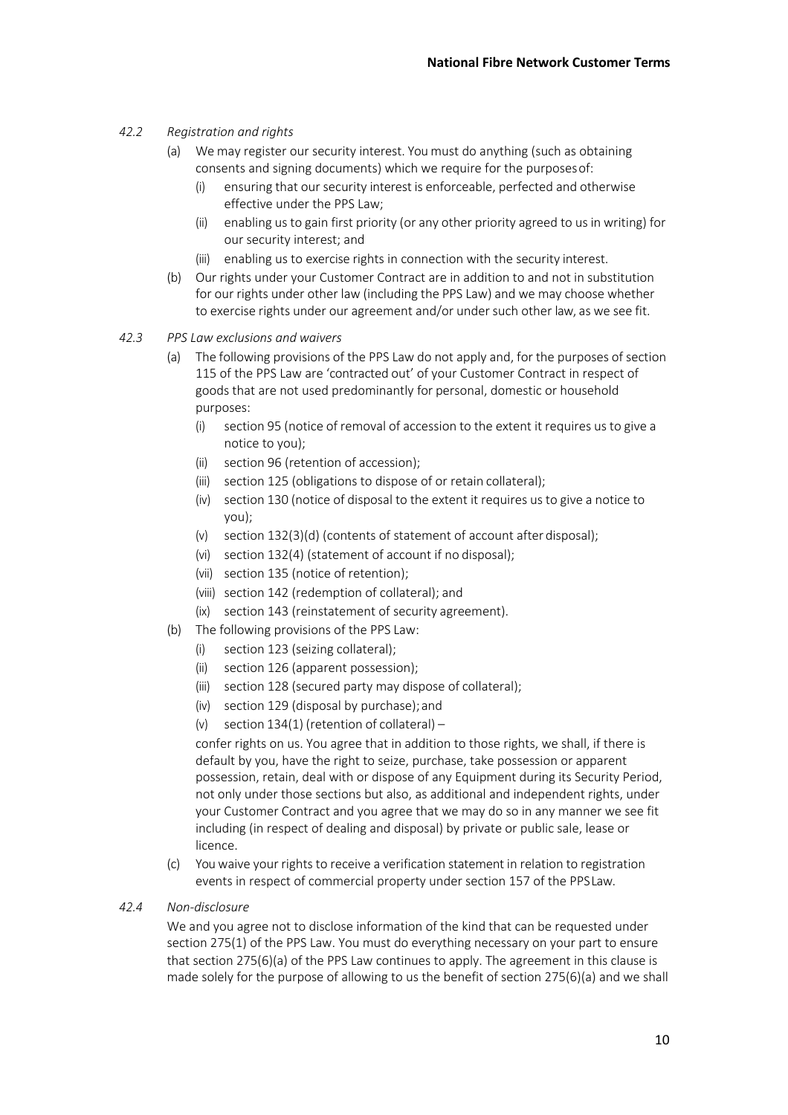# *42.2 Registration and rights*

- (a) We may register our security interest. You must do anything (such as obtaining consents and signing documents) which we require for the purposesof:
	- (i) ensuring that our security interest is enforceable, perfected and otherwise effective under the PPS Law;
	- (ii) enabling us to gain first priority (or any other priority agreed to us in writing) for our security interest; and
	- (iii) enabling us to exercise rights in connection with the security interest.
- (b) Our rights under your Customer Contract are in addition to and not in substitution for our rights under other law (including the PPS Law) and we may choose whether to exercise rights under our agreement and/or under such other law, as we see fit.
- *42.3 PPS Law exclusions and waivers*
	- (a) The following provisions of the PPS Law do not apply and, for the purposes of section 115 of the PPS Law are 'contracted out' of your Customer Contract in respect of goods that are not used predominantly for personal, domestic or household purposes:
		- (i) section 95 (notice of removal of accession to the extent it requires us to give a notice to you);
		- (ii) section 96 (retention of accession);
		- (iii) section 125 (obligations to dispose of or retain collateral);
		- (iv) section 130 (notice of disposal to the extent it requires us to give a notice to you);
		- (v) section 132(3)(d) (contents of statement of account afterdisposal);
		- (vi) section 132(4) (statement of account if no disposal);
		- (vii) section 135 (notice of retention);
		- (viii) section 142 (redemption of collateral); and
		- (ix) section 143 (reinstatement of security agreement).
	- (b) The following provisions of the PPS Law:
		- (i) section 123 (seizing collateral);
		- (ii) section 126 (apparent possession);
		- (iii) section 128 (secured party may dispose of collateral);
		- (iv) section 129 (disposal by purchase);and
		- (v) section 134(1) (retention of collateral) –

confer rights on us. You agree that in addition to those rights, we shall, if there is default by you, have the right to seize, purchase, take possession or apparent possession, retain, deal with or dispose of any Equipment during its Security Period, not only under those sections but also, as additional and independent rights, under your Customer Contract and you agree that we may do so in any manner we see fit including (in respect of dealing and disposal) by private or public sale, lease or licence.

- (c) Youwaive your rights to receive a verification statement in relation to registration events in respect of commercial property under section 157 of the PPSLaw.
- *42.4 Non-disclosure*

We and you agree not to disclose information of the kind that can be requested under section 275(1) of the PPS Law. You must do everything necessary on your part to ensure that section 275(6)(a) of the PPS Law continues to apply. The agreement in this clause is made solely for the purpose of allowing to us the benefit of section 275(6)(a) and we shall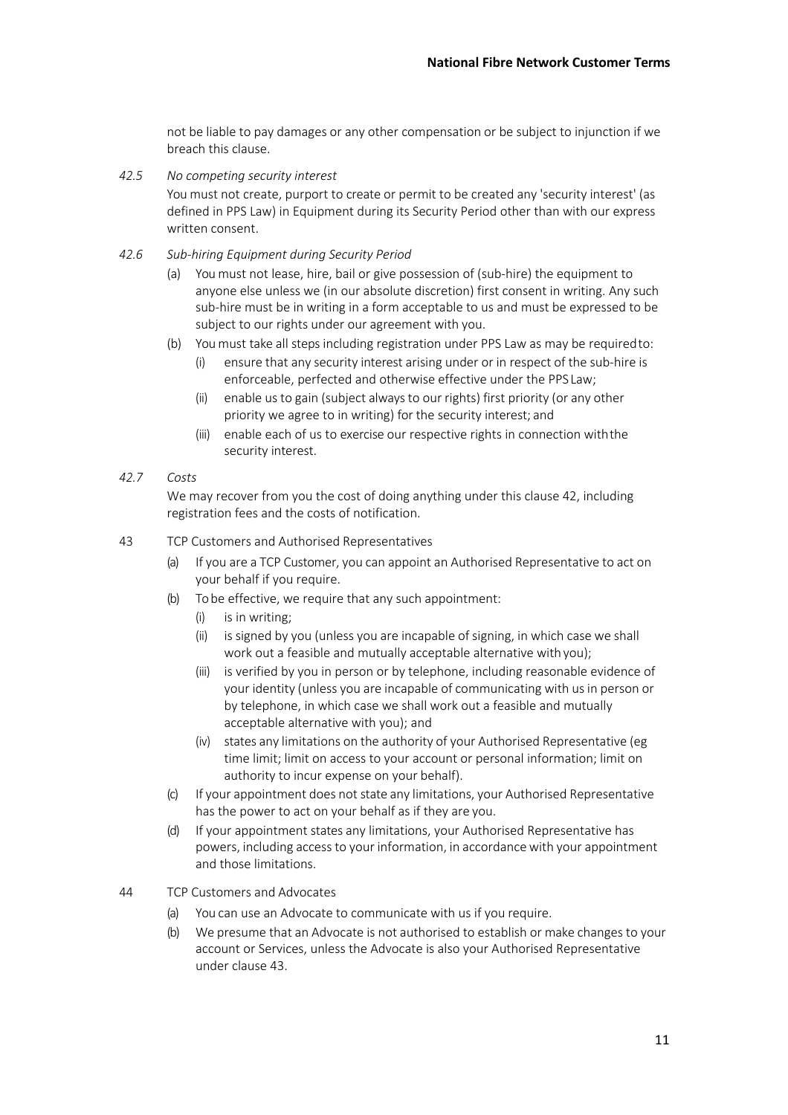not be liable to pay damages or any other compensation or be subject to injunction if we breach this clause.

*42.5 No competing security interest*

You must not create, purport to create or permit to be created any 'security interest' (as defined in PPS Law) in Equipment during its Security Period other than with our express written consent.

- *42.6 Sub-hiring Equipment during Security Period*
	- (a) You must not lease, hire, bail or give possession of (sub-hire) the equipment to anyone else unless we (in our absolute discretion) first consent in writing. Any such sub-hire must be in writing in a form acceptable to us and must be expressed to be subject to our rights under our agreement with you.
	- (b) You must take all steps including registration under PPS Law as may be requiredto:
		- (i) ensure that any security interest arising under or in respect of the sub-hire is enforceable, perfected and otherwise effective under the PPS Law;
		- (ii) enable us to gain (subject alwaysto our rights) first priority (or any other priority we agree to in writing) for the security interest; and
		- (iii) enable each of us to exercise our respective rights in connection withthe security interest.
- *42.7 Costs*

We may recover from you the cost of doing anything under this clause 42, including registration fees and the costs of notification.

#### 43 TCP Customers and Authorised Representatives

- (a) If you are a TCP Customer, you can appoint an Authorised Representative to act on your behalf if you require.
- (b) To be effective, we require that any such appointment:
	- (i) is in writing;
	- (ii) is signed by you (unless you are incapable of signing, in which case we shall work out a feasible and mutually acceptable alternative withyou);
	- (iii) is verified by you in person or by telephone, including reasonable evidence of your identity (unless you are incapable of communicating with us in person or by telephone, in which case we shall work out a feasible and mutually acceptable alternative with you); and
	- (iv) states any limitations on the authority of your Authorised Representative (eg time limit; limit on access to your account or personal information; limit on authority to incur expense on your behalf).
- (c) If your appointment does not state any limitations, your Authorised Representative has the power to act on your behalf as if they are you.
- (d) If your appointment states any limitations, your Authorised Representative has powers, including accessto your information, in accordance with your appointment and those limitations.
- 44 TCP Customers and Advocates
	- (a) You can use an Advocate to communicate with us if you require.
	- (b) We presume that an Advocate is not authorised to establish or make changes to your account or Services, unless the Advocate is also your Authorised Representative under clause 43.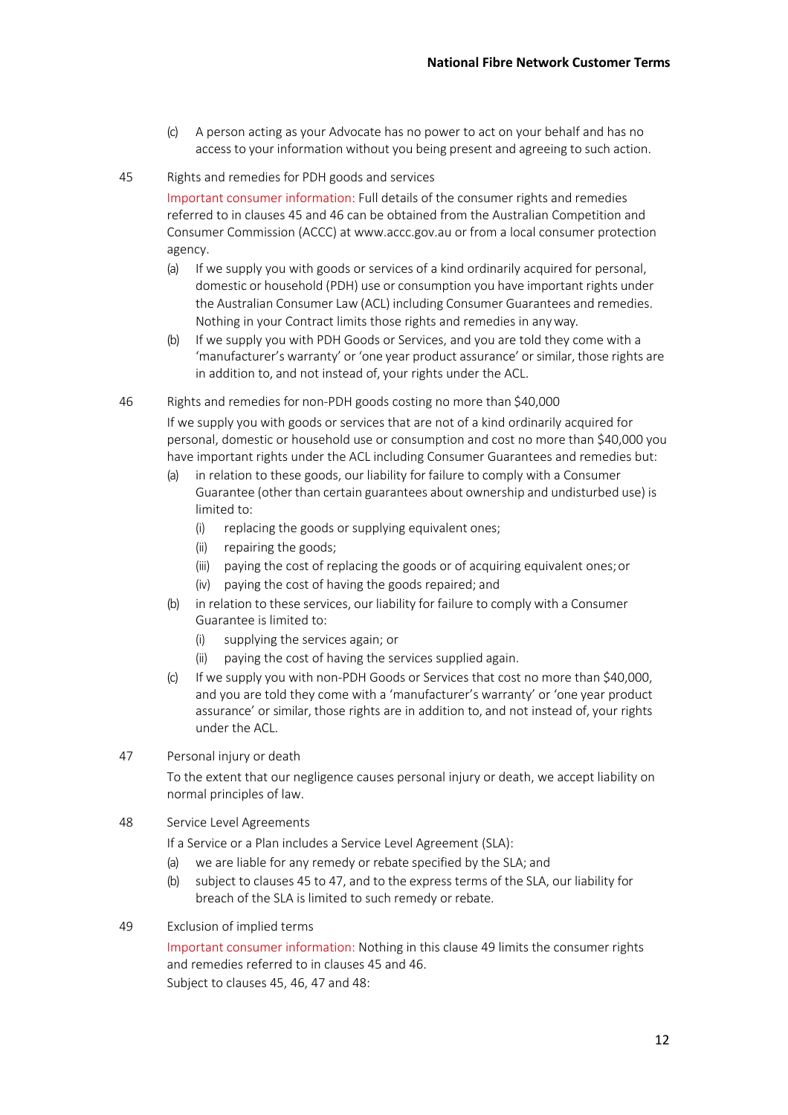- (c) A person acting as your Advocate has no power to act on your behalf and has no access to your information without you being present and agreeing to such action.
- 45 Rights and remedies for PDH goods and services

Important consumer information: Full details of the consumer rights and remedies referred to in clauses 45 and 46 can be obtained from the Australian Competition and Consumer Commission (ACCC) at www.accc.gov.au or from a local consumer protection agency.

- (a) If we supply you with goods or services of a kind ordinarily acquired for personal, domestic or household (PDH) use or consumption you have important rights under the Australian Consumer Law (ACL) including Consumer Guarantees and remedies. Nothing in your Contract limits those rights and remedies in anyway.
- (b) If we supply you with PDH Goods or Services, and you are told they come with a 'manufacturer's warranty' or 'one year product assurance' or similar, those rights are in addition to, and not instead of, your rights under the ACL.
- 46 Rights and remedies for non-PDH goods costing no more than \$40,000

If we supply you with goods or services that are not of a kind ordinarily acquired for personal, domestic or household use or consumption and cost no more than \$40,000 you have important rights under the ACL including Consumer Guarantees and remedies but:

- (a) in relation to these goods, our liability for failure to comply with a Consumer Guarantee (other than certain guarantees about ownership and undisturbed use) is limited to:
	- (i) replacing the goods or supplying equivalent ones;
	- (ii) repairing the goods;
	- (iii) paying the cost of replacing the goods or of acquiring equivalent ones;or
	- (iv) paying the cost of having the goods repaired; and
- (b) in relation to these services, our liability for failure to comply with a Consumer Guarantee is limited to:
	- (i) supplying the services again; or
	- (ii) paying the cost of having the services supplied again.
- (c) If we supply you with non-PDH Goods or Services that cost no more than \$40,000, and you are told they come with a 'manufacturer's warranty' or 'one year product assurance' or similar, those rights are in addition to, and not instead of, your rights under the ACL.
- 47 Personal injury or death

To the extent that our negligence causes personal injury or death, we accept liability on normal principles of law.

48 Service Level Agreements

If a Service or a Plan includes a Service Level Agreement (SLA):

- (a) we are liable for any remedy or rebate specified by the SLA; and
- (b) subject to clauses 45 to 47, and to the express terms of the SLA, our liability for breach of the SLA is limited to such remedy or rebate.
- 49 Exclusion of implied terms

Important consumer information: Nothing in this clause 49 limits the consumer rights and remedies referred to in clauses 45 and 46. Subject to clauses 45, 46, 47 and 48: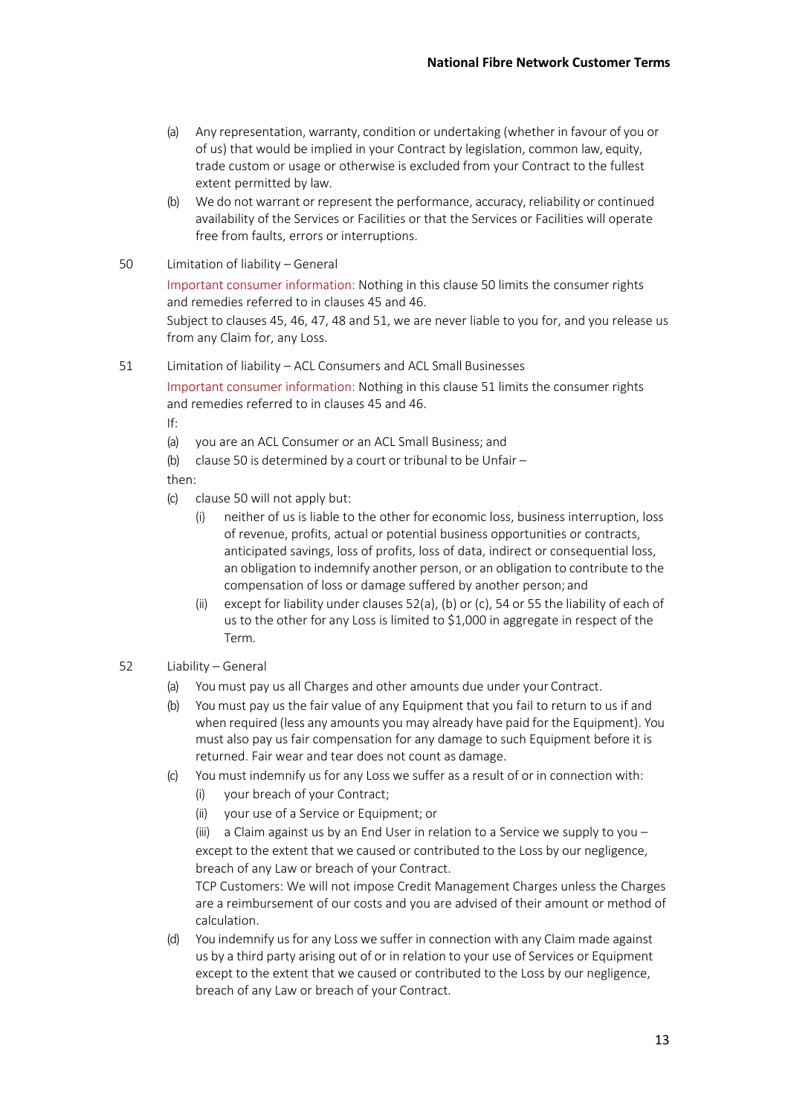- (a) Any representation, warranty, condition or undertaking (whether in favour of you or of us) that would be implied in your Contract by legislation, common law, equity, trade custom or usage or otherwise is excluded from your Contract to the fullest extent permitted by law.
- (b) We do not warrant or represent the performance, accuracy, reliability or continued availability of the Services or Facilities or that the Services or Facilities will operate free from faults, errors or interruptions.
- 50 Limitation of liability General

Important consumer information: Nothing in this clause 50 limits the consumer rights and remedies referred to in clauses 45 and 46.

Subject to clauses 45, 46, 47, 48 and 51, we are never liable to you for, and you release us from any Claim for, any Loss.

51 Limitation of liability – ACL Consumers and ACL Small Businesses Important consumer information: Nothing in this clause 51 limits the consumer rights and remedies referred to in clauses 45 and 46.

If:

- (a) you are an ACL Consumer or an ACL Small Business; and
- (b) clause 50 is determined by a court or tribunal to be Unfair –

then:

- (c) clause 50 will not apply but:
	- (i) neither of us is liable to the other for economic loss, business interruption, loss of revenue, profits, actual or potential business opportunities or contracts, anticipated savings, loss of profits, loss of data, indirect or consequential loss, an obligation to indemnify another person, or an obligation to contribute to the compensation of loss or damage suffered by another person; and
	- (ii) except for liability under clauses 52(a), (b) or (c), 54 or 55 the liability of each of us to the other for any Loss is limited to \$1,000 in aggregate in respect of the Term.
- 52 Liability General
	- (a) You must pay us all Charges and other amounts due under your Contract.
	- (b) You must pay us the fair value of any Equipment that you fail to return to us if and when required (less any amounts you may already have paid for the Equipment). You must also pay us fair compensation for any damage to such Equipment before it is returned. Fair wear and tear does not count as damage.
	- (c) You must indemnify us for any Loss we suffer as a result of or in connection with:
		- (i) your breach of your Contract;
		- (ii) your use of a Service or Equipment; or

(iii) a Claim against us by an End User in relation to a Service we supply to you – except to the extent that we caused or contributed to the Loss by our negligence, breach of any Law or breach of your Contract.

TCP Customers: We will not impose Credit Management Charges unless the Charges are a reimbursement of our costs and you are advised of their amount or method of calculation.

(d) You indemnify us for any Loss we suffer in connection with any Claim made against us by a third party arising out of or in relation to your use of Services or Equipment except to the extent that we caused or contributed to the Loss by our negligence, breach of any Law or breach of your Contract.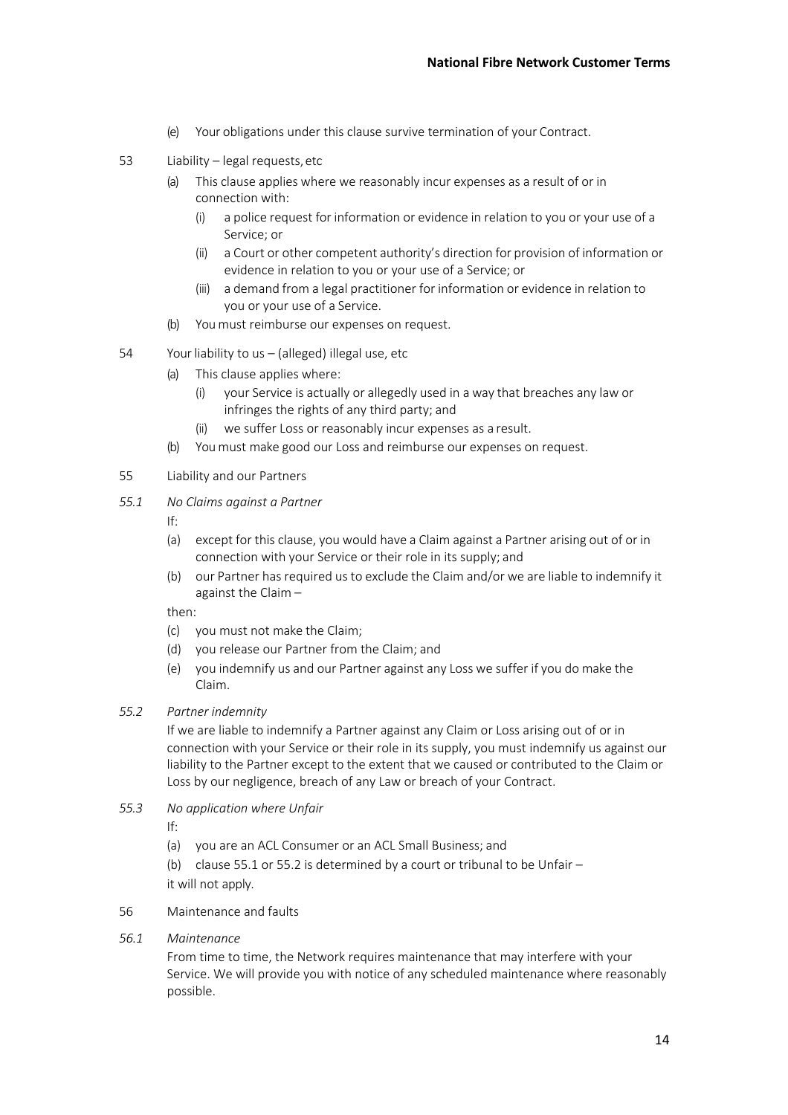- (e) Your obligations under this clause survive termination of your Contract.
- 53 Liability legal requests,etc
	- (a) This clause applies where we reasonably incur expenses as a result of or in connection with:
		- (i) a police request for information or evidence in relation to you or your use of a Service; or
		- (ii) a Court or other competent authority's direction for provision of information or evidence in relation to you or your use of a Service; or
		- (iii) a demand from a legal practitioner for information or evidence in relation to you or your use of a Service.
	- (b) You must reimburse our expenses on request.
- 54 Your liability to us (alleged) illegal use, etc
	- (a) This clause applies where:
		- (i) your Service is actually or allegedly used in a way that breaches any law or infringes the rights of any third party; and
		- (ii) we suffer Loss or reasonably incur expenses as a result.
	- (b) You must make good our Loss and reimburse our expenses on request.
- 55 Liability and our Partners
- *55.1 No Claims against a Partner*
	- If:
	- (a) except for this clause, you would have a Claim against a Partner arising out of or in connection with your Service or their role in its supply; and
	- (b) our Partner has required us to exclude the Claim and/or we are liable to indemnify it against the Claim –

then:

- (c) you must not make the Claim;
- (d) you release our Partner from the Claim; and
- (e) you indemnify us and our Partner against any Loss we suffer if you do make the Claim.
- *55.2 Partner indemnity*

If we are liable to indemnify a Partner against any Claim or Loss arising out of or in connection with your Service or their role in its supply, you must indemnify us against our liability to the Partner except to the extent that we caused or contributed to the Claim or Loss by our negligence, breach of any Law or breach of your Contract.

*55.3 No application where Unfair*

If:

- (a) you are an ACL Consumer or an ACL Small Business; and
- (b) clause 55.1 or 55.2 is determined by a court or tribunal to be Unfair  $$ it will not apply.
- 56 Maintenance and faults
- *56.1 Maintenance*

From time to time, the Network requires maintenance that may interfere with your Service. We will provide you with notice of any scheduled maintenance where reasonably possible.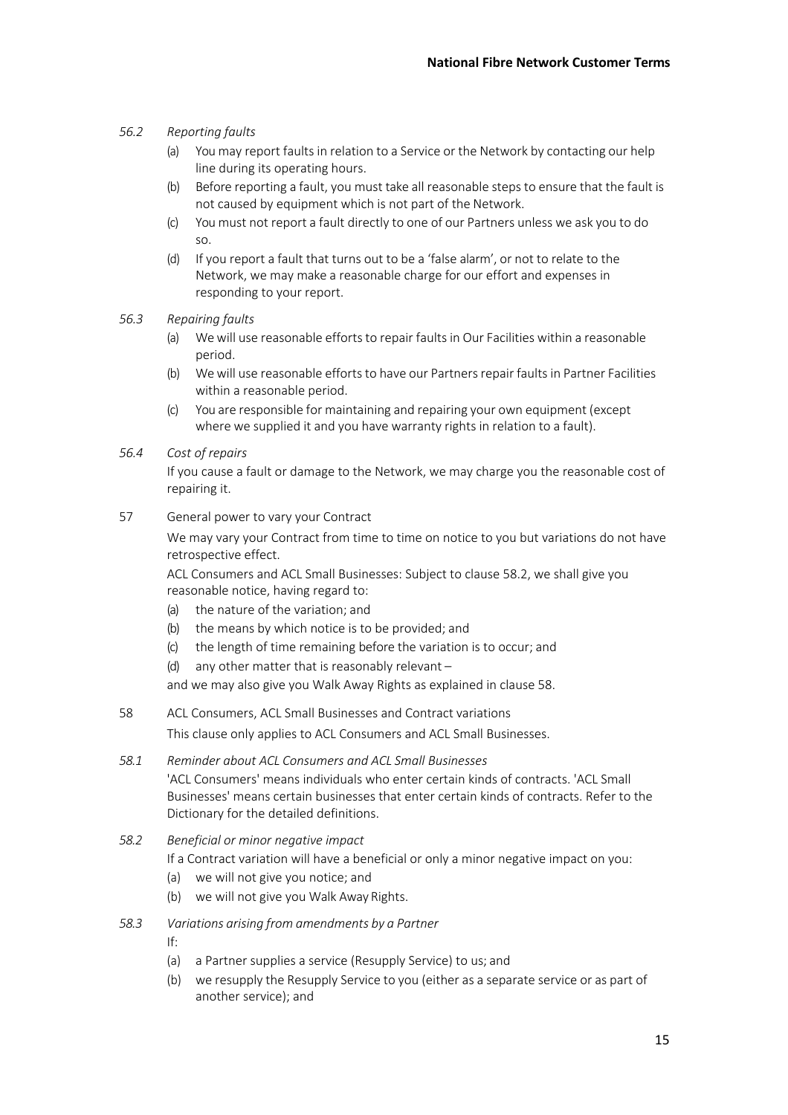## *56.2 Reporting faults*

- (a) You may report faults in relation to a Service or the Network by contacting our help line during its operating hours.
- (b) Before reporting a fault, you must take all reasonable steps to ensure that the fault is not caused by equipment which is not part of the Network.
- (c) You must not report a fault directly to one of our Partners unless we ask you to do so.
- (d) If you report a fault that turns out to be a 'false alarm', or not to relate to the Network, we may make a reasonable charge for our effort and expenses in responding to your report.
- *56.3 Repairing faults*
	- (a) We will use reasonable efforts to repair faults in Our Facilities within a reasonable period.
	- (b) We will use reasonable efforts to have our Partners repair faults in Partner Facilities within a reasonable period.
	- (c) You are responsible for maintaining and repairing your own equipment (except where we supplied it and you have warranty rights in relation to a fault).
- *56.4 Cost of repairs*

If you cause a fault or damage to the Network, we may charge you the reasonable cost of repairing it.

57 General power to vary your Contract

We may vary your Contract from time to time on notice to you but variations do not have retrospective effect.

ACL Consumers and ACL Small Businesses: Subject to clause 58.2, we shall give you reasonable notice, having regard to:

- (a) the nature of the variation; and
- (b) the means by which notice is to be provided; and
- (c) the length of time remaining before the variation is to occur; and
- (d) any other matter that is reasonably relevant –

and we may also give you Walk Away Rights as explained in clause 58.

58 ACL Consumers, ACL Small Businesses and Contract variations

This clause only applies to ACL Consumers and ACL Small Businesses.

*58.1 Reminder about ACL Consumers and ACL Small Businesses* 'ACL Consumers' means individuals who enter certain kinds of contracts. 'ACL Small Businesses' means certain businesses that enter certain kinds of contracts. Refer to the Dictionary for the detailed definitions.

*58.2 Beneficial or minor negative impact*

If a Contract variation will have a beneficial or only a minor negative impact on you:

- (a) we will not give you notice; and
- (b) we will not give you Walk Away Rights.
- *58.3 Variations arising from amendments by a Partner*

If:

- (a) a Partner supplies a service (Resupply Service) to us; and
- (b) we resupply the Resupply Service to you (either as a separate service or as part of another service); and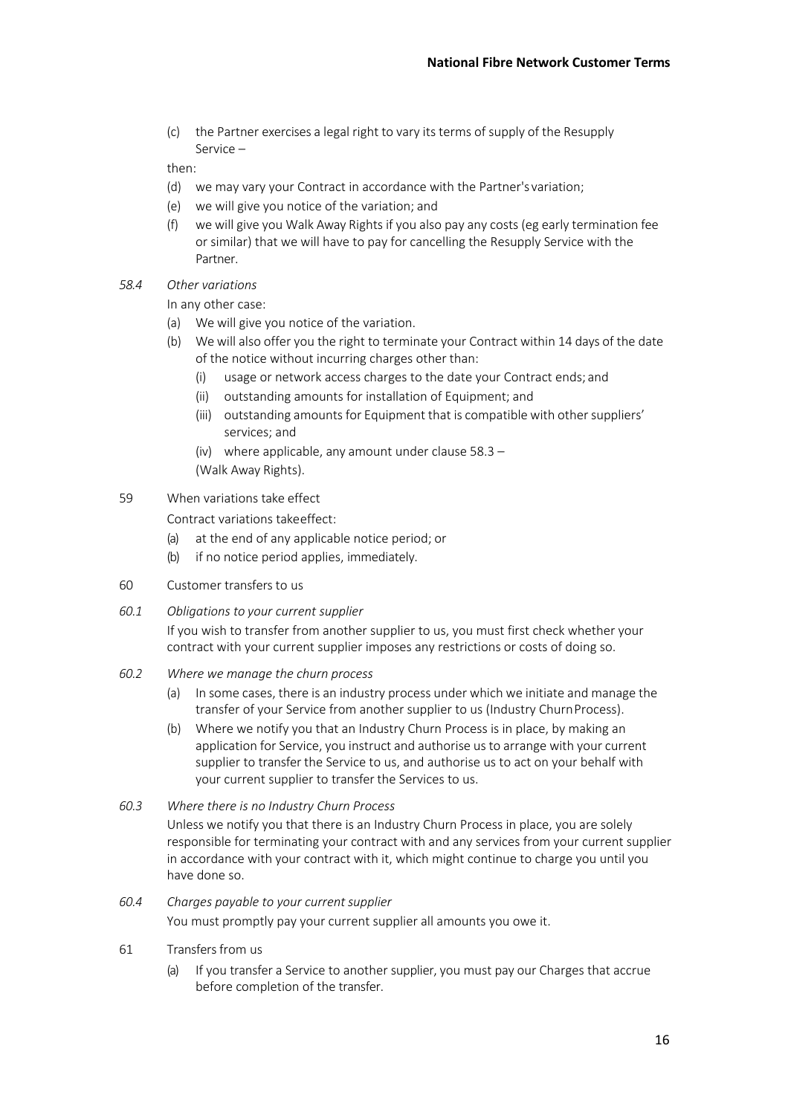(c) the Partner exercises a legal right to vary its terms of supply of the Resupply Service –

then:

- (d) we may vary your Contract in accordance with the Partner's variation;
- (e) we will give you notice of the variation; and
- (f) we will give you Walk Away Rights if you also pay any costs (eg early termination fee or similar) that we will have to pay for cancelling the Resupply Service with the Partner.
- *58.4 Other variations*

In any other case:

- (a) We will give you notice of the variation.
- (b) We will also offer you the right to terminate your Contract within 14 days of the date of the notice without incurring charges other than:
	- (i) usage or network access charges to the date your Contract ends; and
	- (ii) outstanding amounts for installation of Equipment; and
	- (iii) outstanding amounts for Equipment that is compatible with other suppliers' services; and
	- (iv) where applicable, any amount under clause 58.3 (Walk Away Rights).
- 59 When variations take effect

Contract variations takeeffect:

- (a) at the end of any applicable notice period; or
- (b) if no notice period applies, immediately.
- 60 Customer transfers to us
- *60.1 Obligations to your current supplier*

If you wish to transfer from another supplier to us, you must first check whether your contract with your current supplier imposes any restrictions or costs of doing so.

- *60.2 Where we manage the churn process*
	- (a) In some cases, there is an industry process under which we initiate and manage the transfer of your Service from another supplier to us (Industry ChurnProcess).
	- (b) Where we notify you that an Industry Churn Process is in place, by making an application for Service, you instruct and authorise us to arrange with your current supplier to transfer the Service to us, and authorise us to act on your behalf with your current supplier to transfer the Services to us.
- *60.3 Where there is no Industry Churn Process*

Unless we notify you that there is an Industry Churn Process in place, you are solely responsible for terminating your contract with and any services from your current supplier in accordance with your contract with it, which might continue to charge you until you have done so.

- *60.4 Charges payable to your currentsupplier* You must promptly pay your current supplier all amounts you owe it.
- 61 Transfers from us
	- (a) If you transfer a Service to another supplier, you must pay our Charges that accrue before completion of the transfer.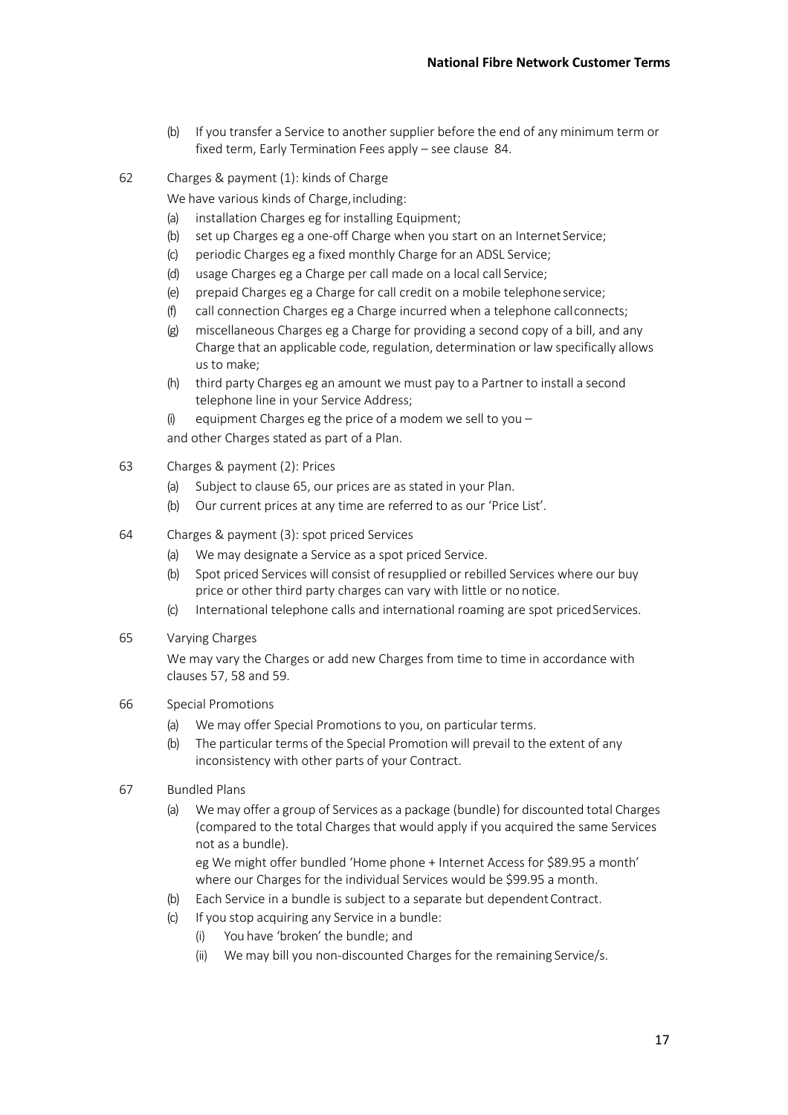- (b) If you transfer a Service to another supplier before the end of any minimum term or fixed term, Early Termination Fees apply – see clause 84.
- 62 Charges & payment (1): kinds of Charge

We have various kinds of Charge, including:

- (a) installation Charges eg for installing Equipment;
- (b) set up Charges eg a one-off Charge when you start on an Internet Service;
- (c) periodic Charges eg a fixed monthly Charge for an ADSL Service;
- (d) usage Charges eg a Charge per call made on a local call Service;
- (e) prepaid Charges eg a Charge for call credit on a mobile telephoneservice;
- (f) call connection Charges eg a Charge incurred when a telephone callconnects;
- (g) miscellaneous Charges eg a Charge for providing a second copy of a bill, and any Charge that an applicable code, regulation, determination or law specifically allows us to make;
- (h) third party Charges eg an amount we must pay to a Partner to install a second telephone line in your Service Address;
- (i) equipment Charges eg the price of a modem we sell to you  $-$

and other Charges stated as part of a Plan.

- 63 Charges & payment (2): Prices
	- (a) Subject to clause 65, our prices are as stated in your Plan.
	- (b) Our current prices at any time are referred to as our 'Price List'.
- 64 Charges & payment (3): spot priced Services
	- (a) We may designate a Service as a spot priced Service.
	- (b) Spot priced Services will consist of resupplied or rebilled Services where our buy price or other third party charges can vary with little or no notice.
	- (c) International telephone calls and international roaming are spot priced Services.
- 65 Varying Charges

We may vary the Charges or add new Charges from time to time in accordance with clauses 57, 58 and 59.

- 66 Special Promotions
	- (a) We may offer Special Promotions to you, on particular terms.
	- (b) The particular terms of the Special Promotion will prevail to the extent of any inconsistency with other parts of your Contract.
- 67 Bundled Plans
	- (a) We may offer a group of Services as a package (bundle) for discounted total Charges (compared to the total Charges that would apply if you acquired the same Services not as a bundle). eg We might offer bundled 'Home phone + Internet Access for \$89.95 a month'

where our Charges for the individual Services would be \$99.95 a month.

- (b) Each Service in a bundle is subject to a separate but dependent Contract.
- (c) If you stop acquiring any Service in a bundle:
	- (i) You have 'broken' the bundle; and
	- (ii) We may bill you non-discounted Charges for the remaining Service/s.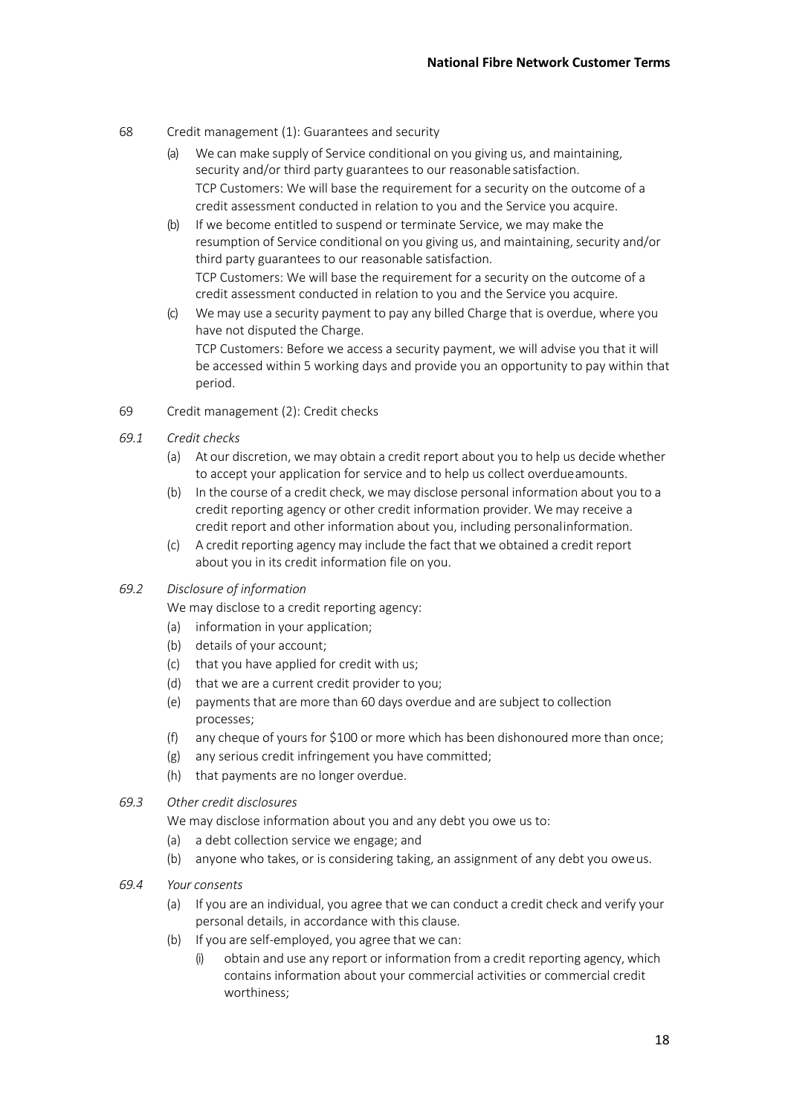- 68 Credit management (1): Guarantees and security
	- (a) We can make supply of Service conditional on you giving us, and maintaining, security and/or third party guarantees to our reasonable satisfaction. TCP Customers: We will base the requirement for a security on the outcome of a credit assessment conducted in relation to you and the Service you acquire.
	- (b) If we become entitled to suspend or terminate Service, we may make the resumption of Service conditional on you giving us, and maintaining, security and/or third party guarantees to our reasonable satisfaction. TCP Customers: We will base the requirement for a security on the outcome of a credit assessment conducted in relation to you and the Service you acquire.
	- (c) We may use a security payment to pay any billed Charge that is overdue, where you have not disputed the Charge. TCP Customers: Before we access a security payment, we will advise you that it will be accessed within 5 working days and provide you an opportunity to pay within that period.
- 69 Credit management (2): Credit checks
- *69.1 Credit checks*
	- (a) At our discretion, we may obtain a credit report about you to help us decide whether to accept your application for service and to help us collect overdueamounts.
	- (b) In the course of a credit check, we may disclose personal information about you to a credit reporting agency or other credit information provider. We may receive a credit report and other information about you, including personalinformation.
	- (c) A credit reporting agency may include the fact that we obtained a credit report about you in its credit information file on you.

## *69.2 Disclosure of information*

We may disclose to a credit reporting agency:

- (a) information in your application;
- (b) details of your account;
- (c) that you have applied for credit with us;
- (d) that we are a current credit provider to you;
- (e) payments that are more than 60 days overdue and are subject to collection processes;
- (f) any cheque of yours for \$100 or more which has been dishonoured more than once;
- (g) any serious credit infringement you have committed;
- (h) that payments are no longer overdue.
- *69.3 Other credit disclosures*

We may disclose information about you and any debt you owe us to:

- (a) a debt collection service we engage; and
- (b) anyone who takes, or is considering taking, an assignment of any debt you oweus.
- *69.4 Your consents*
	- (a) If you are an individual, you agree that we can conduct a credit check and verify your personal details, in accordance with this clause.
	- (b) If you are self-employed, you agree that we can:
		- obtain and use any report or information from a credit reporting agency, which contains information about your commercial activities or commercial credit worthiness;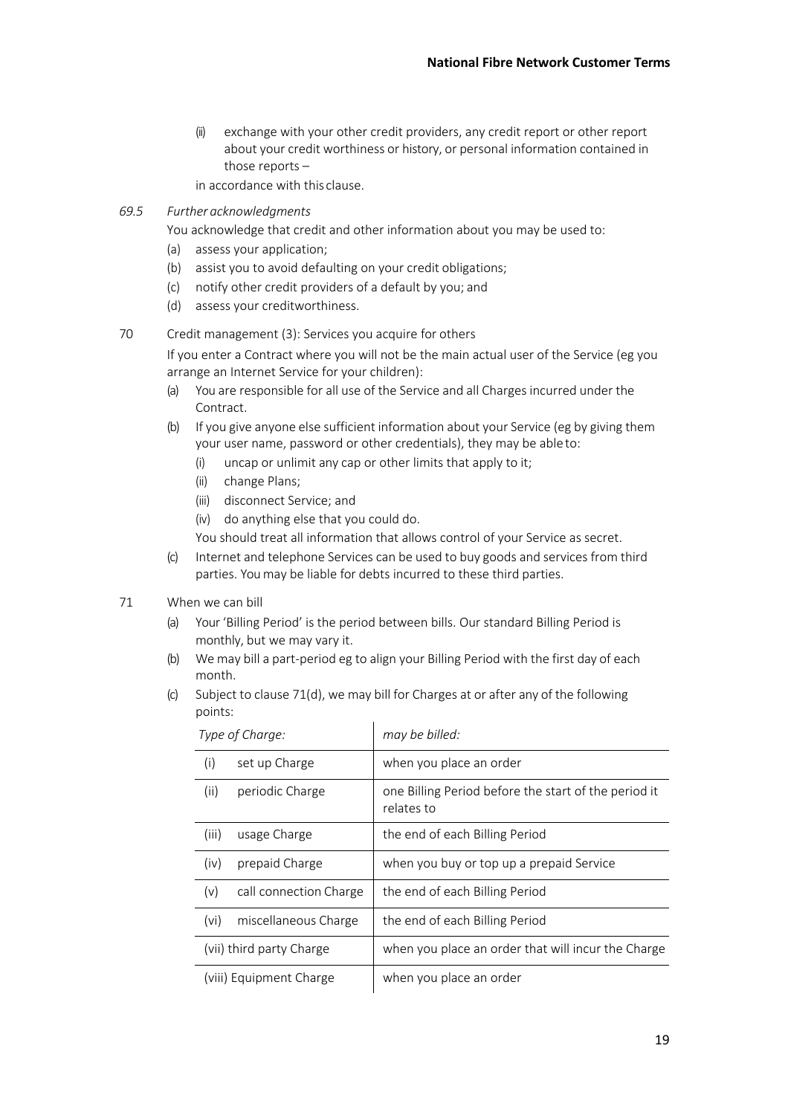- (ii) exchange with your other credit providers, any credit report or other report about your credit worthiness or history, or personal information contained in those reports –
- in accordance with this clause.
- *69.5 Further acknowledgments*
	- You acknowledge that credit and other information about you may be used to:
	- (a) assess your application;
	- (b) assist you to avoid defaulting on your credit obligations;
	- (c) notify other credit providers of a default by you; and
	- (d) assess your creditworthiness.

## 70 Credit management (3): Services you acquire for others

If you enter a Contract where you will not be the main actual user of the Service (eg you arrange an Internet Service for your children):

- (a) You are responsible for all use of the Service and all Charges incurred under the Contract.
- (b) If you give anyone else sufficient information about your Service (eg by giving them your user name, password or other credentials), they may be able to:
	- (i) uncap or unlimit any cap or other limits that apply to it;
	- (ii) change Plans;
	- (iii) disconnect Service; and
	- (iv) do anything else that you could do.
	- You should treat all information that allows control of your Service as secret.
- (c) Internet and telephone Services can be used to buy goods and services from third parties. You may be liable for debts incurred to these third parties.

## 71 When we can bill

- (a) Your 'Billing Period' is the period between bills. Our standard Billing Period is monthly, but we may vary it.
- (b) We may bill a part-period eg to align your Billing Period with the first day of each month.
- (c) Subject to clause 71(d), we may bill for Charges at or after any of the following points:

| Type of Charge:          |                        | may be billed:                                                     |
|--------------------------|------------------------|--------------------------------------------------------------------|
| (i)                      | set up Charge          | when you place an order                                            |
| (ii)                     | periodic Charge        | one Billing Period before the start of the period it<br>relates to |
| (iii)                    | usage Charge           | the end of each Billing Period                                     |
| (iv)                     | prepaid Charge         | when you buy or top up a prepaid Service                           |
| (v)                      | call connection Charge | the end of each Billing Period                                     |
| (vi)                     | miscellaneous Charge   | the end of each Billing Period                                     |
| (vii) third party Charge |                        | when you place an order that will incur the Charge                 |
| (viii) Equipment Charge  |                        | when you place an order                                            |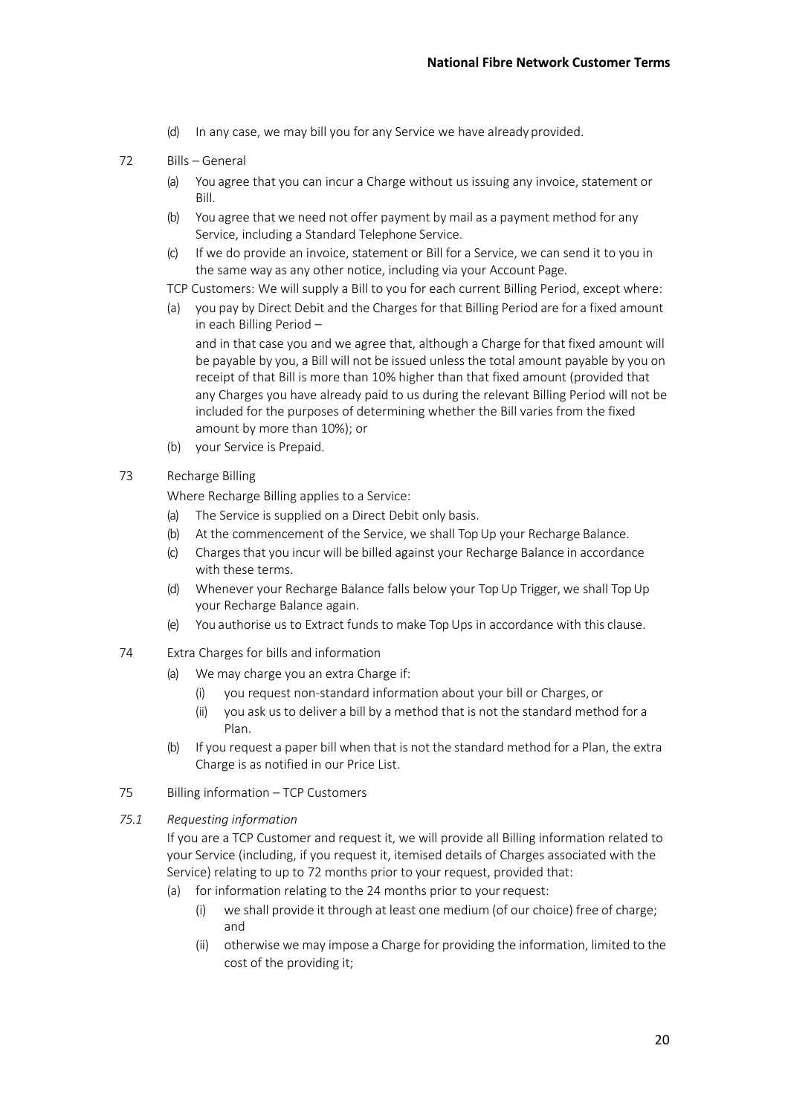- (d) In any case, we may bill you for any Service we have already provided.
- 72 Bills General
	- (a) You agree that you can incur a Charge without us issuing any invoice, statement or Bill.
	- (b) You agree that we need not offer payment by mail as a payment method for any Service, including a Standard Telephone Service.
	- (c) If we do provide an invoice, statement or Bill for a Service, we can send it to you in the same way as any other notice, including via your Account Page.
	- TCP Customers: We will supply a Bill to you for each current Billing Period, except where:
	- (a) you pay by Direct Debit and the Charges for that Billing Period are for a fixed amount in each Billing Period –

and in that case you and we agree that, although a Charge for that fixed amount will be payable by you, a Bill will not be issued unless the total amount payable by you on receipt of that Bill is more than 10% higher than that fixed amount (provided that any Charges you have already paid to us during the relevant Billing Period will not be included for the purposes of determining whether the Bill varies from the fixed amount by more than 10%); or

- (b) your Service is Prepaid.
- 73 Recharge Billing

Where Recharge Billing applies to a Service:

- (a) The Service is supplied on a Direct Debit only basis.
- (b) At the commencement of the Service, we shall Top Up your Recharge Balance.
- (c) Charges that you incur will be billed against your Recharge Balance in accordance with these terms.
- (d) Whenever your Recharge Balance falls below your Top Up Trigger, we shall Top Up your Recharge Balance again.
- (e) You authorise us to Extract funds to make Top Ups in accordance with this clause.
- 74 Extra Charges for bills and information
	- (a) We may charge you an extra Charge if:
		- (i) you request non-standard information about your bill or Charges, or
		- (ii) you ask us to deliver a bill by a method that is not the standard method for a Plan.
	- (b) If you request a paper bill when that is not the standard method for a Plan, the extra Charge is as notified in our Price List.
- 75 Billing information TCP Customers
- *75.1 Requesting information*

If you are a TCP Customer and request it, we will provide all Billing information related to your Service (including, if you request it, itemised details of Charges associated with the Service) relating to up to 72 months prior to your request, provided that:

- (a) for information relating to the 24 months prior to yourrequest:
	- (i) we shall provide it through at least one medium (of our choice) free of charge; and
	- (ii) otherwise we may impose a Charge for providing the information, limited to the cost of the providing it;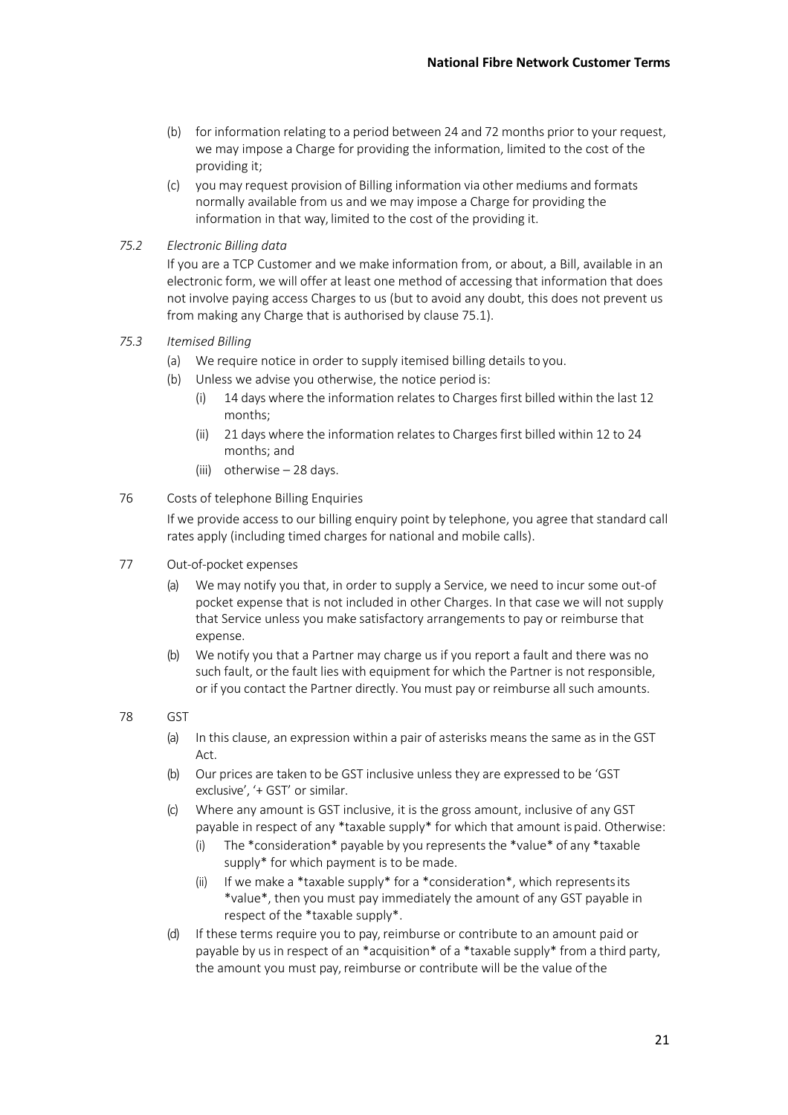- (b) for information relating to a period between 24 and 72 months prior to your request, we may impose a Charge for providing the information, limited to the cost of the providing it;
- (c) you may request provision of Billing information via other mediums and formats normally available from us and we may impose a Charge for providing the information in that way, limited to the cost of the providing it.

## *75.2 Electronic Billing data*

If you are a TCP Customer and we make information from, or about, a Bill, available in an electronic form, we will offer at least one method of accessing that information that does not involve paying access Charges to us (but to avoid any doubt, this does not prevent us from making any Charge that is authorised by clause 75.1).

## *75.3 Itemised Billing*

- (a) We require notice in order to supply itemised billing details to you.
- (b) Unless we advise you otherwise, the notice period is:
	- (i) 14 days where the information relates to Charges first billed within the last 12 months;
	- (ii) 21 days where the information relates to Charges first billed within 12 to 24 months; and
	- (iii) otherwise 28 days.

#### 76 Costs of telephone Billing Enquiries

If we provide access to our billing enquiry point by telephone, you agree that standard call rates apply (including timed charges for national and mobile calls).

#### 77 Out-of-pocket expenses

- (a) We may notify you that, in order to supply a Service, we need to incur some out-of pocket expense that is not included in other Charges. In that case we will not supply that Service unless you make satisfactory arrangements to pay or reimburse that expense.
- (b) We notify you that a Partner may charge us if you report a fault and there was no such fault, or the fault lies with equipment for which the Partner is not responsible, or if you contact the Partner directly. You must pay or reimburse all such amounts.

#### 78 GST

- (a) In this clause, an expression within a pair of asterisks means the same as in the GST Act.
- (b) Our prices are taken to be GST inclusive unless they are expressed to be 'GST exclusive', '+ GST' or similar.
- (c) Where any amount is GST inclusive, it is the gross amount, inclusive of any GST payable in respect of any \*taxable supply\* for which that amount ispaid. Otherwise:
	- (i) The  $*$ consideration $*$  payable by you represents the  $*$ value $*$  of any  $*$ taxable supply\* for which payment is to be made.
	- (ii) If we make a \*taxable supply\* for a \*consideration\*, which represents its \*value\*, then you must pay immediately the amount of any GST payable in respect of the \*taxable supply\*.
- (d) If these terms require you to pay, reimburse or contribute to an amount paid or payable by us in respect of an \*acquisition\* of a \*taxable supply\* from a third party, the amount you must pay, reimburse or contribute will be the value ofthe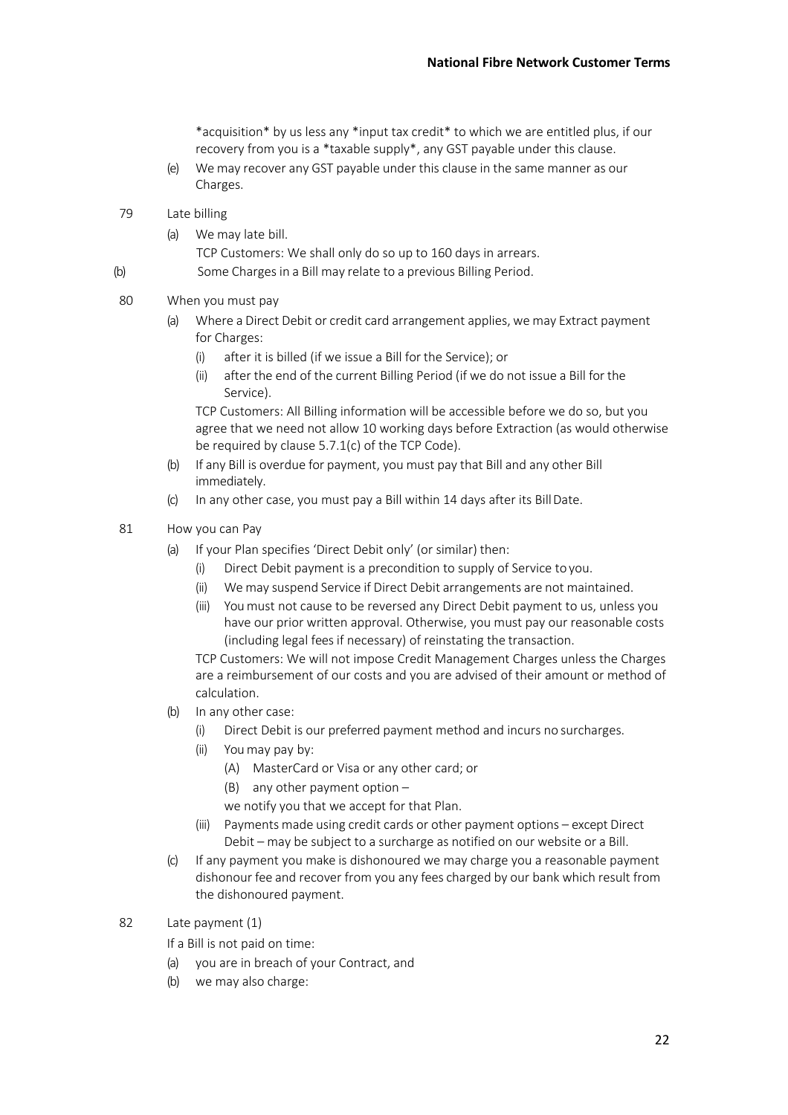\*acquisition\* by us less any \*input tax credit\* to which we are entitled plus, if our recovery from you is a \*taxable supply\*, any GST payable under this clause.

- (e) We may recover any GST payable under this clause in the same manner as our Charges.
- 79 Late billing
	- (a) We may late bill.

TCP Customers: We shall only do so up to 160 days in arrears.

(b) Some Charges in a Bill may relate to a previous Billing Period.

# 80 When you must pay

- (a) Where a Direct Debit or credit card arrangement applies, we may Extract payment for Charges:
	- (i) after it is billed (if we issue a Bill for the Service); or
	- (ii) after the end of the current Billing Period (if we do not issue a Bill for the Service).

TCP Customers: All Billing information will be accessible before we do so, but you agree that we need not allow 10 working days before Extraction (as would otherwise be required by clause 5.7.1(c) of the TCP Code).

- (b) If any Bill is overdue for payment, you must pay that Bill and any other Bill immediately.
- (c) In any other case, you must pay a Bill within 14 days after its BillDate.

#### 81 How you can Pay

- (a) If your Plan specifies 'Direct Debit only' (or similar) then:
	- (i) Direct Debit payment is a precondition to supply of Service to you.
	- (ii) We may suspend Service if Direct Debit arrangements are not maintained.
	- (iii) You must not cause to be reversed any Direct Debit payment to us, unless you have our prior written approval. Otherwise, you must pay our reasonable costs (including legal fees if necessary) of reinstating the transaction.

TCP Customers: We will not impose Credit Management Charges unless the Charges are a reimbursement of our costs and you are advised of their amount or method of calculation.

- (b) In any other case:
	- (i) Direct Debit is our preferred payment method and incurs no surcharges.
	- (ii) You may pay by:
		- (A) MasterCard or Visa or any other card; or
		- (B) any other payment option –
		- we notify you that we accept for that Plan.
	- (iii) Payments made using credit cards or other payment options except Direct Debit – may be subject to a surcharge as notified on our website or a Bill.
- (c) If any payment you make is dishonoured we may charge you a reasonable payment dishonour fee and recover from you any fees charged by our bank which result from the dishonoured payment.

## 82 Late payment (1)

If a Bill is not paid on time:

- (a) you are in breach of your Contract, and
- (b) we may also charge: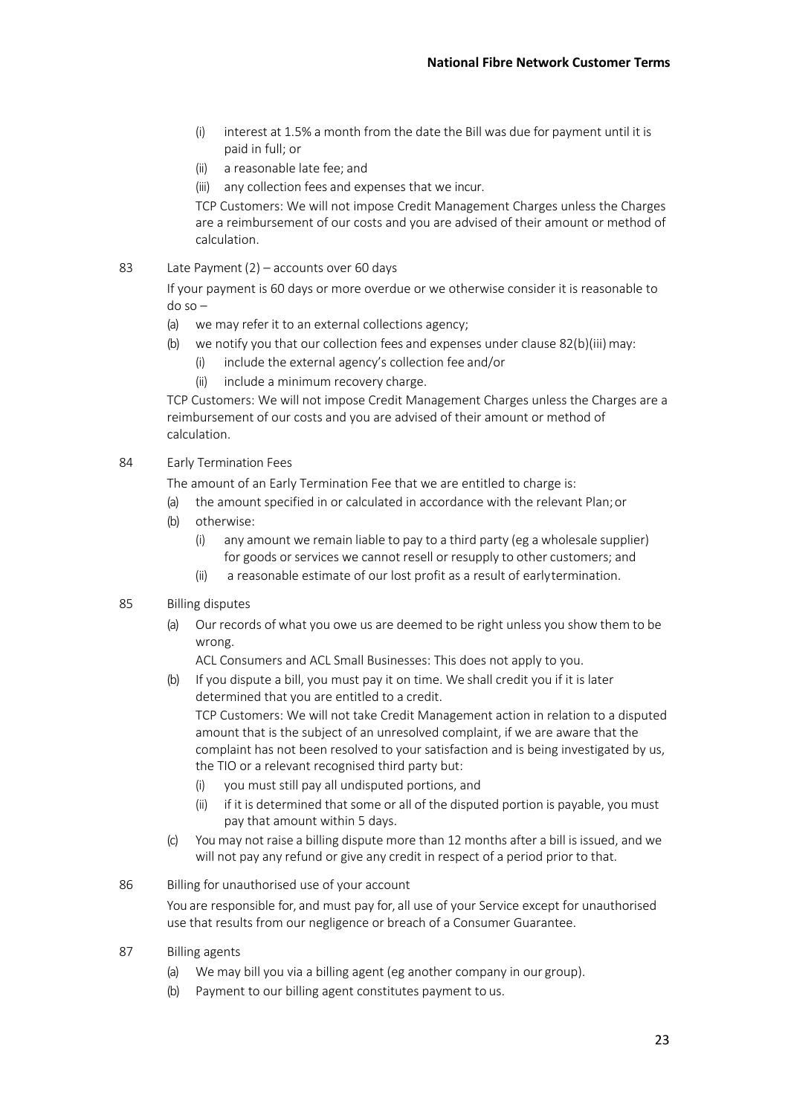- (i) interest at 1.5% a month from the date the Bill was due for payment until it is paid in full; or
- (ii) a reasonable late fee; and
- (iii) any collection fees and expenses that we incur.

TCP Customers: We will not impose Credit Management Charges unless the Charges are a reimbursement of our costs and you are advised of their amount or method of calculation.

83 Late Payment (2) – accounts over 60 days

If your payment is 60 days or more overdue or we otherwise consider it is reasonable to do so –

- (a) we may refer it to an external collections agency;
- (b) we notify you that our collection fees and expenses under clause  $82(b)(iii)$  may:
	- (i) include the external agency's collection fee and/or
	- (ii) include a minimum recovery charge.

TCP Customers: We will not impose Credit Management Charges unless the Charges are a reimbursement of our costs and you are advised of their amount or method of calculation.

84 Early Termination Fees

The amount of an Early Termination Fee that we are entitled to charge is:

- (a) the amount specified in or calculated in accordance with the relevant Plan;or
- (b) otherwise:
	- (i) any amount we remain liable to pay to a third party (eg a wholesale supplier) for goods or services we cannot resell or resupply to other customers; and
	- (ii) a reasonable estimate of our lost profit as a result of earlytermination.
- 85 Billing disputes
	- (a) Our records of what you owe us are deemed to be right unless you show them to be wrong.

ACL Consumers and ACL Small Businesses: This does not apply to you.

(b) If you dispute a bill, you must pay it on time. We shall credit you if it is later determined that you are entitled to a credit.

TCP Customers: We will not take Credit Management action in relation to a disputed amount that is the subject of an unresolved complaint, if we are aware that the complaint has not been resolved to your satisfaction and is being investigated by us, the TIO or a relevant recognised third party but:

- (i) you must still pay all undisputed portions, and
- (ii) if it is determined that some or all of the disputed portion is payable, you must pay that amount within 5 days.
- (c) You may not raise a billing dispute more than 12 months after a bill is issued, and we will not pay any refund or give any credit in respect of a period prior to that.
- 86 Billing for unauthorised use of your account

You are responsible for, and must pay for, all use of your Service except for unauthorised use that results from our negligence or breach of a Consumer Guarantee.

- 87 Billing agents
	- (a) We may bill you via a billing agent (eg another company in our group).
	- (b) Payment to our billing agent constitutes payment to us.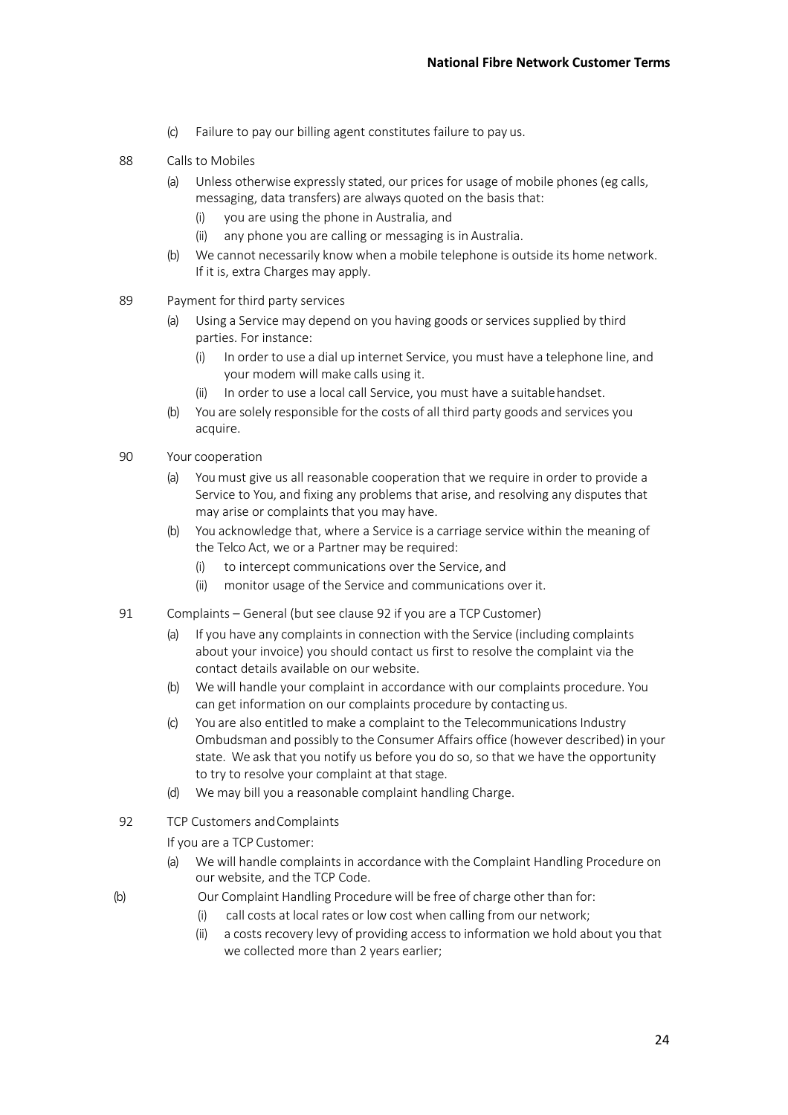- (c) Failure to pay our billing agent constitutes failure to pay us.
- 88 Calls to Mobiles
	- (a) Unless otherwise expressly stated, our prices for usage of mobile phones (eg calls, messaging, data transfers) are always quoted on the basis that:
		- (i) you are using the phone in Australia, and
		- (ii) any phone you are calling or messaging is in Australia.
	- (b) We cannot necessarily know when a mobile telephone is outside its home network. If it is, extra Charges may apply.
- 89 Payment for third party services
	- (a) Using a Service may depend on you having goods or services supplied by third parties. For instance:
		- (i) In order to use a dial up internet Service, you must have a telephone line, and your modem will make calls using it.
		- In order to use a local call Service, you must have a suitable handset.
	- (b) You are solely responsible for the costs of all third party goods and services you acquire.
- 90 Your cooperation
	- (a) You must give us all reasonable cooperation that we require in order to provide a Service to You, and fixing any problems that arise, and resolving any disputes that may arise or complaints that you may have.
	- (b) You acknowledge that, where a Service is a carriage service within the meaning of the Telco Act, we or a Partner may be required:
		- (i) to intercept communications over the Service, and
		- (ii) monitor usage of the Service and communications over it.
- 91 Complaints General (but see clause 92 if you are a TCP Customer)
	- (a) If you have any complaints in connection with the Service (including complaints about your invoice) you should contact us first to resolve the complaint via the contact details available on our website.
	- (b) We will handle your complaint in accordance with our complaints procedure. You can get information on our complaints procedure by contactingus.
	- (c) You are also entitled to make a complaint to the Telecommunications Industry Ombudsman and possibly to the Consumer Affairs office (however described) in your state. We ask that you notify us before you do so, so that we have the opportunity to try to resolve your complaint at that stage.
	- (d) We may bill you a reasonable complaint handling Charge.
- 92 TCP Customers andComplaints

If you are a TCP Customer:

- (a) We will handle complaints in accordance with the Complaint Handling Procedure on our website, and the TCP Code.
- (b) Our Complaint Handling Procedure will be free of charge other than for:
	- (i) call costs at local rates or low cost when calling from our network;
	- (ii) a costs recovery levy of providing access to information we hold about you that we collected more than 2 years earlier;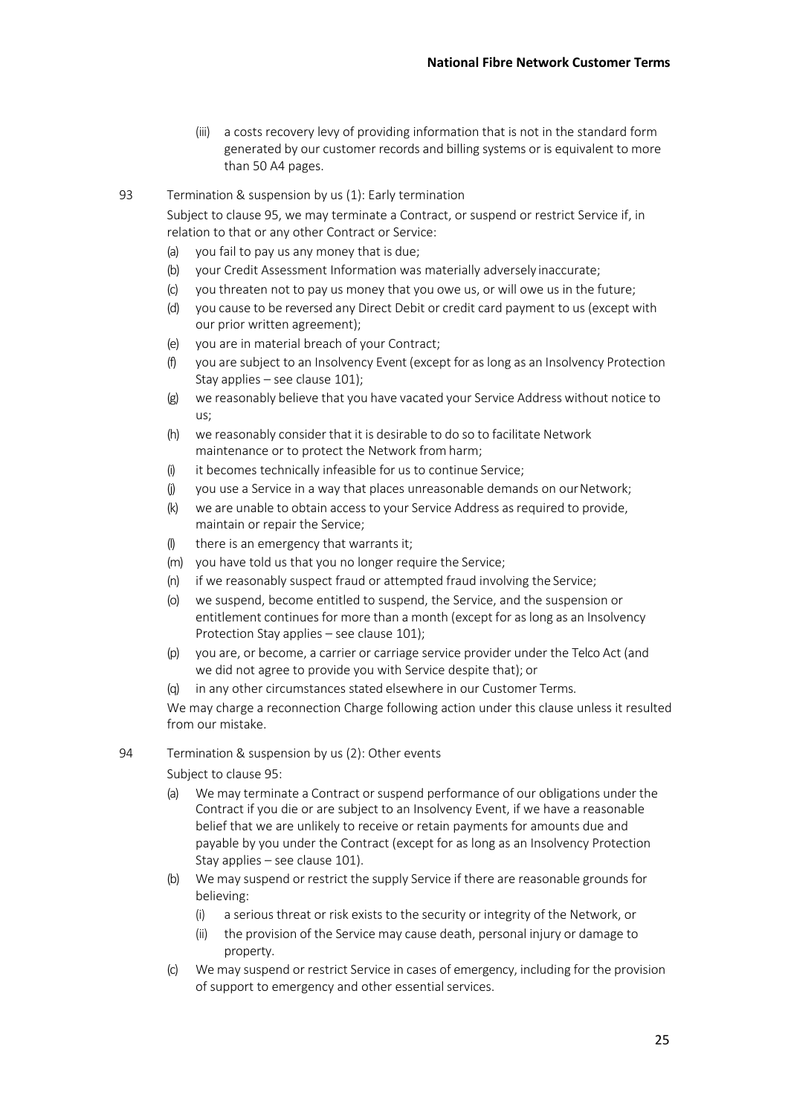- (iii) a costs recovery levy of providing information that is not in the standard form generated by our customer records and billing systems or is equivalent to more than 50 A4 pages.
- 93 Termination & suspension by us (1): Early termination

Subject to clause 95, we may terminate a Contract, or suspend or restrict Service if, in relation to that or any other Contract or Service:

- (a) you fail to pay us any money that is due;
- (b) your Credit Assessment Information was materially adversely inaccurate;
- (c) you threaten not to pay us money that you owe us, or will owe us in the future;
- (d) you cause to be reversed any Direct Debit or credit card payment to us (except with our prior written agreement);
- (e) you are in material breach of your Contract;
- (f) you are subject to an Insolvency Event (except for as long as an Insolvency Protection Stay applies – see clause 101);
- (g) we reasonably believe that you have vacated your Service Address without notice to us;
- (h) we reasonably consider that it is desirable to do so to facilitate Network maintenance or to protect the Network from harm;
- (i) it becomes technically infeasible for us to continue Service;
- (j) you use a Service in a way that places unreasonable demands on ourNetwork;
- (k) we are unable to obtain access to your Service Address as required to provide, maintain or repair the Service;
- (l) there is an emergency that warrants it;
- (m) you have told us that you no longer require the Service;
- (n) if we reasonably suspect fraud or attempted fraud involving the Service;
- (o) we suspend, become entitled to suspend, the Service, and the suspension or entitlement continues for more than a month (except for as long as an Insolvency Protection Stay applies – see clause 101);
- (p) you are, or become, a carrier or carriage service provider under the Telco Act (and we did not agree to provide you with Service despite that); or
- (q) in any other circumstances stated elsewhere in our Customer Terms.

We may charge a reconnection Charge following action under this clause unless it resulted from our mistake.

#### 94 Termination & suspension by us (2): Other events

Subject to clause 95:

- (a) We may terminate a Contract or suspend performance of our obligations under the Contract if you die or are subject to an Insolvency Event, if we have a reasonable belief that we are unlikely to receive or retain payments for amounts due and payable by you under the Contract (except for as long as an Insolvency Protection Stay applies – see clause 101).
- (b) We may suspend or restrict the supply Service if there are reasonable grounds for believing:
	- (i) a serious threat or risk exists to the security or integrity of the Network, or
	- (ii) the provision of the Service may cause death, personal injury or damage to property.
- (c) We may suspend or restrict Service in cases of emergency, including for the provision of support to emergency and other essential services.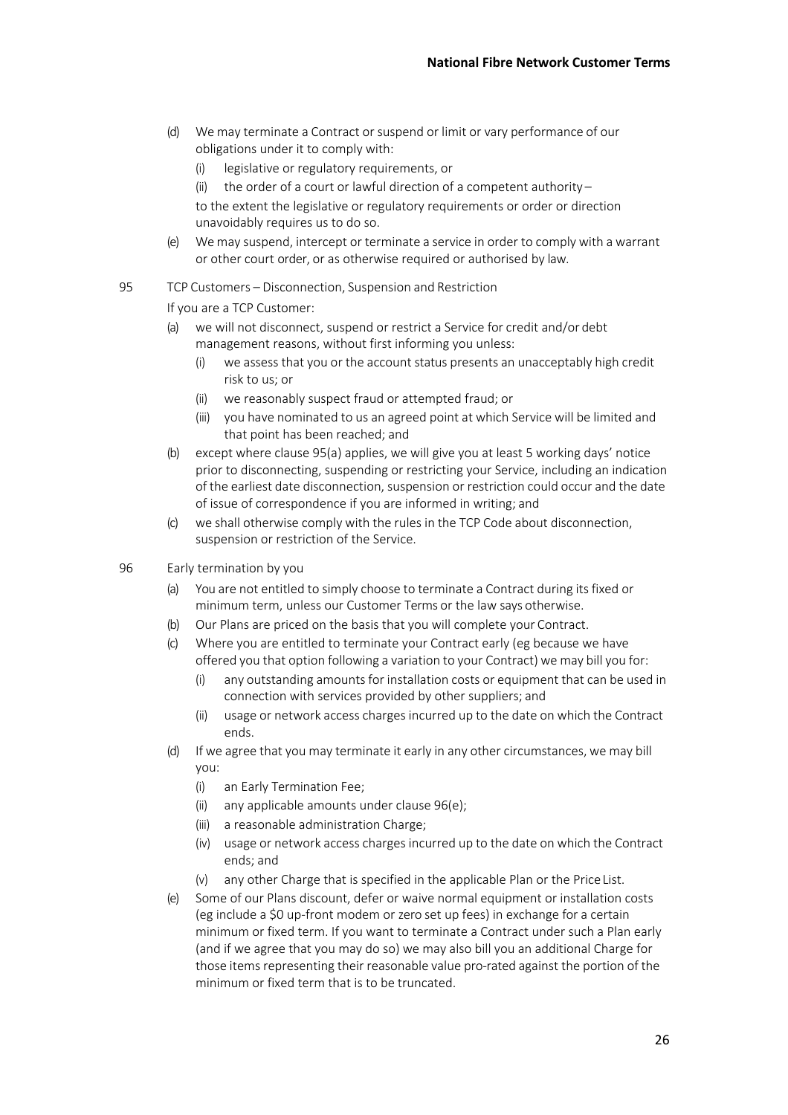- (d) We may terminate a Contract or suspend or limit or vary performance of our obligations under it to comply with:
	- (i) legislative or regulatory requirements, or
	- (ii) the order of a court or lawful direction of a competent authority –
	- to the extent the legislative or regulatory requirements or order or direction unavoidably requires us to do so.
- (e) We may suspend, intercept or terminate a service in order to comply with a warrant or other court order, or as otherwise required or authorised by law.

## 95 TCP Customers – Disconnection, Suspension and Restriction

If you are a TCP Customer:

- (a) we will not disconnect, suspend or restrict a Service for credit and/or debt management reasons, without first informing you unless:
	- (i) we assess that you or the account status presents an unacceptably high credit risk to us; or
	- (ii) we reasonably suspect fraud or attempted fraud; or
	- (iii) you have nominated to us an agreed point at which Service will be limited and that point has been reached; and
- (b) except where clause 95(a) applies, we will give you at least 5 working days' notice prior to disconnecting, suspending or restricting your Service, including an indication of the earliest date disconnection, suspension or restriction could occur and the date of issue of correspondence if you are informed in writing; and
- (c) we shall otherwise comply with the rules in the TCP Code about disconnection, suspension or restriction of the Service.
- 96 Early termination by you
	- (a) You are not entitled to simply choose to terminate a Contract during its fixed or minimum term, unless our Customer Terms or the law says otherwise.
	- (b) Our Plans are priced on the basis that you will complete your Contract.
	- (c) Where you are entitled to terminate your Contract early (eg because we have offered you that option following a variation to your Contract) we may bill you for:
		- $(i)$  any outstanding amounts for installation costs or equipment that can be used in connection with services provided by other suppliers; and
		- (ii) usage or network access charges incurred up to the date on which the Contract ends.
	- (d) If we agree that you may terminate it early in any other circumstances, we may bill you:
		- (i) an Early Termination Fee;
		- (ii) any applicable amounts under clause 96(e);
		- (iii) a reasonable administration Charge;
		- (iv) usage or network access charges incurred up to the date on which the Contract ends; and
		- (v) any other Charge that is specified in the applicable Plan or the PriceList.
	- (e) Some of our Plans discount, defer or waive normal equipment or installation costs (eg include a \$0 up-front modem or zero set up fees) in exchange for a certain minimum or fixed term. If you want to terminate a Contract under such a Plan early (and if we agree that you may do so) we may also bill you an additional Charge for those items representing their reasonable value pro-rated against the portion of the minimum or fixed term that is to be truncated.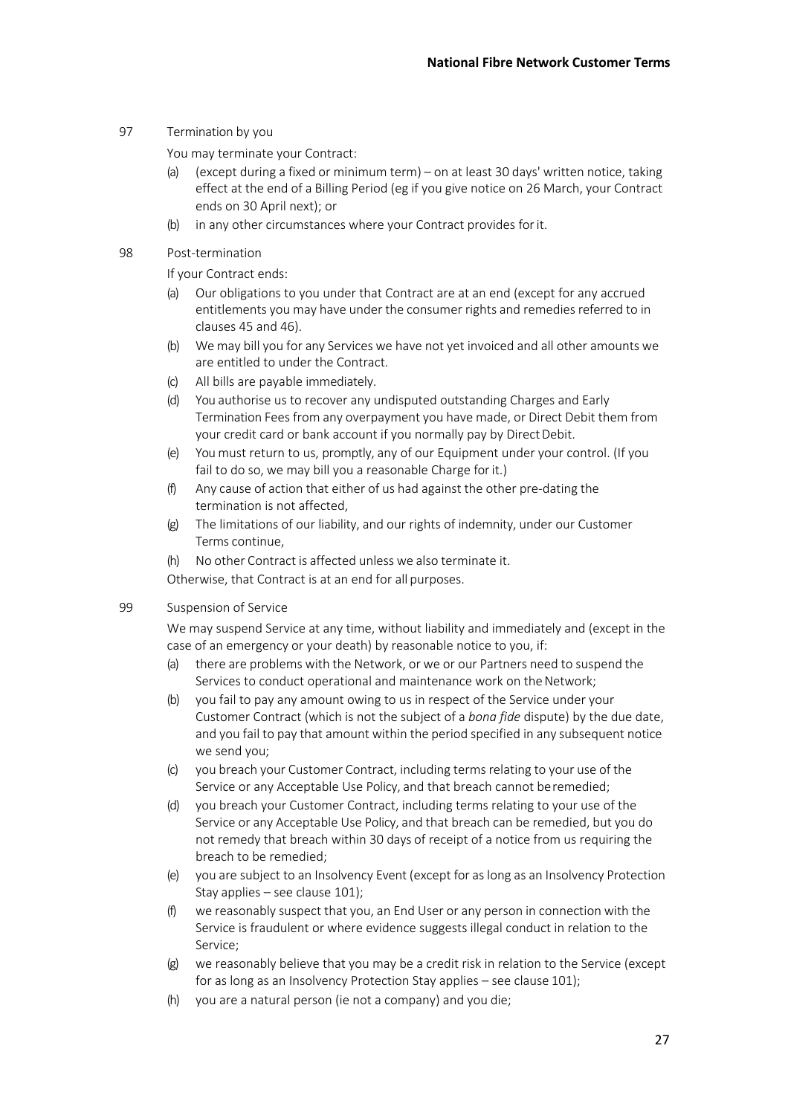97 Termination by you

You may terminate your Contract:

- (a) (except during a fixed or minimum term) on at least 30 days' written notice, taking effect at the end of a Billing Period (eg if you give notice on 26 March, your Contract ends on 30 April next); or
- (b) in any other circumstances where your Contract provides forit.
- 98 Post-termination

If your Contract ends:

- (a) Our obligations to you under that Contract are at an end (except for any accrued entitlements you may have under the consumer rights and remedies referred to in clauses 45 and 46).
- (b) We may bill you for any Services we have not yet invoiced and all other amounts we are entitled to under the Contract.
- (c) All bills are payable immediately.
- (d) You authorise us to recover any undisputed outstanding Charges and Early Termination Fees from any overpayment you have made, or Direct Debit them from your credit card or bank account if you normally pay by Direct Debit.
- (e) You must return to us, promptly, any of our Equipment under your control. (If you fail to do so, we may bill you a reasonable Charge for it.)
- (f) Any cause of action that either of us had against the other pre-dating the termination is not affected,
- (g) The limitations of our liability, and our rights of indemnity, under our Customer Terms continue,
- (h) No other Contract is affected unless we also terminate it.

Otherwise, that Contract is at an end for all purposes.

#### 99 Suspension of Service

We may suspend Service at any time, without liability and immediately and (except in the case of an emergency or your death) by reasonable notice to you, if:

- (a) there are problems with the Network, or we or our Partners need to suspend the Services to conduct operational and maintenance work on the Network:
- (b) you fail to pay any amount owing to us in respect of the Service under your Customer Contract (which is not the subject of a *bona fide* dispute) by the due date, and you fail to pay that amount within the period specified in any subsequent notice we send you;
- (c) you breach your Customer Contract, including termsrelating to your use of the Service or any Acceptable Use Policy, and that breach cannot beremedied;
- (d) you breach your Customer Contract, including terms relating to your use of the Service or any Acceptable Use Policy, and that breach can be remedied, but you do not remedy that breach within 30 days of receipt of a notice from us requiring the breach to be remedied;
- (e) you are subject to an Insolvency Event (except for as long as an Insolvency Protection Stay applies – see clause 101);
- (f) we reasonably suspect that you, an End User or any person in connection with the Service is fraudulent or where evidence suggests illegal conduct in relation to the Service;
- (g) we reasonably believe that you may be a credit risk in relation to the Service (except for as long as an Insolvency Protection Stay applies – see clause 101);
- (h) you are a natural person (ie not a company) and you die;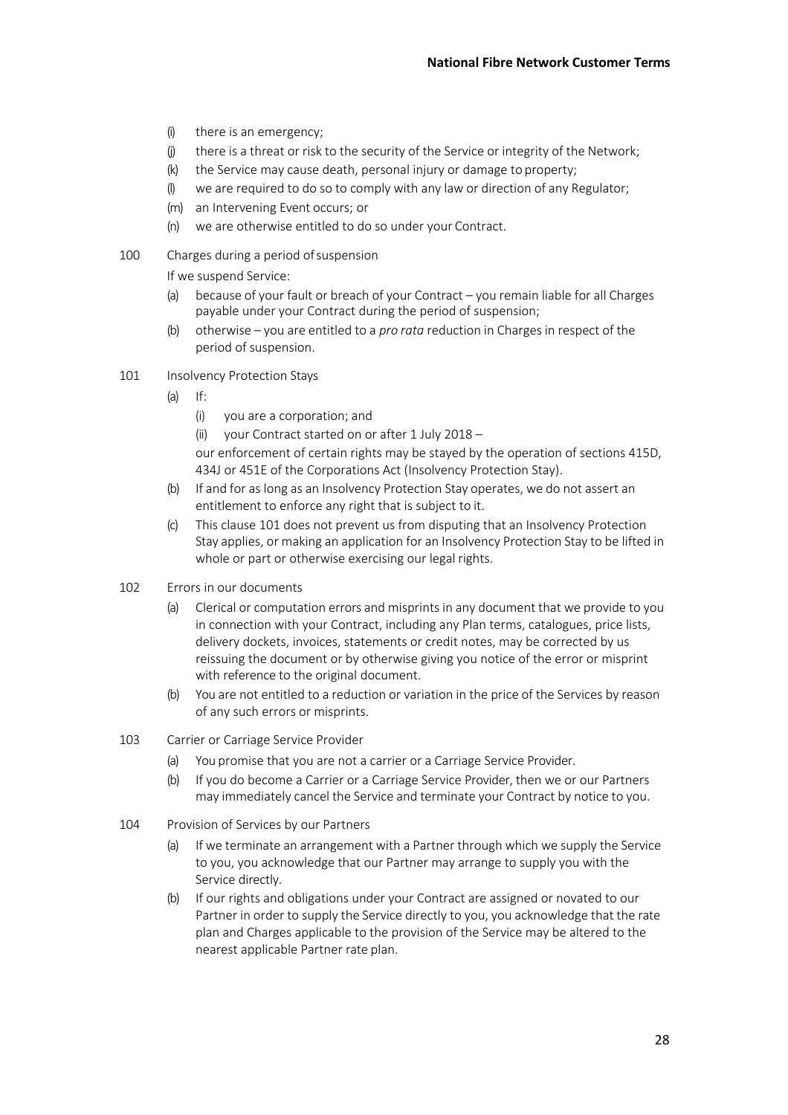- (i) there is an emergency;
- (j) there is a threat or risk to the security of the Service or integrity of the Network;
- (k) the Service may cause death, personal injury or damage to property;
- (l) we are required to do so to comply with any law or direction of any Regulator;
- (m) an Intervening Event occurs; or
- (n) we are otherwise entitled to do so under your Contract.
- 100 Charges during a period ofsuspension
	- If we suspend Service:
	- (a) because of your fault or breach of your Contract you remain liable for all Charges payable under your Contract during the period of suspension;
	- (b) otherwise you are entitled to a *pro rata* reduction in Charges in respect of the period of suspension.
- 101 Insolvency Protection Stays
	- $(a)$  If:
		- (i) you are a corporation; and
		- (ii) your Contract started on or after 1 July 2018 –

our enforcement of certain rights may be stayed by the operation of sections 415D, 434J or 451E of the Corporations Act (Insolvency Protection Stay).

- (b) If and for as long as an Insolvency Protection Stay operates, we do not assert an entitlement to enforce any right that is subject to it.
- (c) This clause 101 does not prevent us from disputing that an Insolvency Protection Stay applies, or making an application for an Insolvency Protection Stay to be lifted in whole or part or otherwise exercising our legal rights.
- 102 Errors in our documents
	- (a) Clerical or computation errors and misprints in any document that we provide to you in connection with your Contract, including any Plan terms, catalogues, price lists, delivery dockets, invoices, statements or credit notes, may be corrected by us reissuing the document or by otherwise giving you notice of the error or misprint with reference to the original document.
	- (b) You are not entitled to a reduction or variation in the price of the Services by reason of any such errors or misprints.
- 103 Carrier or Carriage Service Provider
	- (a) You promise that you are not a carrier or a Carriage Service Provider.
	- (b) If you do become a Carrier or a Carriage Service Provider, then we or our Partners may immediately cancel the Service and terminate your Contract by notice to you.
- 104 Provision of Services by our Partners
	- (a) If we terminate an arrangement with a Partner through which we supply the Service to you, you acknowledge that our Partner may arrange to supply you with the Service directly.
	- (b) If our rights and obligations under your Contract are assigned or novated to our Partner in order to supply the Service directly to you, you acknowledge that the rate plan and Charges applicable to the provision of the Service may be altered to the nearest applicable Partner rate plan.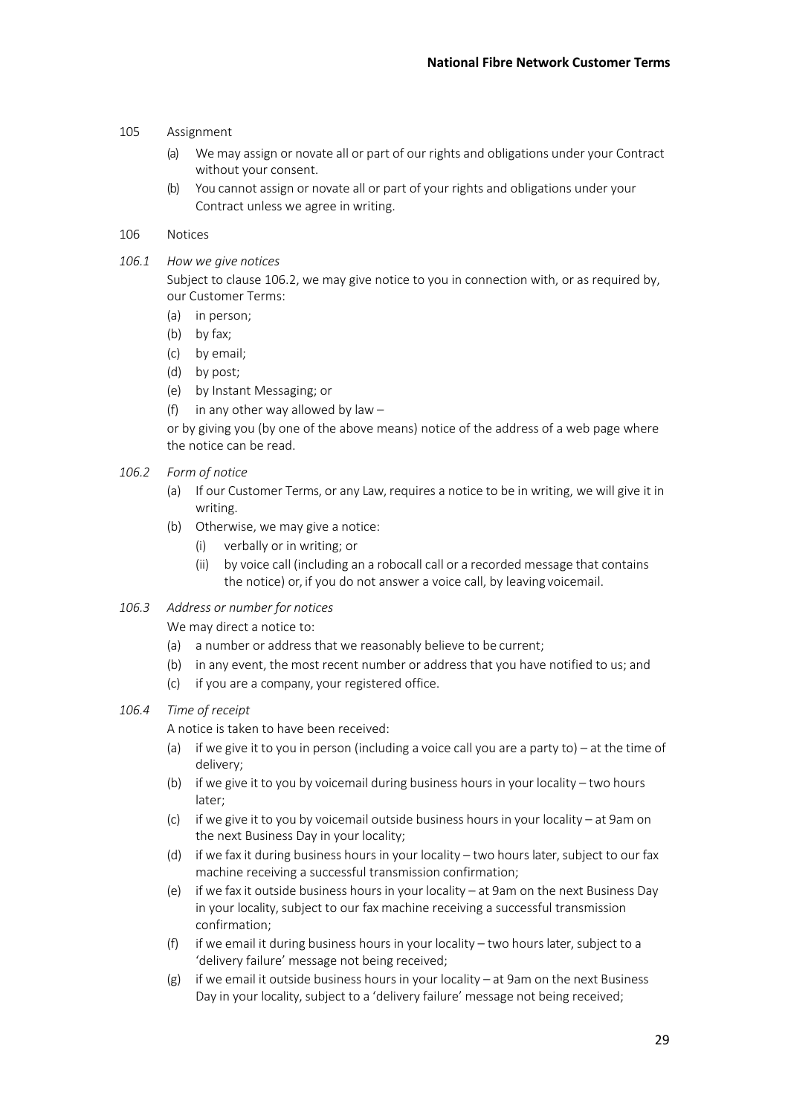- 105 Assignment
	- (a) We may assign or novate all or part of our rights and obligations under your Contract without your consent.
	- (b) You cannot assign or novate all or part of your rights and obligations under your Contract unless we agree in writing.

#### 106 Notices

*106.1 How we give notices*

Subject to clause 106.2, we may give notice to you in connection with, or as required by, our Customer Terms:

- (a) in person;
- (b) by fax;
- (c) by email;
- (d) by post;
- (e) by Instant Messaging; or
- (f) in any other way allowed by law  $-$

or by giving you (by one of the above means) notice of the address of a web page where the notice can be read.

- *106.2 Form of notice*
	- (a) If our Customer Terms, or any Law, requires a notice to be in writing, we will give it in writing.
	- (b) Otherwise, we may give a notice:
		- (i) verbally or in writing; or
		- (ii) by voice call (including an a robocall call or a recorded message that contains the notice) or, if you do not answer a voice call, by leaving voicemail.

#### *106.3 Address or number for notices*

We may direct a notice to:

- (a) a number or address that we reasonably believe to be current;
- (b) in any event, the most recent number or address that you have notified to us; and
- (c) if you are a company, your registered office.

#### *106.4 Time of receipt*

A notice is taken to have been received:

- (a) if we give it to you in person (including a voice call you are a party to) at the time of delivery;
- (b) if we give it to you by voicemail during business hours in your locality two hours later;
- (c) if we give it to you by voicemail outside business hours in your locality at 9am on the next Business Day in your locality;
- (d) if we fax it during business hours in your locality two hours later, subject to our fax machine receiving a successful transmission confirmation;
- (e) if we fax it outside business hours in your locality at 9am on the next Business Day in your locality, subject to our fax machine receiving a successful transmission confirmation;
- (f) if we email it during business hours in your locality two hours later, subject to a 'delivery failure' message not being received;
- $(g)$  if we email it outside business hours in your locality at 9am on the next Business Day in your locality, subject to a 'delivery failure' message not being received;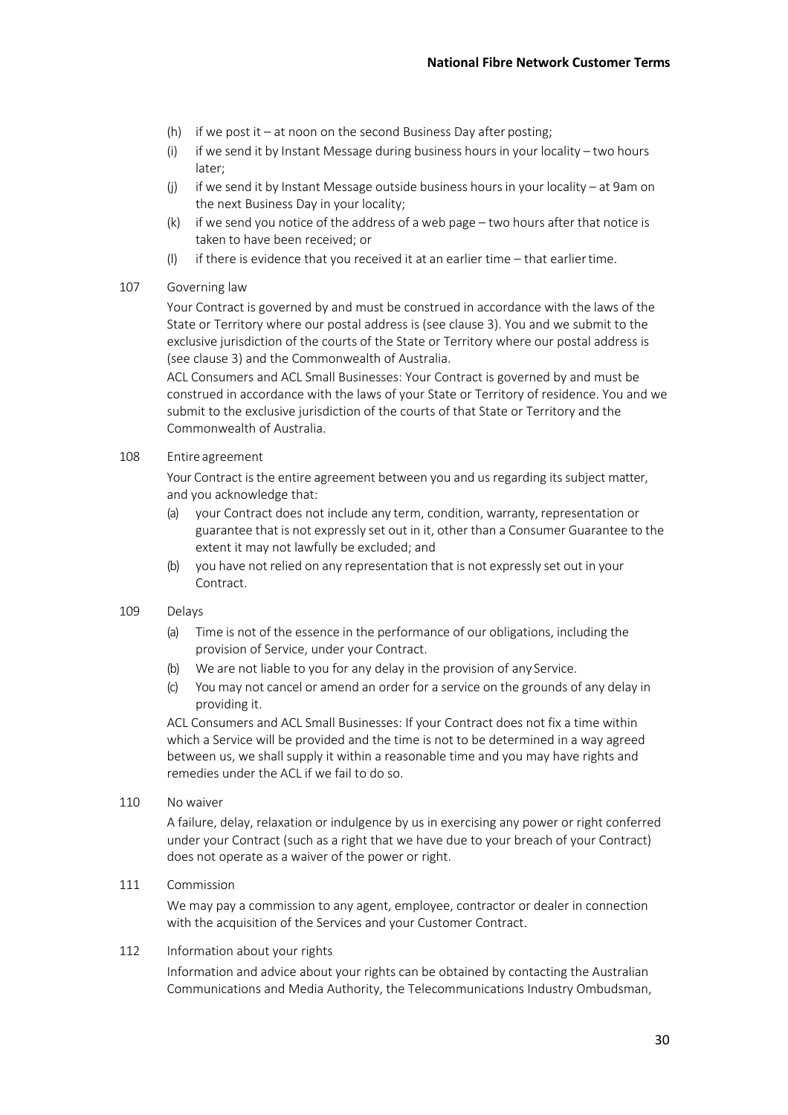- (h) if we post it at noon on the second Business Day after posting;
- (i) if we send it by Instant Message during business hours in your locality two hours later;
- (j) if we send it by Instant Message outside business hours in your locality at 9am on the next Business Day in your locality;
- (k) if we send you notice of the address of a web page two hours after that notice is taken to have been received; or
- (l) if there is evidence that you received it at an earlier time that earliertime.

#### 107 Governing law

Your Contract is governed by and must be construed in accordance with the laws of the State or Territory where our postal address is (see clause 3). You and we submit to the exclusive jurisdiction of the courts of the State or Territory where our postal address is (see clause 3) and the Commonwealth of Australia.

ACL Consumers and ACL Small Businesses: Your Contract is governed by and must be construed in accordance with the laws of your State or Territory of residence. You and we submit to the exclusive jurisdiction of the courts of that State or Territory and the Commonwealth of Australia.

#### 108 Entireagreement

Your Contract is the entire agreement between you and us regarding its subject matter, and you acknowledge that:

- (a) your Contract does not include any term, condition, warranty, representation or guarantee that is not expressly set out in it, other than a Consumer Guarantee to the extent it may not lawfully be excluded; and
- (b) you have not relied on any representation that is not expressly set out in your Contract.

## 109 Delays

- (a) Time is not of the essence in the performance of our obligations, including the provision of Service, under your Contract.
- (b) We are not liable to you for any delay in the provision of any Service.
- (c) You may not cancel or amend an order for a service on the grounds of any delay in providing it.

ACL Consumers and ACL Small Businesses: If your Contract does not fix a time within which a Service will be provided and the time is not to be determined in a way agreed between us, we shall supply it within a reasonable time and you may have rights and remedies under the ACL if we fail to do so.

110 No waiver

A failure, delay, relaxation or indulgence by us in exercising any power or right conferred under your Contract (such as a right that we have due to your breach of your Contract) does not operate as a waiver of the power or right.

## 111 Commission

We may pay a commission to any agent, employee, contractor or dealer in connection with the acquisition of the Services and your Customer Contract.

#### 112 Information about your rights

Information and advice about your rights can be obtained by contacting the Australian Communications and Media Authority, the Telecommunications Industry Ombudsman,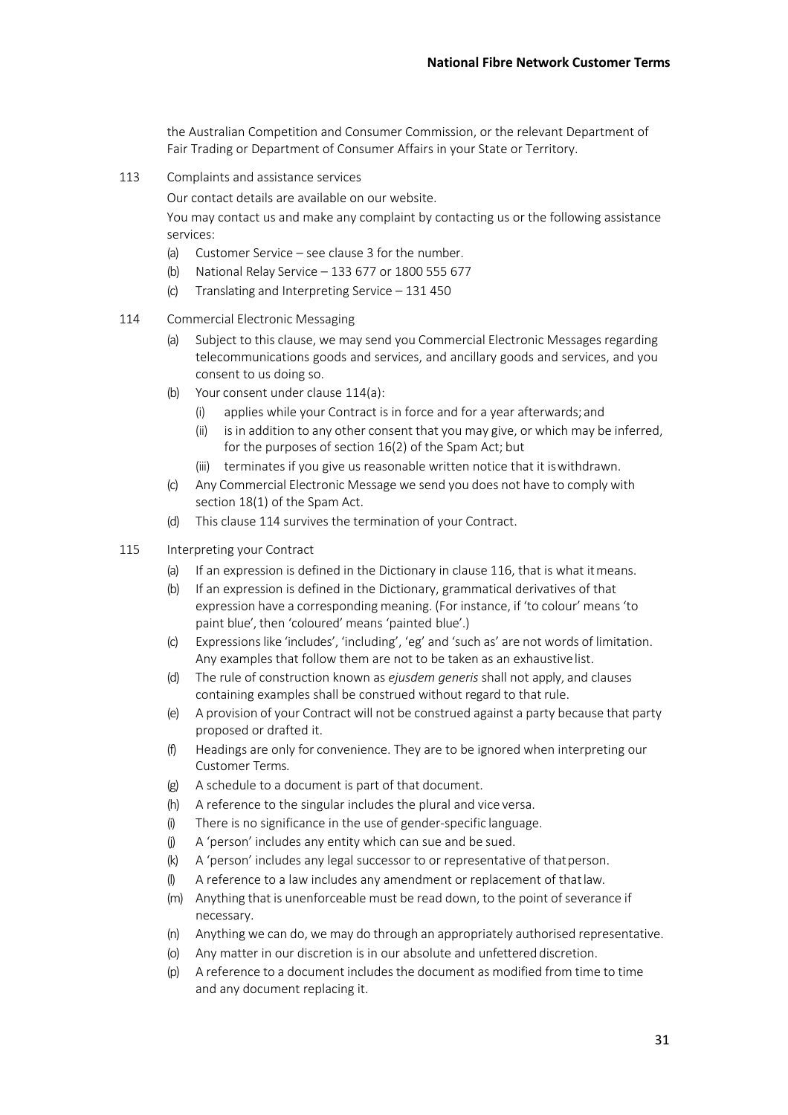the Australian Competition and Consumer Commission, or the relevant Department of Fair Trading or Department of Consumer Affairs in your State or Territory.

113 Complaints and assistance services

Our contact details are available on our website.

You may contact us and make any complaint by contacting us or the following assistance services:

- (a) Customer Service see clause 3 for the number.
- (b) National Relay Service 133 677 or 1800 555 677
- (c) Translating and Interpreting Service 131 450
- 114 Commercial Electronic Messaging
	- (a) Subject to this clause, we may send you Commercial Electronic Messages regarding telecommunications goods and services, and ancillary goods and services, and you consent to us doing so.
	- (b) Your consent under clause 114(a):
		- (i) applies while your Contract is in force and for a year afterwards;and
		- (ii) is in addition to any other consent that you may give, or which may be inferred, for the purposes of section 16(2) of the Spam Act; but
		- (iii) terminates if you give us reasonable written notice that it iswithdrawn.
	- (c) Any Commercial Electronic Message we send you does not have to comply with section 18(1) of the Spam Act.
	- (d) This clause 114 survives the termination of your Contract.
- 115 Interpreting your Contract
	- (a) If an expression is defined in the Dictionary in clause 116, that is what itmeans.
	- (b) If an expression is defined in the Dictionary, grammatical derivatives of that expression have a corresponding meaning. (For instance, if 'to colour' means'to paint blue', then 'coloured' means 'painted blue'.)
	- (c) Expressionslike 'includes', 'including', 'eg' and 'such as' are not words of limitation. Any examples that follow them are not to be taken as an exhaustivelist.
	- (d) The rule of construction known as *ejusdem generis* shall not apply, and clauses containing examples shall be construed without regard to that rule.
	- (e) A provision of your Contract will not be construed against a party because that party proposed or drafted it.
	- (f) Headings are only for convenience. They are to be ignored when interpreting our Customer Terms.
	- (g) A schedule to a document is part of that document.
	- (h) A reference to the singular includes the plural and vice versa.
	- (i) There is no significance in the use of gender-specific language.
	- (j) A 'person' includes any entity which can sue and be sued.
	- (k) A 'person' includes any legal successor to or representative of thatperson.
	- (l) A reference to a law includes any amendment or replacement of thatlaw.
	- (m) Anything that is unenforceable must be read down, to the point of severance if necessary.
	- (n) Anything we can do, we may do through an appropriately authorised representative.
	- (o) Any matter in our discretion is in our absolute and unfettered discretion.
	- (p) A reference to a document includes the document as modified from time to time and any document replacing it.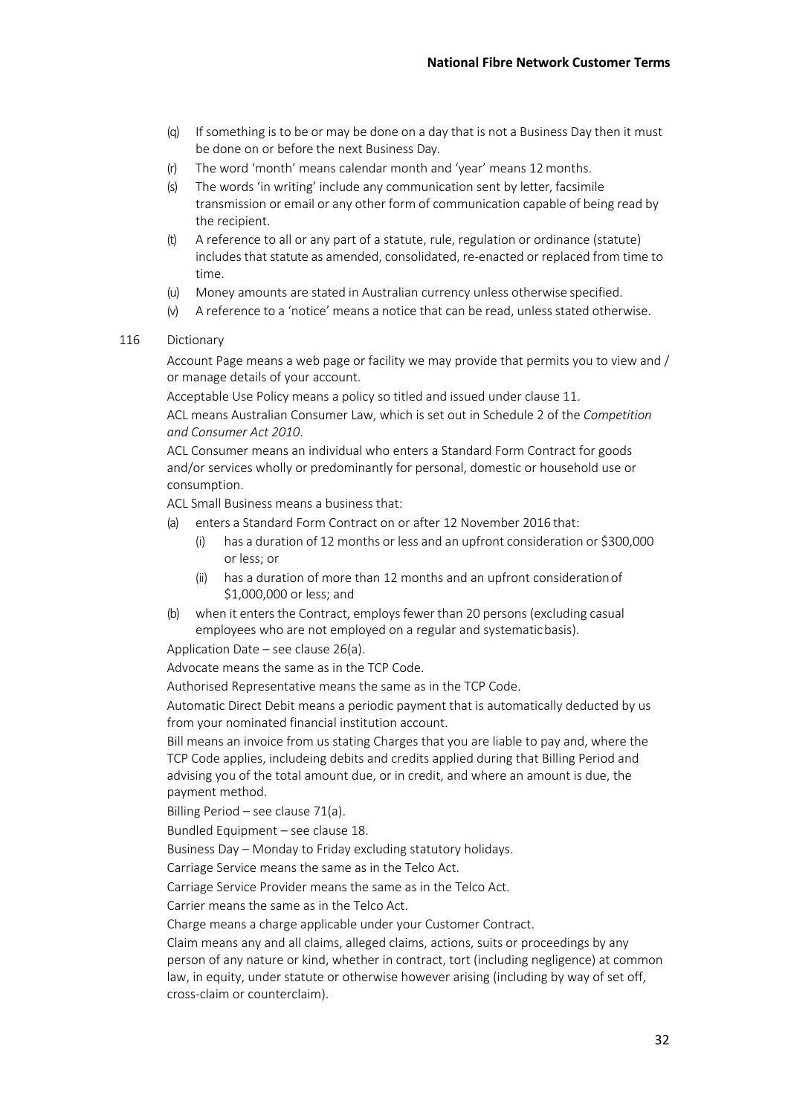- (q) If something is to be or may be done on a day that is not a Business Day then it must be done on or before the next Business Day.
- (r) The word 'month' means calendar month and 'year' means 12 months.
- (s) The words 'in writing' include any communication sent by letter, facsimile transmission or email or any other form of communication capable of being read by the recipient.
- (t) A reference to all or any part of a statute, rule, regulation or ordinance (statute) includes that statute as amended, consolidated, re-enacted or replaced from time to time.
- (u) Money amounts are stated in Australian currency unless otherwise specified.
- (v) A reference to a 'notice' means a notice that can be read, unless stated otherwise.

#### 116 Dictionary

Account Page means a web page or facility we may provide that permits you to view and / or manage details of your account.

Acceptable Use Policy means a policy so titled and issued under clause 11.

ACL means Australian Consumer Law, which is set out in Schedule 2 of the *Competition and Consumer Act 2010*.

ACL Consumer means an individual who enters a Standard Form Contract for goods and/or services wholly or predominantly for personal, domestic or household use or consumption.

ACL Small Business means a business that:

- (a) enters a Standard Form Contract on or after 12 November 2016 that:
	- (i) has a duration of 12 months or less and an upfront consideration or \$300,000 or less; or
	- (ii) has a duration of more than 12 months and an upfront considerationof \$1,000,000 or less; and
- (b) when it entersthe Contract, employs fewer than 20 persons (excluding casual employees who are not employed on a regular and systematicbasis).

Application Date – see clause 26(a).

Advocate means the same as in the TCP Code.

Authorised Representative means the same as in the TCP Code.

Automatic Direct Debit means a periodic payment that is automatically deducted by us from your nominated financial institution account.

Bill means an invoice from us stating Charges that you are liable to pay and, where the TCP Code applies, includeing debits and credits applied during that Billing Period and advising you of the total amount due, or in credit, and where an amount is due, the payment method.

Billing Period – see clause 71(a).

Bundled Equipment – see clause 18.

Business Day – Monday to Friday excluding statutory holidays.

Carriage Service means the same as in the Telco Act.

Carriage Service Provider means the same as in the Telco Act.

Carrier means the same as in the Telco Act.

Charge means a charge applicable under your Customer Contract.

Claim means any and all claims, alleged claims, actions, suits or proceedings by any person of any nature or kind, whether in contract, tort (including negligence) at common law, in equity, under statute or otherwise however arising (including by way of set off, cross-claim or counterclaim).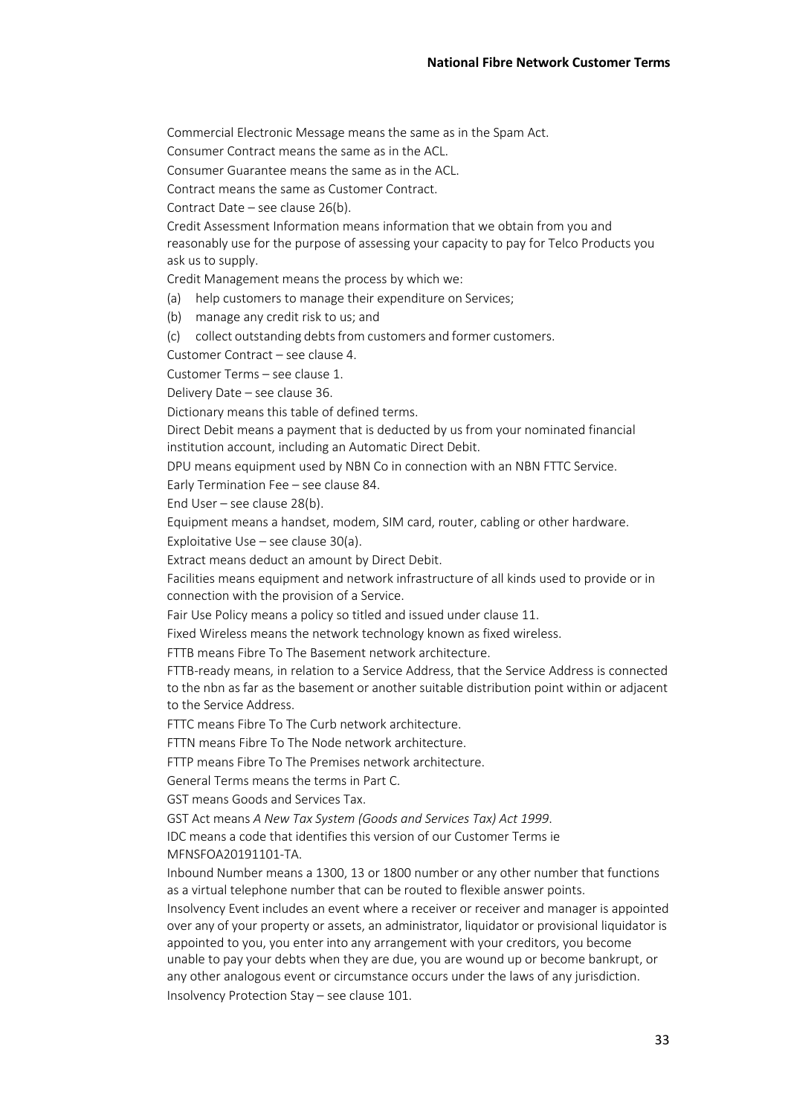Commercial Electronic Message means the same as in the Spam Act.

Consumer Contract means the same as in the ACL.

Consumer Guarantee means the same as in the ACL.

Contract means the same as Customer Contract.

Contract Date – see clause 26(b).

Credit Assessment Information means information that we obtain from you and reasonably use for the purpose of assessing your capacity to pay for Telco Products you ask us to supply.

Credit Management means the process by which we:

- (a) help customers to manage their expenditure on Services;
- (b) manage any credit risk to us; and
- (c) collect outstanding debts from customers and former customers.

Customer Contract – see clause 4.

Customer Terms – see clause 1.

Delivery Date – see clause 36.

Dictionary means this table of defined terms.

Direct Debit means a payment that is deducted by us from your nominated financial institution account, including an Automatic Direct Debit.

DPU means equipment used by NBN Co in connection with an NBN FTTC Service.

Early Termination Fee – see clause 84.

End User – see clause 28(b).

Equipment means a handset, modem, SIM card, router, cabling or other hardware.

Exploitative Use – see clause 30(a).

Extract means deduct an amount by Direct Debit.

Facilities means equipment and network infrastructure of all kinds used to provide or in connection with the provision of a Service.

Fair Use Policy means a policy so titled and issued under clause 11.

Fixed Wireless means the network technology known as fixed wireless.

FTTB means Fibre To The Basement network architecture.

FTTB-ready means, in relation to a Service Address, that the Service Address is connected to the nbn as far as the basement or another suitable distribution point within or adjacent to the Service Address.

FTTC means Fibre To The Curb network architecture.

FTTN means Fibre To The Node network architecture.

FTTP means Fibre To The Premises network architecture.

General Terms means the terms in Part C.

GST means Goods and Services Tax.

GST Act means *A New Tax System (Goods and Services Tax) Act 1999*.

IDC means a code that identifies this version of our Customer Terms ie MFNSFOA20191101-TA.

Inbound Number means a 1300, 13 or 1800 number or any other number that functions as a virtual telephone number that can be routed to flexible answer points.

Insolvency Event includes an event where a receiver or receiver and manager is appointed over any of your property or assets, an administrator, liquidator or provisional liquidator is appointed to you, you enter into any arrangement with your creditors, you become unable to pay your debts when they are due, you are wound up or become bankrupt, or any other analogous event or circumstance occurs under the laws of any jurisdiction. Insolvency Protection Stay – see clause 101.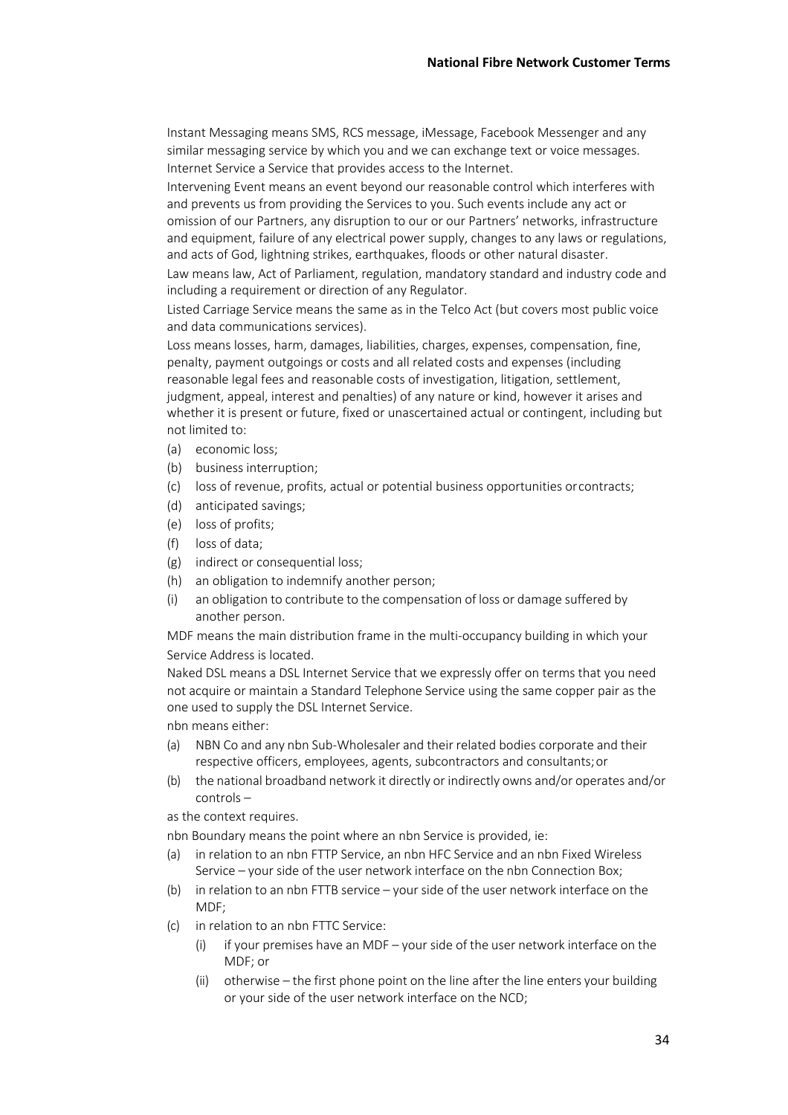Instant Messaging means SMS, RCS message, iMessage, Facebook Messenger and any similar messaging service by which you and we can exchange text or voice messages. Internet Service a Service that provides access to the Internet.

Intervening Event means an event beyond our reasonable control which interferes with and prevents us from providing the Services to you. Such events include any act or omission of our Partners, any disruption to our or our Partners' networks, infrastructure and equipment, failure of any electrical power supply, changes to any laws or regulations, and acts of God, lightning strikes, earthquakes, floods or other natural disaster.

Law means law, Act of Parliament, regulation, mandatory standard and industry code and including a requirement or direction of any Regulator.

Listed Carriage Service means the same as in the Telco Act (but covers most public voice and data communications services).

Loss means losses, harm, damages, liabilities, charges, expenses, compensation, fine, penalty, payment outgoings or costs and all related costs and expenses (including reasonable legal fees and reasonable costs of investigation, litigation, settlement, judgment, appeal, interest and penalties) of any nature or kind, however it arises and whether it is present or future, fixed or unascertained actual or contingent, including but not limited to:

- (a) economic loss;
- (b) business interruption;
- (c) loss of revenue, profits, actual or potential business opportunities orcontracts;
- (d) anticipated savings;
- (e) loss of profits;
- (f) loss of data;
- (g) indirect or consequential loss;
- (h) an obligation to indemnify another person;
- (i) an obligation to contribute to the compensation of loss or damage suffered by another person.

MDF means the main distribution frame in the multi-occupancy building in which your Service Address is located.

Naked DSL means a DSL Internet Service that we expressly offer on terms that you need not acquire or maintain a Standard Telephone Service using the same copper pair as the one used to supply the DSL Internet Service.

- nbn means either:
- (a) NBN Co and any nbn Sub-Wholesaler and their related bodies corporate and their respective officers, employees, agents, subcontractors and consultants;or
- (b) the national broadband network it directly or indirectly owns and/or operates and/or controls –

as the context requires.

nbn Boundary means the point where an nbn Service is provided, ie:

- (a) in relation to an nbn FTTP Service, an nbn HFC Service and an nbn Fixed Wireless Service – your side of the user network interface on the nbn Connection Box;
- (b) in relation to an nbn FTTB service your side of the user network interface on the MDF;
- (c) in relation to an nbn FTTC Service:
	- (i) if your premises have an MDF your side of the user network interface on the MDF; or
	- (ii) otherwise the first phone point on the line after the line enters your building or your side of the user network interface on the NCD;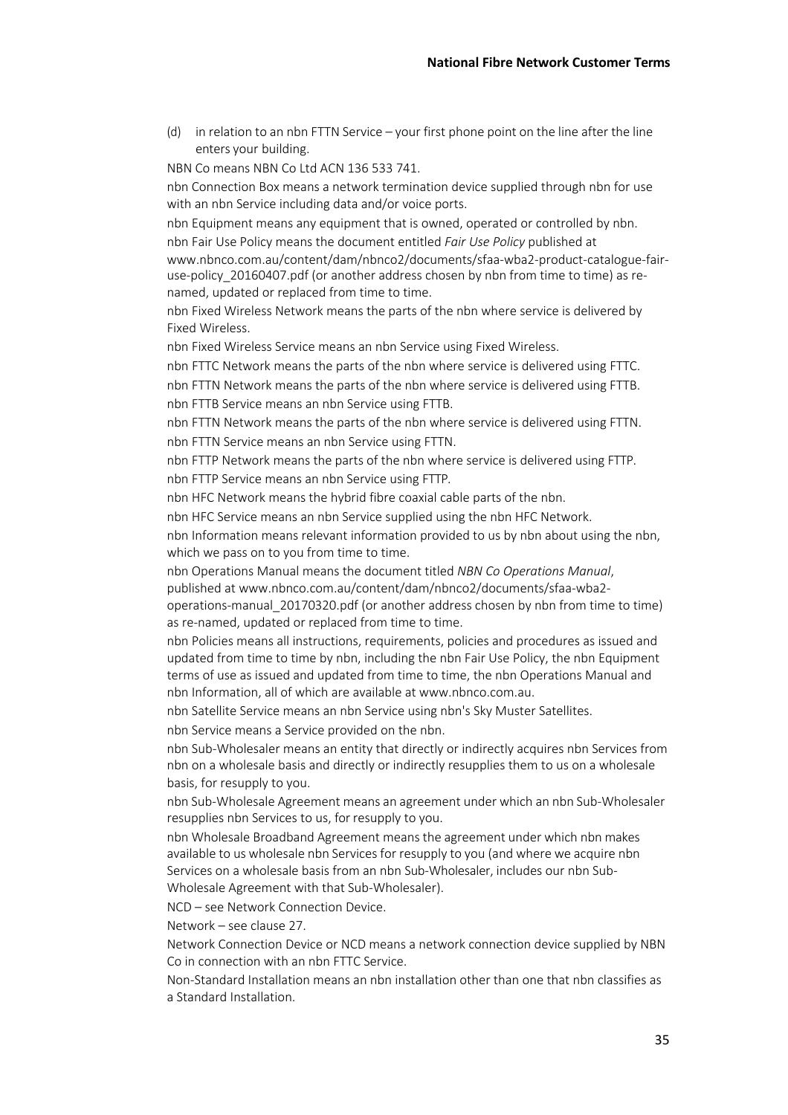(d) in relation to an nbn FTTN Service – your first phone point on the line after the line enters your building.

NBN Co means NBN Co Ltd ACN 136 533 741.

nbn Connection Box means a network termination device supplied through nbn for use with an nbn Service including data and/or voice ports.

nbn Equipment means any equipment that is owned, operated or controlled by nbn. nbn Fair Use Policy means the document entitled *Fair Use Policy* published at www.nbnco.com.au/content/dam/nbnco2/documents/sfaa-wba2-product-catalogue-fair-

use-policy\_20160407.pdf (or another address chosen by nbn from time to time) as renamed, updated or replaced from time to time.

nbn Fixed Wireless Network means the parts of the nbn where service is delivered by Fixed Wireless.

nbn Fixed Wireless Service means an nbn Service using Fixed Wireless.

nbn FTTC Network means the parts of the nbn where service is delivered using FTTC. nbn FTTN Network means the parts of the nbn where service is delivered using FTTB. nbn FTTB Service means an nbn Service using FTTB.

nbn FTTN Network means the parts of the nbn where service is delivered using FTTN. nbn FTTN Service means an nbn Service using FTTN.

nbn FTTP Network means the parts of the nbn where service is delivered using FTTP. nbn FTTP Service means an nbn Service using FTTP.

nbn HFC Network means the hybrid fibre coaxial cable parts of the nbn.

nbn HFC Service means an nbn Service supplied using the nbn HFC Network.

nbn Information means relevant information provided to us by nbn about using the nbn, which we pass on to you from time to time.

nbn Operations Manual means the document titled *NBN Co Operations Manual*, published at www.nbnco.com.au/content/dam/nbnco2/documents/sfaa-wba2-

operations-manual\_20170320.pdf (or another address chosen by nbn from time to time) as re-named, updated or replaced from time to time.

nbn Policies means all instructions, requirements, policies and procedures as issued and updated from time to time by nbn, including the nbn Fair Use Policy, the nbn Equipment terms of use as issued and updated from time to time, the nbn Operations Manual and nbn Information, all of which are available at www.nbnco.com.au.

nbn Satellite Service means an nbn Service using nbn's Sky Muster Satellites.

nbn Service means a Service provided on the nbn.

nbn Sub-Wholesaler means an entity that directly or indirectly acquires nbn Services from nbn on a wholesale basis and directly or indirectly resupplies them to us on a wholesale basis, for resupply to you.

nbn Sub-Wholesale Agreement means an agreement under which an nbn Sub-Wholesaler resupplies nbn Services to us, for resupply to you.

nbn Wholesale Broadband Agreement means the agreement under which nbn makes available to us wholesale nbn Services for resupply to you (and where we acquire nbn Services on a wholesale basis from an nbn Sub-Wholesaler, includes our nbn Sub-Wholesale Agreement with that Sub-Wholesaler).

NCD – see Network Connection Device.

Network – see clause 27.

Network Connection Device or NCD means a network connection device supplied by NBN Co in connection with an nbn FTTC Service.

Non-Standard Installation means an nbn installation other than one that nbn classifies as a Standard Installation.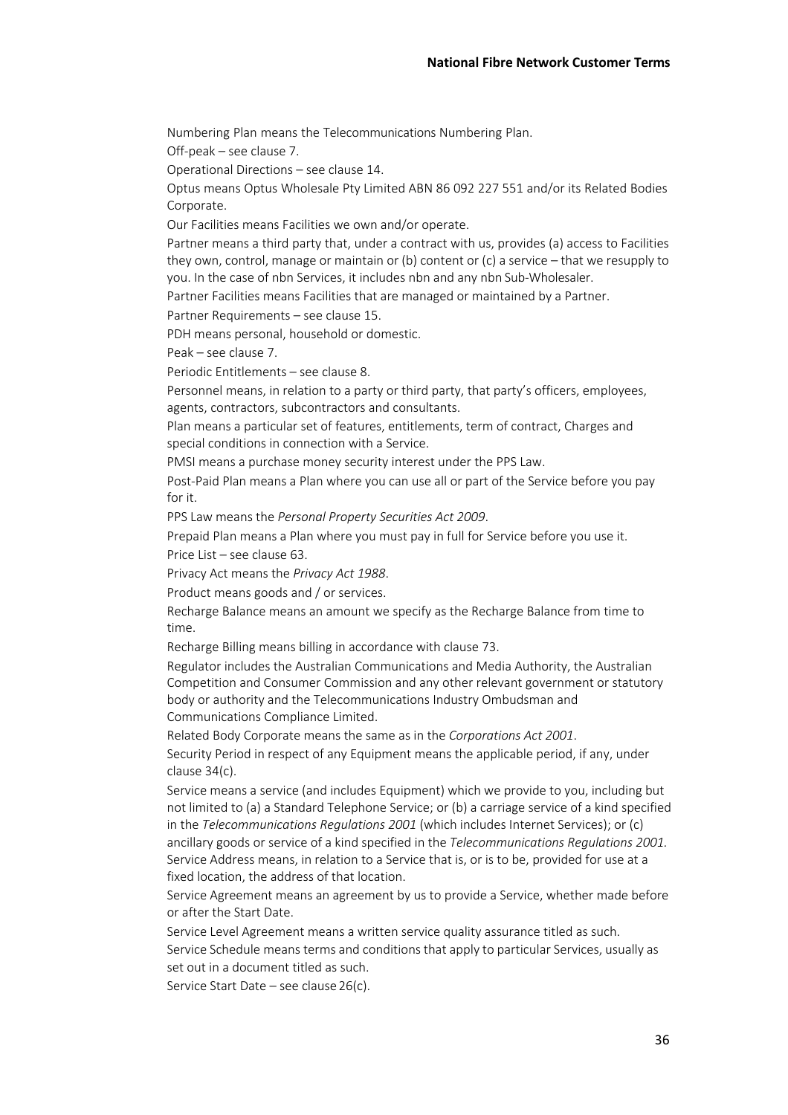Numbering Plan means the Telecommunications Numbering Plan.

Off-peak – see clause 7.

Operational Directions – see clause 14.

Optus means Optus Wholesale Pty Limited ABN 86 092 227 551 and/or its Related Bodies Corporate.

Our Facilities means Facilities we own and/or operate.

Partner means a third party that, under a contract with us, provides (a) access to Facilities they own, control, manage or maintain or (b) content or (c) a service – that we resupply to you. In the case of nbn Services, it includes nbn and any nbn Sub-Wholesaler.

Partner Facilities means Facilities that are managed or maintained by a Partner.

Partner Requirements – see clause 15.

PDH means personal, household or domestic.

Peak – see clause 7.

Periodic Entitlements – see clause 8.

Personnel means, in relation to a party or third party, that party's officers, employees, agents, contractors, subcontractors and consultants.

Plan means a particular set of features, entitlements, term of contract, Charges and special conditions in connection with a Service.

PMSI means a purchase money security interest under the PPS Law.

Post-Paid Plan means a Plan where you can use all or part of the Service before you pay for it.

PPS Law means the *Personal Property Securities Act 2009*.

Prepaid Plan means a Plan where you must pay in full for Service before you use it.

Price List – see clause 63.

Privacy Act means the *Privacy Act 1988*.

Product means goods and / or services.

Recharge Balance means an amount we specify as the Recharge Balance from time to time.

Recharge Billing means billing in accordance with clause 73.

Regulator includes the Australian Communications and Media Authority, the Australian Competition and Consumer Commission and any other relevant government or statutory body or authority and the Telecommunications Industry Ombudsman and Communications Compliance Limited.

Related Body Corporate means the same as in the *Corporations Act 2001*. Security Period in respect of any Equipment means the applicable period, if any, under clause 34(c).

Service means a service (and includes Equipment) which we provide to you, including but not limited to (a) a Standard Telephone Service; or (b) a carriage service of a kind specified in the *Telecommunications Regulations 2001* (which includes Internet Services); or (c) ancillary goods or service of a kind specified in the *Telecommunications Regulations 2001.*  Service Address means, in relation to a Service that is, or is to be, provided for use at a fixed location, the address of that location.

Service Agreement means an agreement by us to provide a Service, whether made before or after the Start Date.

Service Level Agreement means a written service quality assurance titled as such. Service Schedule means terms and conditions that apply to particular Services, usually as set out in a document titled as such.

Service Start Date – see clause 26(c).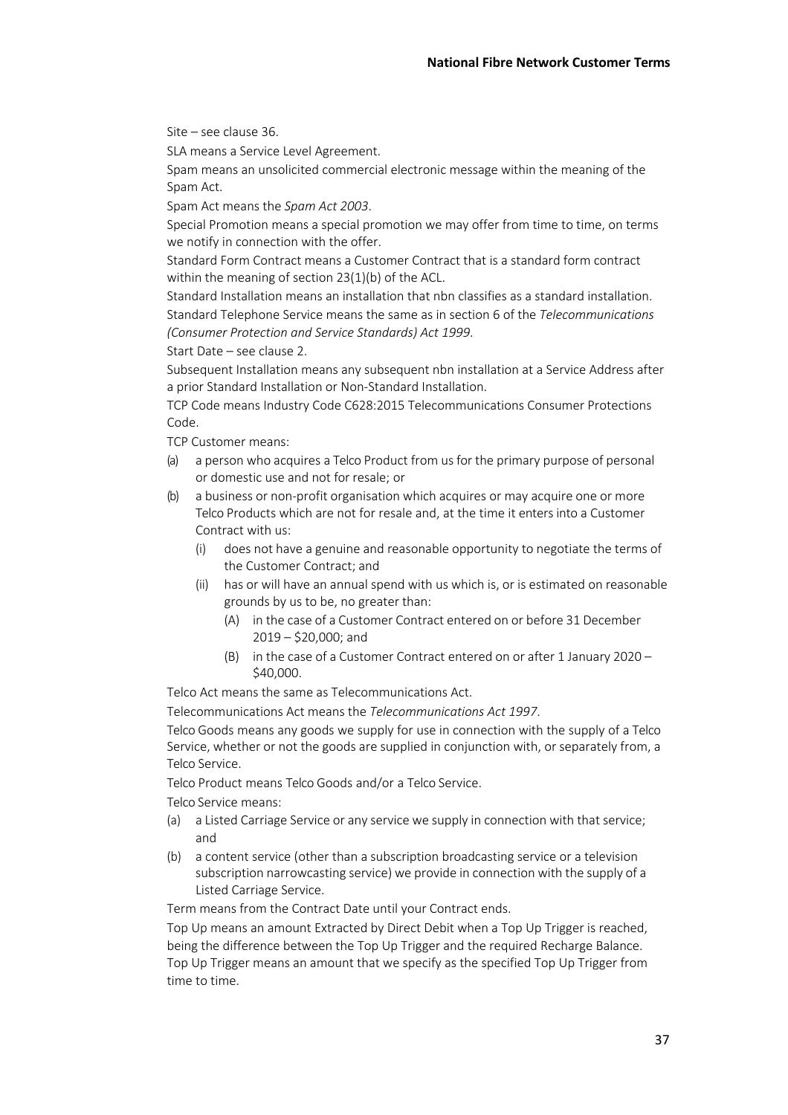Site – see clause 36.

SLA means a Service Level Agreement.

Spam means an unsolicited commercial electronic message within the meaning of the Spam Act.

Spam Act means the *Spam Act 2003*.

Special Promotion means a special promotion we may offer from time to time, on terms we notify in connection with the offer.

Standard Form Contract means a Customer Contract that is a standard form contract within the meaning of section 23(1)(b) of the ACL.

Standard Installation means an installation that nbn classifies as a standard installation. Standard Telephone Service means the same as in section 6 of the *Telecommunications (Consumer Protection and Service Standards) Act 1999*.

Start Date – see clause 2.

Subsequent Installation means any subsequent nbn installation at a Service Address after a prior Standard Installation or Non-Standard Installation.

TCP Code means Industry Code C628:2015 Telecommunications Consumer Protections Code.

TCP Customer means:

- (a) a person who acquires a Telco Product from us for the primary purpose of personal or domestic use and not for resale; or
- (b) a business or non-profit organisation which acquires or may acquire one or more Telco Products which are not for resale and, at the time it enters into a Customer Contract with us:
	- (i) does not have a genuine and reasonable opportunity to negotiate the terms of the Customer Contract; and
	- (ii) has or will have an annual spend with us which is, or is estimated on reasonable grounds by us to be, no greater than:
		- (A) in the case of a Customer Contract entered on or before 31 December 2019 – \$20,000; and
		- (B) in the case of a Customer Contract entered on or after 1 January 2020 \$40,000.

Telco Act means the same as Telecommunications Act.

Telecommunications Act means the *Telecommunications Act 1997*.

Telco Goods means any goods we supply for use in connection with the supply of a Telco Service, whether or not the goods are supplied in conjunction with, or separately from, a Telco Service.

Telco Product means Telco Goods and/or a Telco Service.

Telco Service means:

- (a) a Listed Carriage Service or any service we supply in connection with that service; and
- (b) a content service (other than a subscription broadcasting service or a television subscription narrowcasting service) we provide in connection with the supply of a Listed Carriage Service.

Term means from the Contract Date until your Contract ends.

Top Up means an amount Extracted by Direct Debit when a Top Up Trigger is reached, being the difference between the Top Up Trigger and the required Recharge Balance. Top Up Trigger means an amount that we specify as the specified Top Up Trigger from time to time.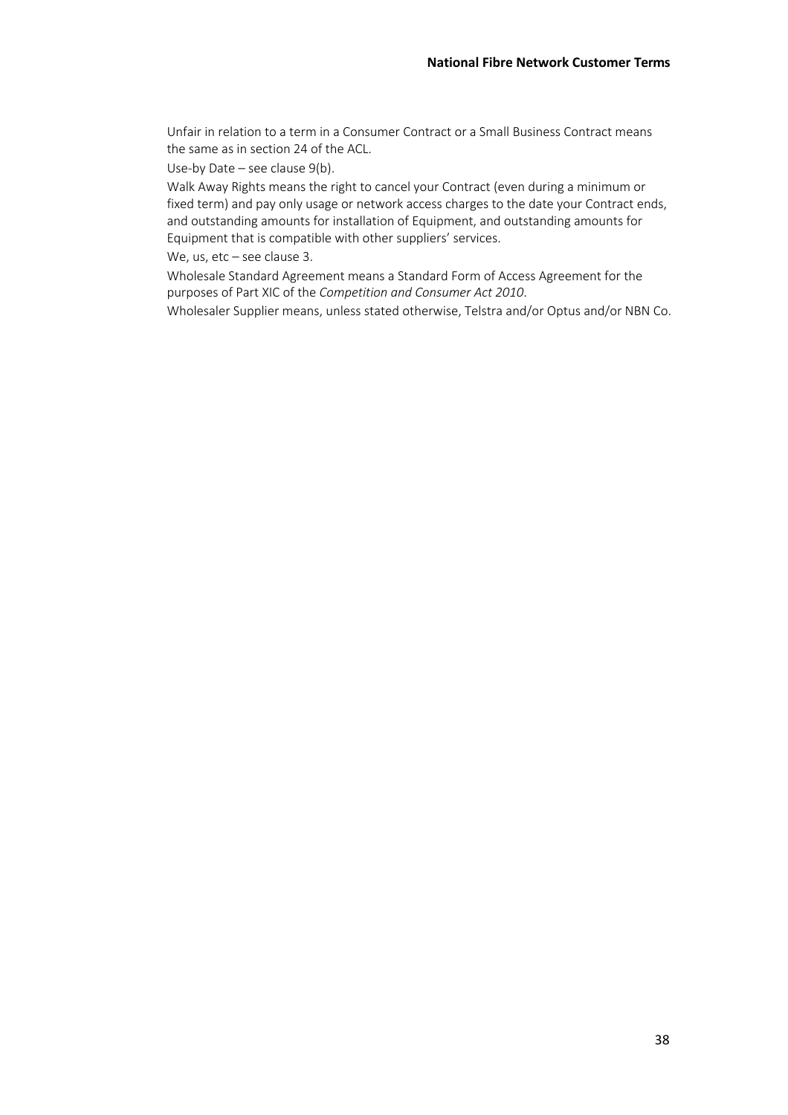Unfair in relation to a term in a Consumer Contract or a Small Business Contract means the same as in section 24 of the ACL.

Use-by Date – see clause 9(b).

Walk Away Rights means the right to cancel your Contract (even during a minimum or fixed term) and pay only usage or network access charges to the date your Contract ends, and outstanding amounts for installation of Equipment, and outstanding amounts for Equipment that is compatible with other suppliers' services.

We, us, etc - see clause 3.

Wholesale Standard Agreement means a Standard Form of Access Agreement for the purposes of Part XIC of the *Competition and Consumer Act 2010*.

Wholesaler Supplier means, unless stated otherwise, Telstra and/or Optus and/or NBN Co.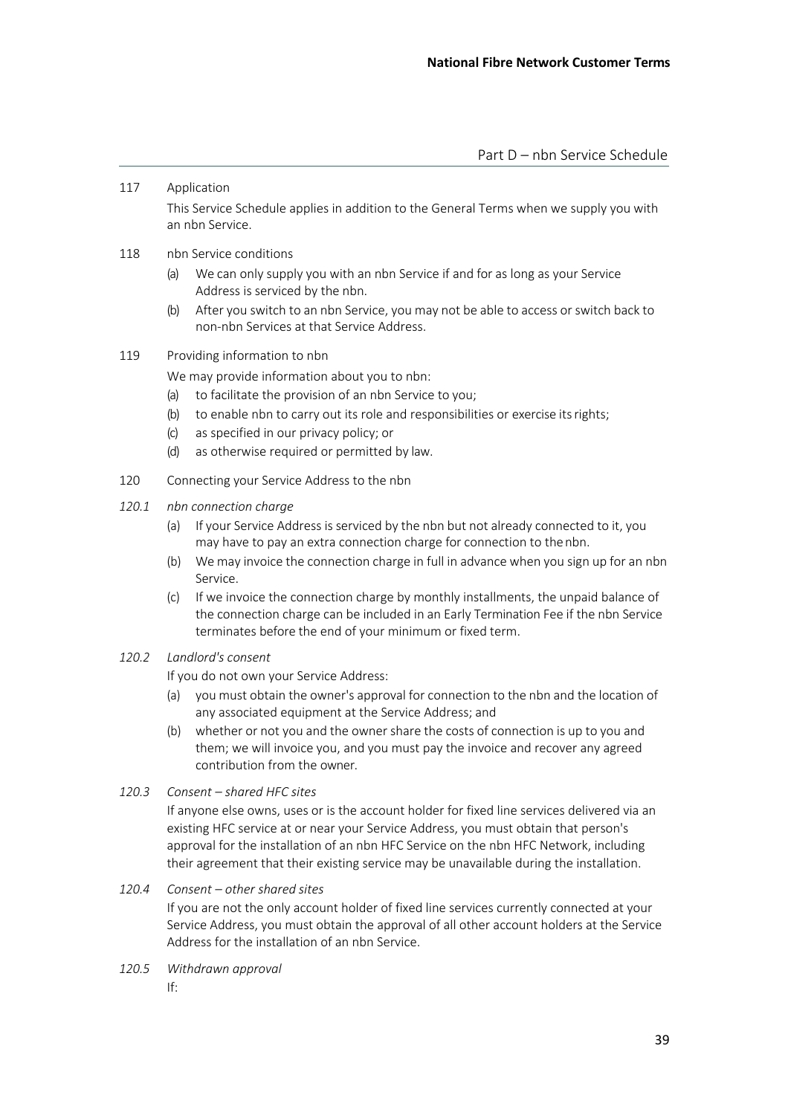#### 117 Application

This Service Schedule applies in addition to the General Terms when we supply you with an nbn Service.

- 118 nbn Service conditions
	- (a) We can only supply you with an nbn Service if and for as long as your Service Address is serviced by the nbn.
	- (b) After you switch to an nbn Service, you may not be able to access or switch back to non-nbn Services at that Service Address.
- 119 Providing information to nbn

We may provide information about you to nbn:

- (a) to facilitate the provision of an nbn Service to you;
- (b) to enable nbn to carry out its role and responsibilities or exercise itsrights;
- (c) as specified in our privacy policy; or
- (d) as otherwise required or permitted by law.
- 120 Connecting your Service Address to the nbn
- *120.1 nbn connection charge*
	- (a) If your Service Address is serviced by the nbn but not already connected to it, you may have to pay an extra connection charge for connection to thenbn.
	- (b) We may invoice the connection charge in full in advance when you sign up for an nbn Service.
	- (c) If we invoice the connection charge by monthly installments, the unpaid balance of the connection charge can be included in an Early Termination Fee if the nbn Service terminates before the end of your minimum or fixed term.
- *120.2 Landlord's consent*

If you do not own your Service Address:

- (a) you must obtain the owner's approval for connection to the nbn and the location of any associated equipment at the Service Address; and
- (b) whether or not you and the owner share the costs of connection is up to you and them; we will invoice you, and you must pay the invoice and recover any agreed contribution from the owner.
- *120.3 Consent – shared HFC sites*

If anyone else owns, uses or is the account holder for fixed line services delivered via an existing HFC service at or near your Service Address, you must obtain that person's approval for the installation of an nbn HFC Service on the nbn HFC Network, including their agreement that their existing service may be unavailable during the installation.

*120.4 Consent – other shared sites*

If you are not the only account holder of fixed line services currently connected at your Service Address, you must obtain the approval of all other account holders at the Service Address for the installation of an nbn Service.

- *120.5 Withdrawn approval*
	- If: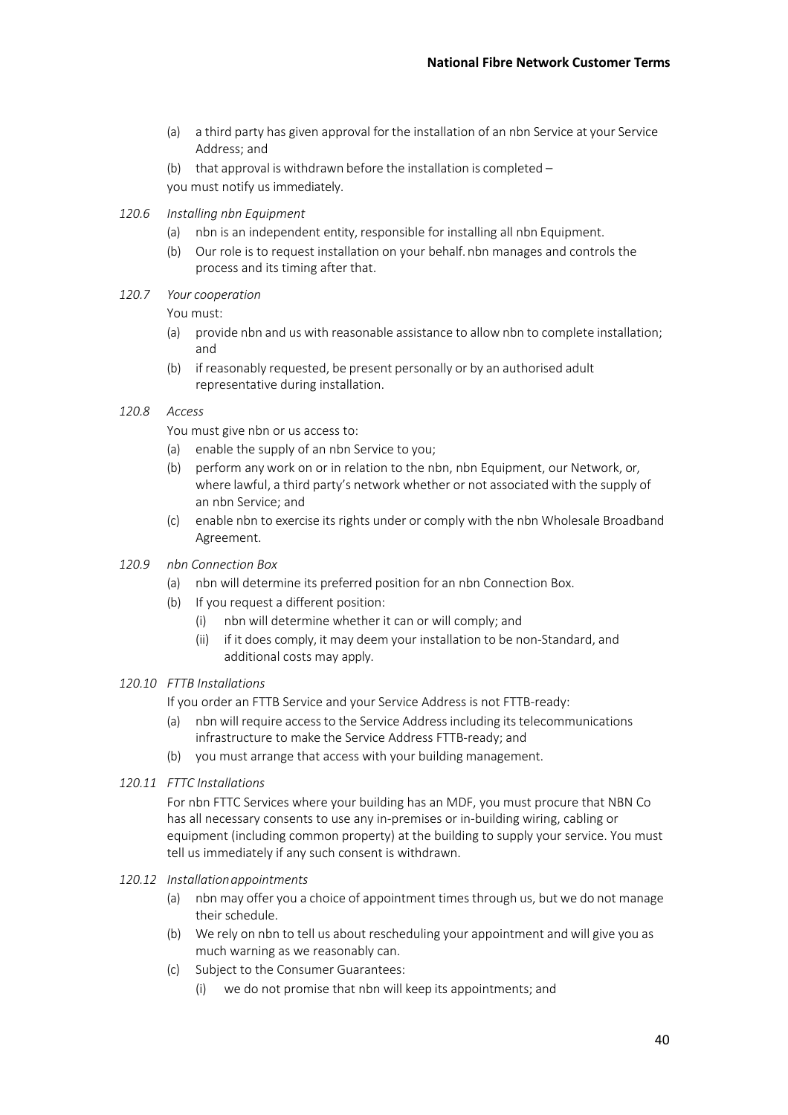- (a) a third party has given approval for the installation of an nbn Service at your Service Address; and
- (b) that approval is withdrawn before the installation is completed you must notify us immediately.
- *120.6 Installing nbn Equipment*
	- (a) nbn is an independent entity, responsible for installing all nbn Equipment.
	- (b) Our role is to request installation on your behalf.nbn manages and controls the process and its timing after that.
- *120.7 Your cooperation*

You must:

- (a) provide nbn and us with reasonable assistance to allow nbn to complete installation; and
- (b) if reasonably requested, be present personally or by an authorised adult representative during installation.

#### *120.8 Access*

You must give nbn or us access to:

- (a) enable the supply of an nbn Service to you;
- (b) perform any work on or in relation to the nbn, nbn Equipment, our Network, or, where lawful, a third party's network whether or not associated with the supply of an nbn Service; and
- (c) enable nbn to exercise its rights under or comply with the nbn Wholesale Broadband Agreement.

#### *120.9 nbn Connection Box*

- (a) nbn will determine its preferred position for an nbn Connection Box.
- (b) If you request a different position:
	- (i) nbn will determine whether it can or will comply; and
	- (ii) if it does comply, it may deem your installation to be non-Standard, and additional costs may apply.

#### *120.10 FTTB Installations*

If you order an FTTB Service and your Service Address is not FTTB-ready:

- (a) nbn will require access to the Service Address including its telecommunications infrastructure to make the Service Address FTTB-ready; and
- (b) you must arrange that access with your building management.
- *120.11 FTTC Installations*

For nbn FTTC Services where your building has an MDF, you must procure that NBN Co has all necessary consents to use any in-premises or in-building wiring, cabling or equipment (including common property) at the building to supply your service. You must tell us immediately if any such consent is withdrawn.

- *120.12 Installationappointments*
	- (a) nbn may offer you a choice of appointment times through us, but we do not manage their schedule.
	- (b) We rely on nbn to tell us about rescheduling your appointment and will give you as much warning as we reasonably can.
	- (c) Subject to the Consumer Guarantees:
		- (i) we do not promise that nbn will keep its appointments; and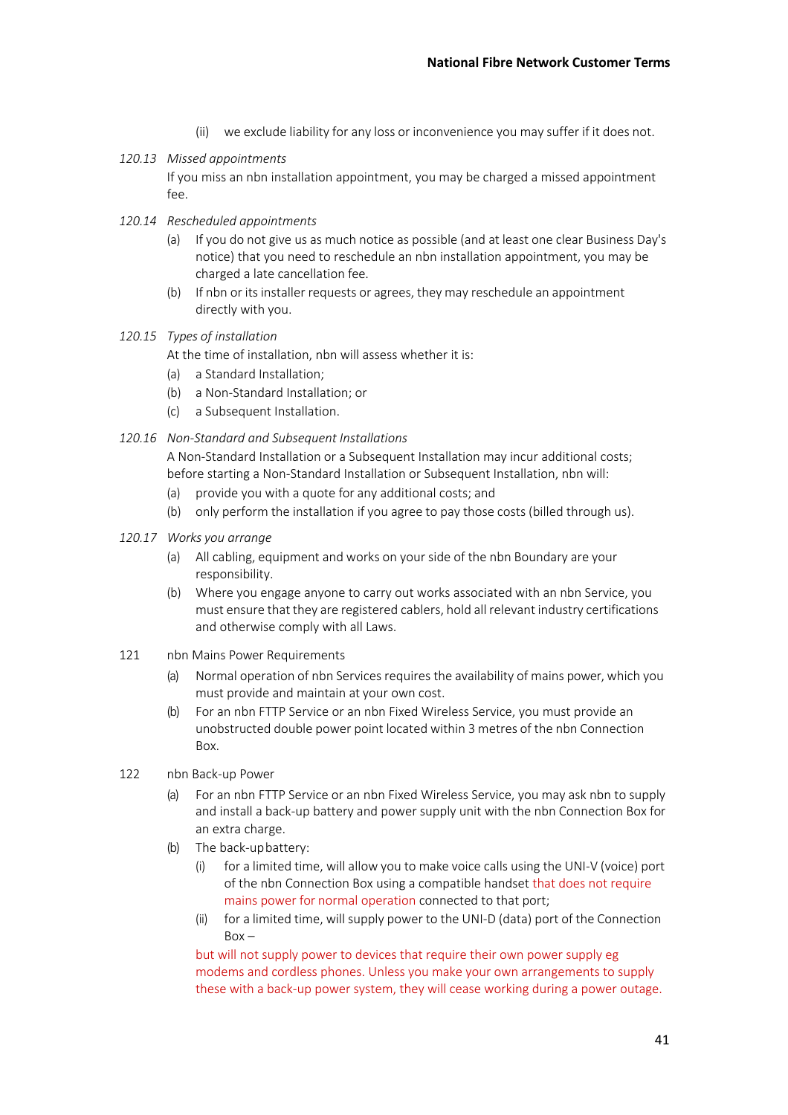- (ii) we exclude liability for any loss or inconvenience you may suffer if it does not.
- *120.13 Missed appointments*

If you miss an nbn installation appointment, you may be charged a missed appointment fee.

- *120.14 Rescheduled appointments*
	- (a) If you do not give us as much notice as possible (and at least one clear Business Day's notice) that you need to reschedule an nbn installation appointment, you may be charged a late cancellation fee.
	- (b) If nbn or its installer requests or agrees, they may reschedule an appointment directly with you.

#### *120.15 Types of installation*

At the time of installation, nbn will assess whether it is:

- (a) a Standard Installation;
- (b) a Non-Standard Installation; or
- (c) a Subsequent Installation.

#### *120.16 Non-Standard and Subsequent Installations*

A Non-Standard Installation or a Subsequent Installation may incur additional costs; before starting a Non-Standard Installation or Subsequent Installation, nbn will:

- (a) provide you with a quote for any additional costs; and
- (b) only perform the installation if you agree to pay those costs (billed through us).
- *120.17 Works you arrange*
	- (a) All cabling, equipment and works on your side of the nbn Boundary are your responsibility.
	- (b) Where you engage anyone to carry out works associated with an nbn Service, you must ensure that they are registered cablers, hold all relevant industry certifications and otherwise comply with all Laws.
- 121 nbn Mains Power Requirements
	- (a) Normal operation of nbn Services requires the availability of mains power, which you must provide and maintain at your own cost.
	- (b) For an nbn FTTP Service or an nbn Fixed Wireless Service, you must provide an unobstructed double power point located within 3 metres of the nbn Connection Box.
- 122 nbn Back-up Power
	- (a) For an nbn FTTP Service or an nbn Fixed Wireless Service, you may ask nbn to supply and install a back-up battery and power supply unit with the nbn Connection Box for an extra charge.
	- (b) The back-upbattery:
		- (i) for a limited time, will allow you to make voice calls using the UNI-V (voice) port of the nbn Connection Box using a compatible handset that does not require mains power for normal operation connected to that port;
		- (ii) for a limited time, will supply power to the UNI-D (data) port of the Connection  $Box -$

but will not supply power to devices that require their own power supply eg modems and cordless phones. Unless you make your own arrangements to supply these with a back-up power system, they will cease working during a power outage.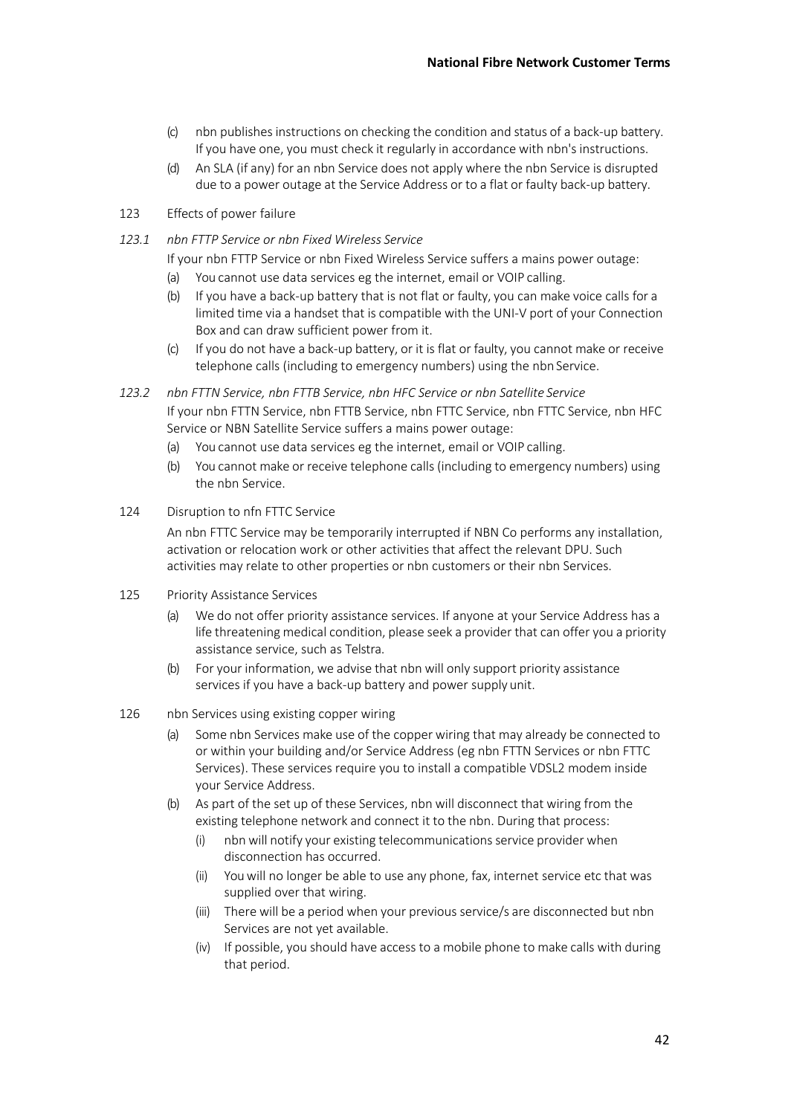- (c) nbn publishesinstructions on checking the condition and status of a back-up battery. If you have one, you must check it regularly in accordance with nbn's instructions.
- (d) An SLA (if any) for an nbn Service does not apply where the nbn Service is disrupted due to a power outage at the Service Address or to a flat or faulty back-up battery.
- 123 Effects of power failure
- *123.1 nbn FTTP Service or nbn Fixed Wireless Service*

If your nbn FTTP Service or nbn Fixed Wireless Service suffers a mains power outage:

- (a) You cannot use data services eg the internet, email or VOIP calling.
- (b) If you have a back-up battery that is not flat or faulty, you can make voice calls for a limited time via a handset that is compatible with the UNI-V port of your Connection Box and can draw sufficient power from it.
- (c) If you do not have a back-up battery, or it is flat or faulty, you cannot make or receive telephone calls (including to emergency numbers) using the nbn Service.
- *123.2 nbn FTTN Service, nbn FTTB Service, nbn HFC Service or nbn Satellite Service* If your nbn FTTN Service, nbn FTTB Service, nbn FTTC Service, nbn FTTC Service, nbn HFC Service or NBN Satellite Service suffers a mains power outage:
	- (a) You cannot use data services eg the internet, email or VOIP calling.
	- (b) You cannot make or receive telephone calls (including to emergency numbers) using the nbn Service.

#### 124 Disruption to nfn FTTC Service

An nbn FTTC Service may be temporarily interrupted if NBN Co performs any installation, activation or relocation work or other activities that affect the relevant DPU. Such activities may relate to other properties or nbn customers or their nbn Services.

- 125 Priority Assistance Services
	- (a) We do not offer priority assistance services. If anyone at your Service Address has a life threatening medical condition, please seek a provider that can offer you a priority assistance service, such as Telstra.
	- (b) For your information, we advise that nbn will only support priority assistance services if you have a back-up battery and power supply unit.

#### 126 nbn Services using existing copper wiring

- (a) Some nbn Services make use of the copper wiring that may already be connected to or within your building and/or Service Address (eg nbn FTTN Services or nbn FTTC Services). These services require you to install a compatible VDSL2 modem inside your Service Address.
- (b) As part of the set up of these Services, nbn will disconnect that wiring from the existing telephone network and connect it to the nbn. During that process:
	- (i) nbn will notify your existing telecommunicationsservice provider when disconnection has occurred.
	- (ii) You will no longer be able to use any phone, fax, internet service etc that was supplied over that wiring.
	- (iii) There will be a period when your previous service/s are disconnected but nbn Services are not yet available.
	- (iv) If possible, you should have access to a mobile phone to make calls with during that period.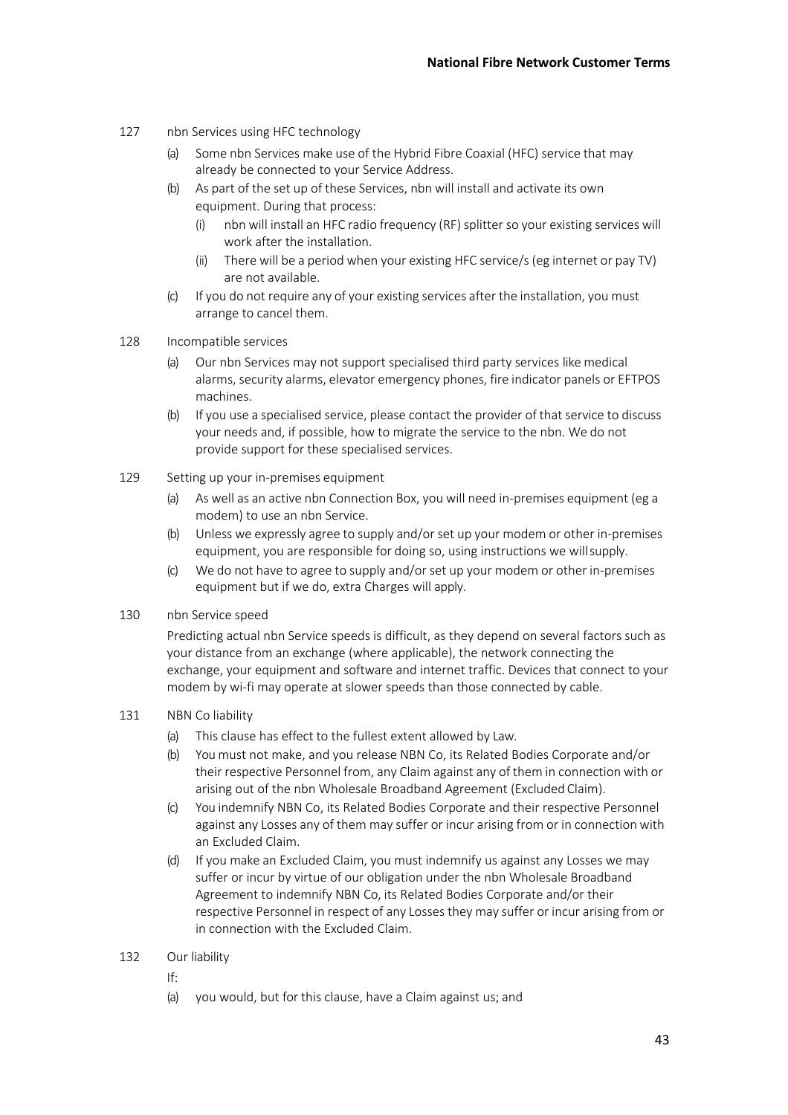- 127 nbn Services using HFC technology
	- (a) Some nbn Services make use of the Hybrid Fibre Coaxial (HFC) service that may already be connected to your Service Address.
	- As part of the set up of these Services, nbn will install and activate its own equipment. During that process:
		- (i) nbn will install an HFC radio frequency (RF) splitter so your existing services will work after the installation.
		- (ii) There will be a period when your existing HFC service/s (eg internet or pay TV) are not available.
	- (c) If you do not require any of your existing services after the installation, you must arrange to cancel them.
- 128 Incompatible services
	- Our nbn Services may not support specialised third party services like medical alarms, security alarms, elevator emergency phones, fire indicator panels or EFTPOS machines.
	- (b) If you use a specialised service, please contact the provider of that service to discuss your needs and, if possible, how to migrate the service to the nbn. We do not provide support for these specialised services.
- 129 Setting up your in-premises equipment
	- (a) As well as an active nbn Connection Box, you will need in-premises equipment (eg a modem) to use an nbn Service.
	- (b) Unless we expressly agree to supply and/or set up your modem or other in-premises equipment, you are responsible for doing so, using instructions we willsupply.
	- (c) We do not have to agree to supply and/or set up your modem or other in-premises equipment but if we do, extra Charges will apply.
- 130 nbn Service speed

Predicting actual nbn Service speeds is difficult, as they depend on several factors such as your distance from an exchange (where applicable), the network connecting the exchange, your equipment and software and internet traffic. Devices that connect to your modem by wi-fi may operate at slower speeds than those connected by cable.

## 131 NBN Co liability

- (a) This clause has effect to the fullest extent allowed by Law.
- (b) You must not make, and you release NBN Co, its Related Bodies Corporate and/or their respective Personnel from, any Claim against any of them in connection with or arising out of the nbn Wholesale Broadband Agreement (Excluded Claim).
- (c) You indemnify NBN Co, its Related Bodies Corporate and their respective Personnel against any Losses any of them may suffer or incur arising from or in connection with an Excluded Claim.
- (d) If you make an Excluded Claim, you must indemnify us against any Losses we may suffer or incur by virtue of our obligation under the nbn Wholesale Broadband Agreement to indemnify NBN Co, its Related Bodies Corporate and/or their respective Personnel in respect of any Losses they may suffer or incur arising from or in connection with the Excluded Claim.
- 132 Our liability
	- If:
	- (a) you would, but for this clause, have a Claim against us; and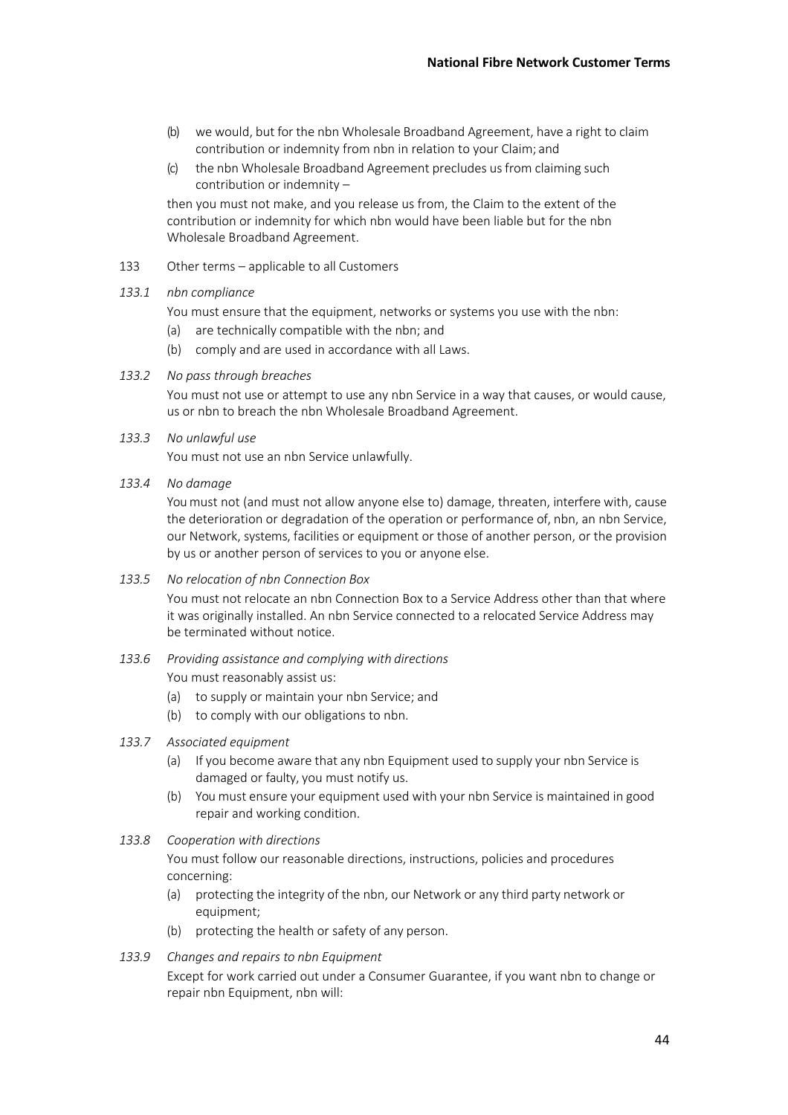- (b) we would, but for the nbn Wholesale Broadband Agreement, have a right to claim contribution or indemnity from nbn in relation to your Claim; and
- (c) the nbn Wholesale Broadband Agreement precludes usfrom claiming such contribution or indemnity –

then you must not make, and you release us from, the Claim to the extent of the contribution or indemnity for which nbn would have been liable but for the nbn Wholesale Broadband Agreement.

- 133 Other terms applicable to all Customers
- *133.1 nbn compliance*

You must ensure that the equipment, networks or systems you use with the nbn:

- (a) are technically compatible with the nbn; and
- (b) comply and are used in accordance with all Laws.

#### *133.2 No pass through breaches*

You must not use or attempt to use any nbn Service in a way that causes, or would cause, us or nbn to breach the nbn Wholesale Broadband Agreement.

#### *133.3 No unlawful use*

You must not use an nbn Service unlawfully.

*133.4 No damage*

You must not (and must not allow anyone else to) damage, threaten, interfere with, cause the deterioration or degradation of the operation or performance of, nbn, an nbn Service, our Network, systems, facilities or equipment or those of another person, or the provision by us or another person of services to you or anyone else.

*133.5 No relocation of nbn Connection Box*

You must not relocate an nbn Connection Box to a Service Address other than that where it was originally installed. An nbn Service connected to a relocated Service Address may be terminated without notice.

*133.6 Providing assistance and complying with directions*

You must reasonably assist us:

- (a) to supply or maintain your nbn Service; and
- (b) to comply with our obligations to nbn.
- *133.7 Associated equipment*
	- (a) If you become aware that any nbn Equipment used to supply your nbn Service is damaged or faulty, you must notify us.
	- (b) You must ensure your equipment used with your nbn Service is maintained in good repair and working condition.

#### *133.8 Cooperation with directions*

You must follow our reasonable directions, instructions, policies and procedures concerning:

- (a) protecting the integrity of the nbn, our Network or any third party network or equipment;
- (b) protecting the health or safety of any person.

#### *133.9 Changes and repairs to nbn Equipment*

Except for work carried out under a Consumer Guarantee, if you want nbn to change or repair nbn Equipment, nbn will: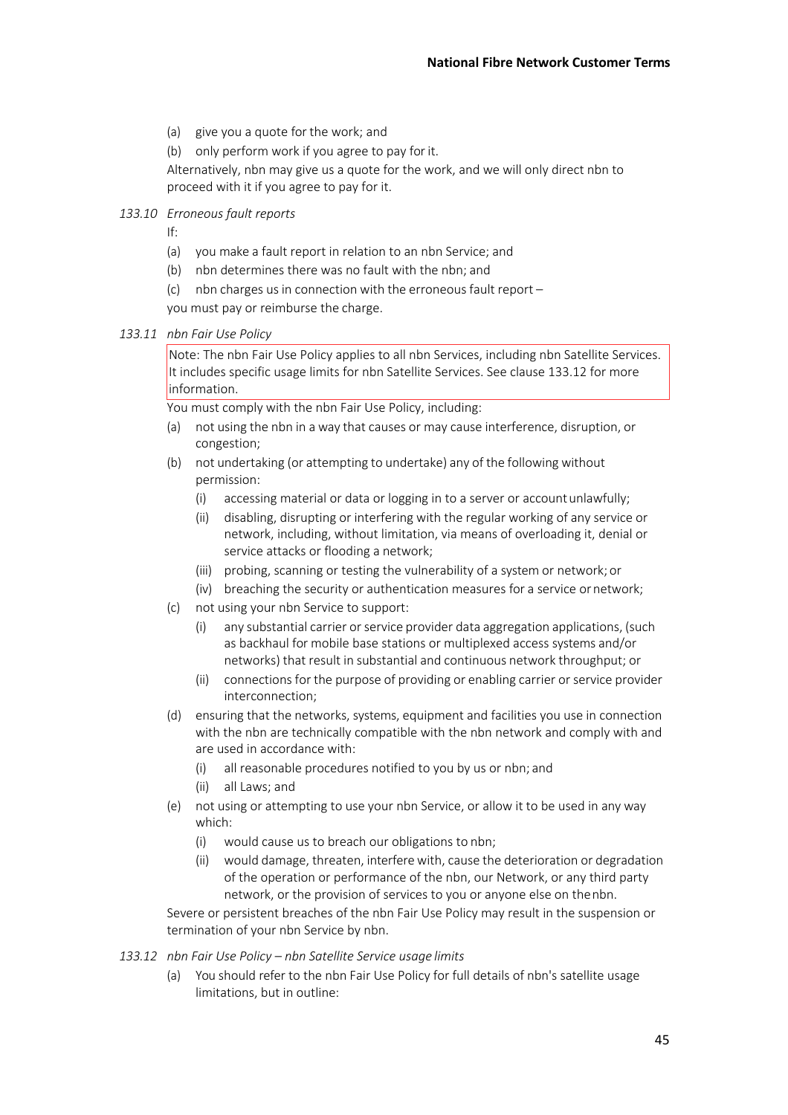- (a) give you a quote for the work; and
- (b) only perform work if you agree to pay forit.

Alternatively, nbn may give us a quote for the work, and we will only direct nbn to proceed with it if you agree to pay for it.

*133.10 Erroneous fault reports*

- If:
- (a) you make a fault report in relation to an nbn Service; and
- (b) nbn determines there was no fault with the nbn; and
- (c) nbn charges us in connection with the erroneous fault report  $-$

you must pay or reimburse the charge.

#### *133.11 nbn Fair Use Policy*

Note: The nbn Fair Use Policy applies to all nbn Services, including nbn Satellite Services. It includes specific usage limits for nbn Satellite Services. See clause 133.12 for more information.

You must comply with the nbn Fair Use Policy, including:

- not using the nbn in a way that causes or may cause interference, disruption, or congestion;
- (b) not undertaking (or attempting to undertake) any of the following without permission:
	- (i) accessing material or data or logging in to a server or accountunlawfully;
	- (ii) disabling, disrupting or interfering with the regular working of any service or network, including, without limitation, via means of overloading it, denial or service attacks or flooding a network;
	- (iii) probing, scanning or testing the vulnerability of a system or network; or
	- (iv) breaching the security or authentication measures for a service ornetwork;
- (c) not using your nbn Service to support:
	- (i) any substantial carrier orservice provider data aggregation applications, (such as backhaul for mobile base stations or multiplexed access systems and/or networks) that result in substantial and continuous network throughput; or
	- (ii) connections for the purpose of providing or enabling carrier or service provider interconnection;
- (d) ensuring that the networks, systems, equipment and facilities you use in connection with the nbn are technically compatible with the nbn network and comply with and are used in accordance with:
	- (i) all reasonable procedures notified to you by us or nbn; and
	- (ii) all Laws; and
- (e) not using or attempting to use your nbn Service, or allow it to be used in any way which:
	- (i) would cause us to breach our obligations to nbn;
	- (ii) would damage, threaten, interfere with, cause the deterioration or degradation of the operation or performance of the nbn, our Network, or any third party network, or the provision of services to you or anyone else on thenbn.

Severe or persistent breaches of the nbn Fair Use Policy may result in the suspension or termination of your nbn Service by nbn.

- *133.12 nbn Fair Use Policy – nbn Satellite Service usage limits*
	- (a) You should refer to the nbn Fair Use Policy for full details of nbn's satellite usage limitations, but in outline: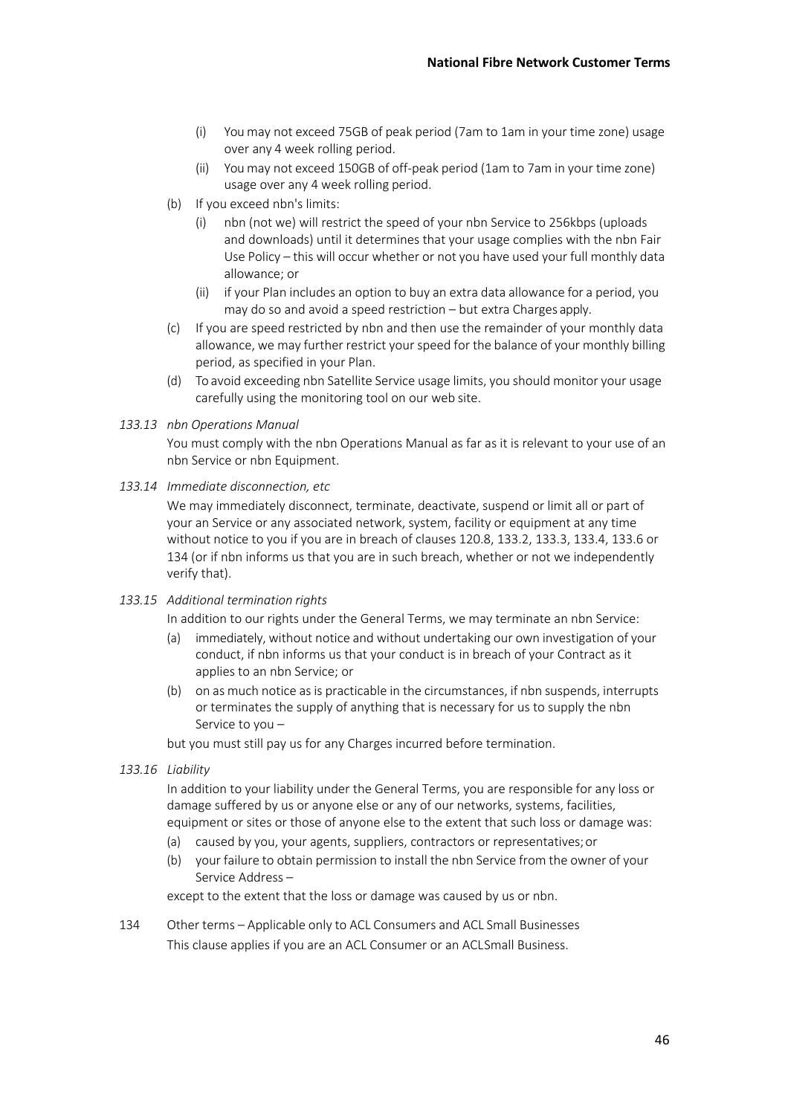- (i) You may not exceed 75GB of peak period (7am to 1am in your time zone) usage over any 4 week rolling period.
- (ii) You may not exceed 150GB of off-peak period (1am to 7am in your time zone) usage over any 4 week rolling period.
- (b) If you exceed nbn's limits:
	- (i) nbn (not we) will restrict the speed of your nbn Service to 256kbps (uploads and downloads) until it determines that your usage complies with the nbn Fair Use Policy – this will occur whether or not you have used your full monthly data allowance; or
	- (ii) if your Plan includes an option to buy an extra data allowance for a period, you may do so and avoid a speed restriction – but extra Charges apply.
- (c) If you are speed restricted by nbn and then use the remainder of your monthly data allowance, we may further restrict your speed for the balance of your monthly billing period, as specified in your Plan.
- (d) To avoid exceeding nbn Satellite Service usage limits, you should monitor your usage carefully using the monitoring tool on our web site.

#### *133.13 nbn Operations Manual*

You must comply with the nbn Operations Manual as far as it is relevant to your use of an nbn Service or nbn Equipment.

*133.14 Immediate disconnection, etc*

We may immediately disconnect, terminate, deactivate, suspend or limit all or part of your an Service or any associated network, system, facility or equipment at any time without notice to you if you are in breach of clauses 120.8, 133.2, 133.3, 133.4, 133.6 or 134 (or if nbn informs us that you are in such breach, whether or not we independently verify that).

*133.15 Additional termination rights*

In addition to our rights under the General Terms, we may terminate an nbn Service:

- (a) immediately, without notice and without undertaking our own investigation of your conduct, if nbn informs us that your conduct is in breach of your Contract as it applies to an nbn Service; or
- (b) on as much notice as is practicable in the circumstances, if nbn suspends, interrupts or terminates the supply of anything that is necessary for us to supply the nbn Service to you –

but you must still pay us for any Charges incurred before termination.

*133.16 Liability*

In addition to your liability under the General Terms, you are responsible for any loss or damage suffered by us or anyone else or any of our networks, systems, facilities, equipment or sites or those of anyone else to the extent that such loss or damage was:

- (a) caused by you, your agents, suppliers, contractors or representatives;or
- (b) your failure to obtain permission to install the nbn Service from the owner of your Service Address –

except to the extent that the loss or damage was caused by us or nbn.

134 Other terms – Applicable only to ACL Consumers and ACL Small Businesses This clause applies if you are an ACL Consumer or an ACLSmall Business.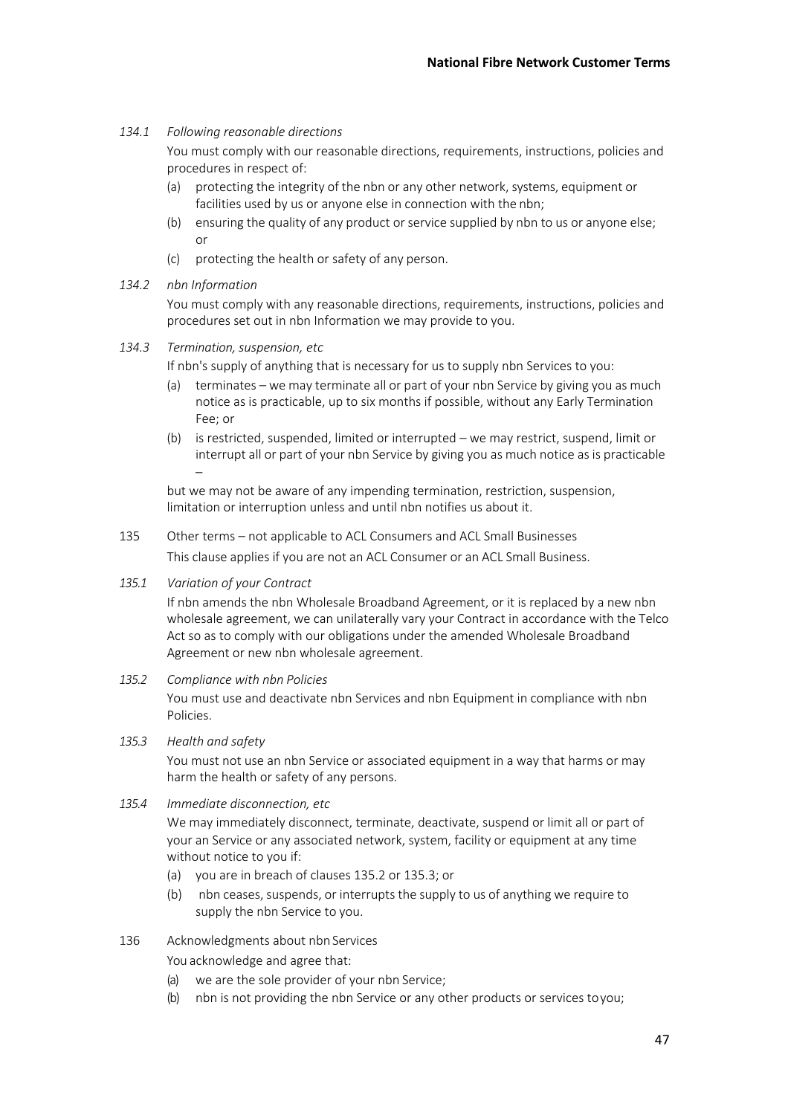## *134.1 Following reasonable directions*

You must comply with our reasonable directions, requirements, instructions, policies and procedures in respect of:

- (a) protecting the integrity of the nbn or any other network, systems, equipment or facilities used by us or anyone else in connection with the nbn;
- (b) ensuring the quality of any product or service supplied by nbn to us or anyone else; or
- (c) protecting the health or safety of any person.
- *134.2 nbn Information*

You must comply with any reasonable directions, requirements, instructions, policies and procedures set out in nbn Information we may provide to you.

- *134.3 Termination, suspension, etc*
	- If nbn's supply of anything that is necessary for us to supply nbn Services to you:
	- (a) terminates we may terminate all or part of your nbn Service by giving you as much notice as is practicable, up to six months if possible, without any Early Termination Fee; or
	- (b) is restricted, suspended, limited or interrupted we may restrict, suspend, limit or interrupt all or part of your nbn Service by giving you as much notice as is practicable –

but we may not be aware of any impending termination, restriction, suspension, limitation or interruption unless and until nbn notifies us about it.

- 135 Other terms not applicable to ACL Consumers and ACL Small Businesses This clause applies if you are not an ACL Consumer or an ACL Small Business.
- *135.1 Variation of your Contract*

If nbn amends the nbn Wholesale Broadband Agreement, or it is replaced by a new nbn wholesale agreement, we can unilaterally vary your Contract in accordance with the Telco Act so as to comply with our obligations under the amended Wholesale Broadband Agreement or new nbn wholesale agreement.

*135.2 Compliance with nbn Policies*

You must use and deactivate nbn Services and nbn Equipment in compliance with nbn Policies.

- *135.3 Health and safety* You must not use an nbn Service or associated equipment in a way that harms or may harm the health or safety of any persons.
- *135.4 Immediate disconnection, etc*

We may immediately disconnect, terminate, deactivate, suspend or limit all or part of your an Service or any associated network, system, facility or equipment at any time without notice to you if:

- (a) you are in breach of clauses 135.2 or 135.3; or
- (b) nbn ceases, suspends, or interrupts the supply to us of anything we require to supply the nbn Service to you.
- 136 Acknowledgments about nbn Services

You acknowledge and agree that:

- (a) we are the sole provider of your nbn Service;
- (b) nbn is not providing the nbn Service or any other products or services toyou;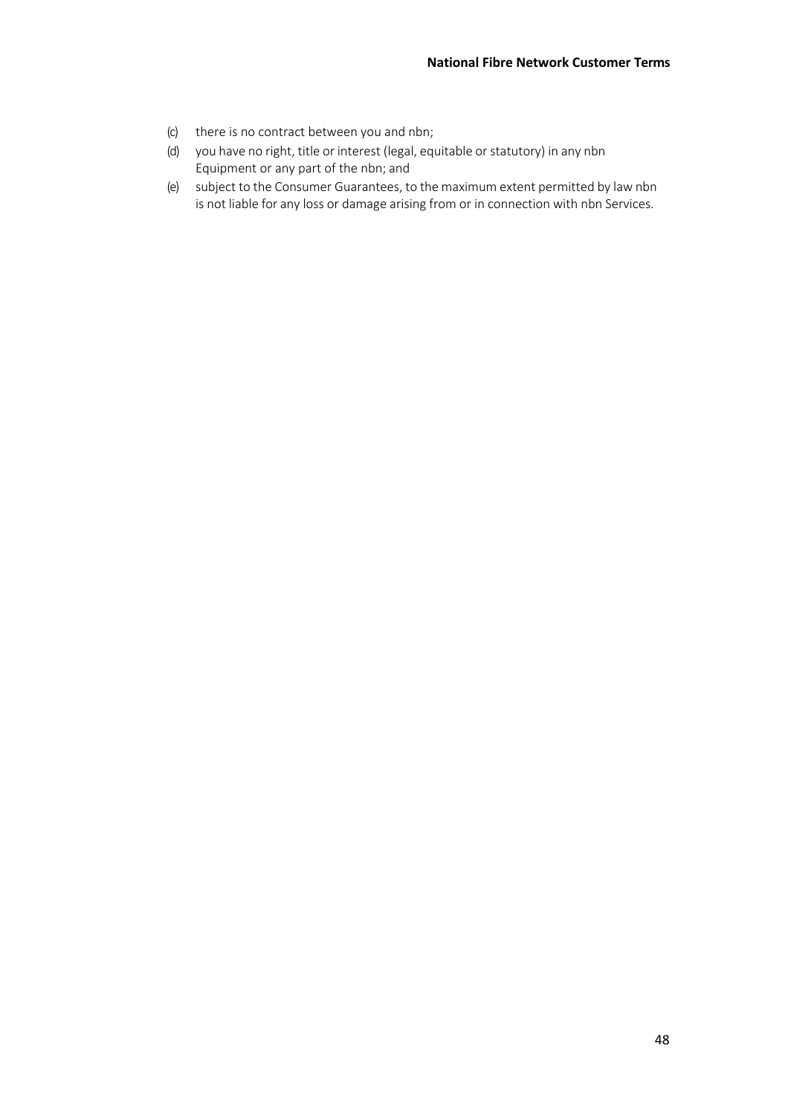- (c) there is no contract between you and nbn;
- (d) you have no right, title or interest (legal, equitable or statutory) in any nbn Equipment or any part of the nbn; and
- (e) subject to the Consumer Guarantees, to the maximum extent permitted by law nbn is not liable for any loss or damage arising from or in connection with nbn Services.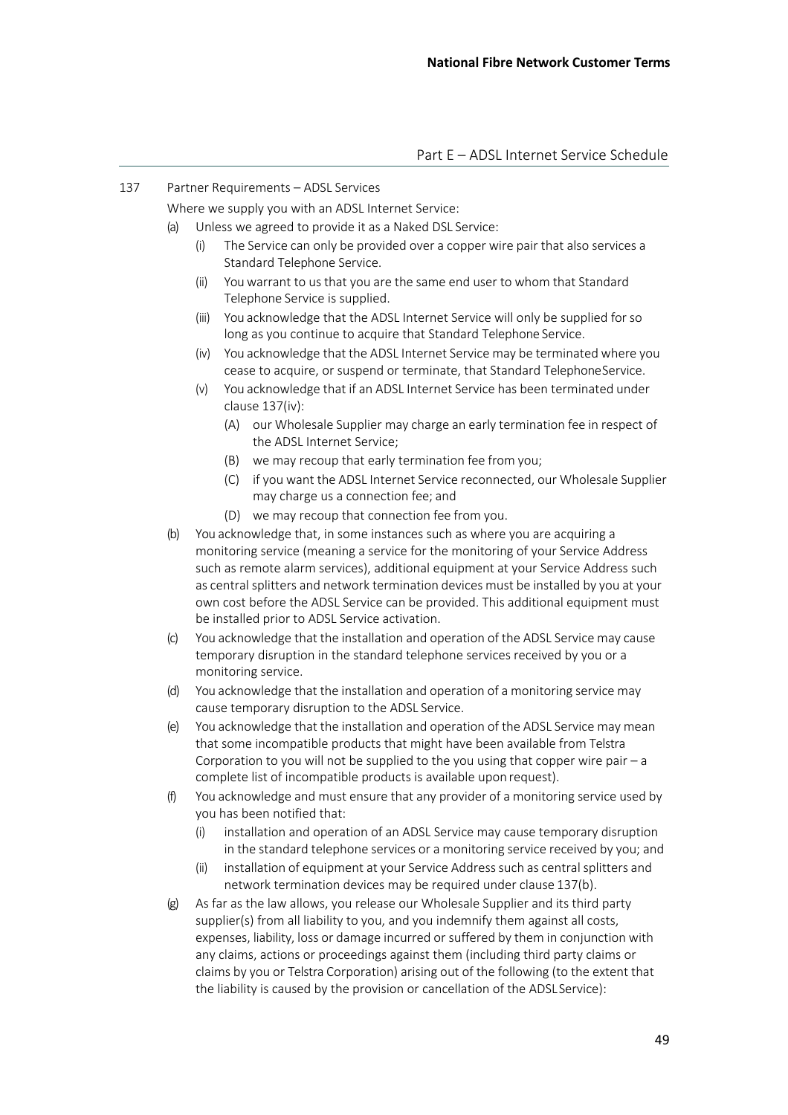#### 137 Partner Requirements – ADSL Services

Where we supply you with an ADSL Internet Service:

- (a) Unless we agreed to provide it as a Naked DSL Service:
	- (i) The Service can only be provided over a copper wire pair that also services a Standard Telephone Service.
	- (ii) Youwarrant to us that you are the same end user to whom that Standard Telephone Service is supplied.
	- (iii) You acknowledge that the ADSL Internet Service will only be supplied for so long as you continue to acquire that Standard Telephone Service.
	- (iv) You acknowledge that the ADSL Internet Service may be terminated where you cease to acquire, or suspend or terminate, that Standard TelephoneService.
	- (v) You acknowledge that if an ADSL Internet Service has been terminated under clause 137(iv):
		- (A) our Wholesale Supplier may charge an early termination fee in respect of the ADSL Internet Service;
		- (B) we may recoup that early termination fee from you;
		- (C) if you want the ADSL Internet Service reconnected, our Wholesale Supplier may charge us a connection fee; and
		- (D) we may recoup that connection fee from you.
- (b) You acknowledge that, in some instances such as where you are acquiring a monitoring service (meaning a service for the monitoring of your Service Address such as remote alarm services), additional equipment at your Service Address such as central splitters and network termination devices must be installed by you at your own cost before the ADSL Service can be provided. This additional equipment must be installed prior to ADSL Service activation.
- (c) You acknowledge that the installation and operation of the ADSL Service may cause temporary disruption in the standard telephone services received by you or a monitoring service.
- (d) You acknowledge that the installation and operation of a monitoring service may cause temporary disruption to the ADSL Service.
- (e) You acknowledge that the installation and operation of the ADSL Service may mean that some incompatible products that might have been available from Telstra Corporation to you will not be supplied to the you using that copper wire pair  $-a$ complete list of incompatible products is available upon request).
- (f) You acknowledge and must ensure that any provider of a monitoring service used by you has been notified that:
	- (i) installation and operation of an ADSL Service may cause temporary disruption in the standard telephone services or a monitoring service received by you; and
	- (ii) installation of equipment at your Service Address such as central splitters and network termination devices may be required under clause 137(b).
- (g) As far as the law allows, you release our Wholesale Supplier and its third party supplier(s) from all liability to you, and you indemnify them against all costs, expenses, liability, loss or damage incurred or suffered by them in conjunction with any claims, actions or proceedings against them (including third party claims or claims by you or Telstra Corporation) arising out of the following (to the extent that the liability is caused by the provision or cancellation of the ADSLService):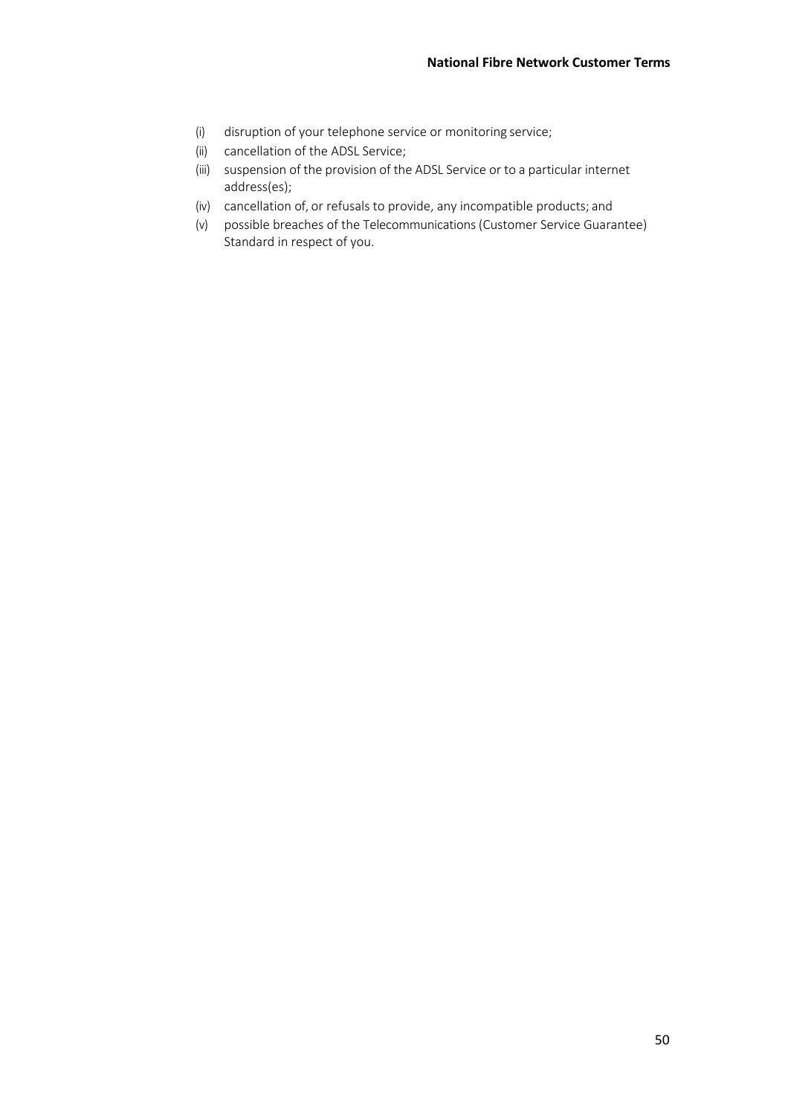- (i) disruption of your telephone service or monitoring service;
- (ii) cancellation of the ADSL Service;
- (iii) suspension of the provision of the ADSL Service or to a particular internet address(es);
- (iv) cancellation of, or refusals to provide, any incompatible products; and
- (v) possible breaches of the Telecommunications (Customer Service Guarantee) Standard in respect of you.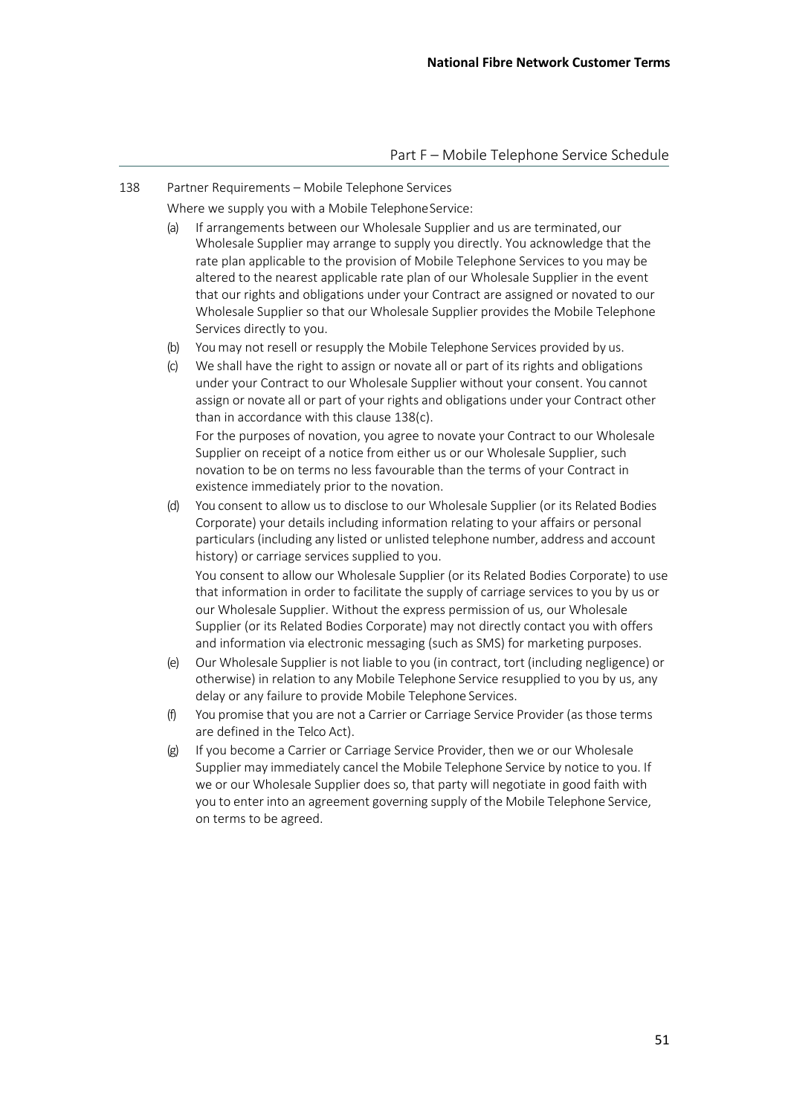138 Partner Requirements – Mobile Telephone Services

Where we supply you with a Mobile TelephoneService:

- (a) If arrangements between our Wholesale Supplier and us are terminated,our Wholesale Supplier may arrange to supply you directly. You acknowledge that the rate plan applicable to the provision of Mobile Telephone Services to you may be altered to the nearest applicable rate plan of our Wholesale Supplier in the event that our rights and obligations under your Contract are assigned or novated to our Wholesale Supplier so that our Wholesale Supplier provides the Mobile Telephone Services directly to you.
- (b) You may not resell or resupply the Mobile Telephone Services provided by us.
- (c) We shall have the right to assign or novate all or part of its rights and obligations under your Contract to our Wholesale Supplier without your consent. You cannot assign or novate all or part of your rights and obligations under your Contract other than in accordance with this clause 138(c). For the purposes of novation, you agree to novate your Contract to our Wholesale

Supplier on receipt of a notice from either us or our Wholesale Supplier, such novation to be on terms no less favourable than the terms of your Contract in existence immediately prior to the novation.

(d) You consent to allow us to disclose to our Wholesale Supplier (or its Related Bodies Corporate) your details including information relating to your affairs or personal particulars (including any listed or unlisted telephone number, address and account history) or carriage services supplied to you.

You consent to allow our Wholesale Supplier (or its Related Bodies Corporate) to use that information in order to facilitate the supply of carriage services to you by us or our Wholesale Supplier. Without the express permission of us, our Wholesale Supplier (or its Related Bodies Corporate) may not directly contact you with offers and information via electronic messaging (such as SMS) for marketing purposes.

- (e) Our Wholesale Supplier is not liable to you (in contract, tort (including negligence) or otherwise) in relation to any Mobile Telephone Service resupplied to you by us, any delay or any failure to provide Mobile Telephone Services.
- (f) You promise that you are not a Carrier or Carriage Service Provider (as those terms are defined in the Telco Act).
- (g) If you become a Carrier or Carriage Service Provider, then we or our Wholesale Supplier may immediately cancel the Mobile Telephone Service by notice to you. If we or our Wholesale Supplier does so, that party will negotiate in good faith with you to enter into an agreement governing supply of the Mobile Telephone Service, on terms to be agreed.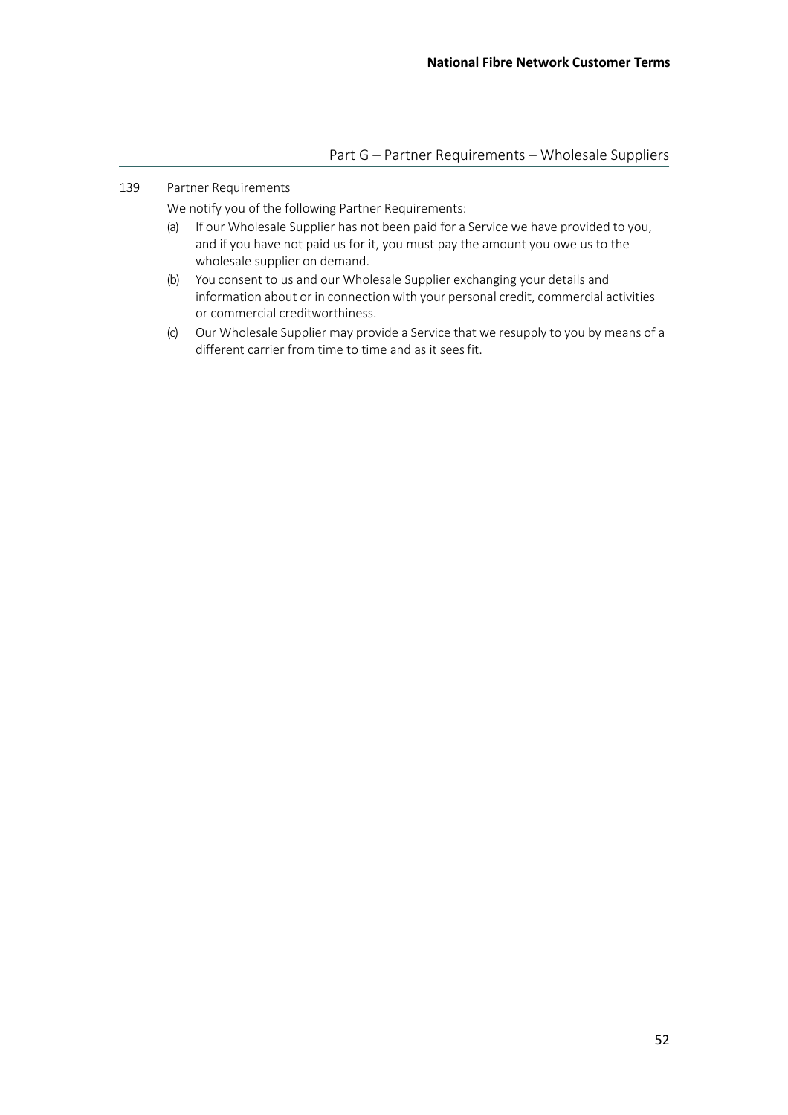## 139 Partner Requirements

We notify you of the following Partner Requirements:

- (a) If our Wholesale Supplier has not been paid for a Service we have provided to you, and if you have not paid us for it, you must pay the amount you owe us to the wholesale supplier on demand.
- (b) You consent to us and our Wholesale Supplier exchanging your details and information about or in connection with your personal credit, commercial activities or commercial creditworthiness.
- (c) Our Wholesale Supplier may provide a Service that we resupply to you by means of a different carrier from time to time and as it sees fit.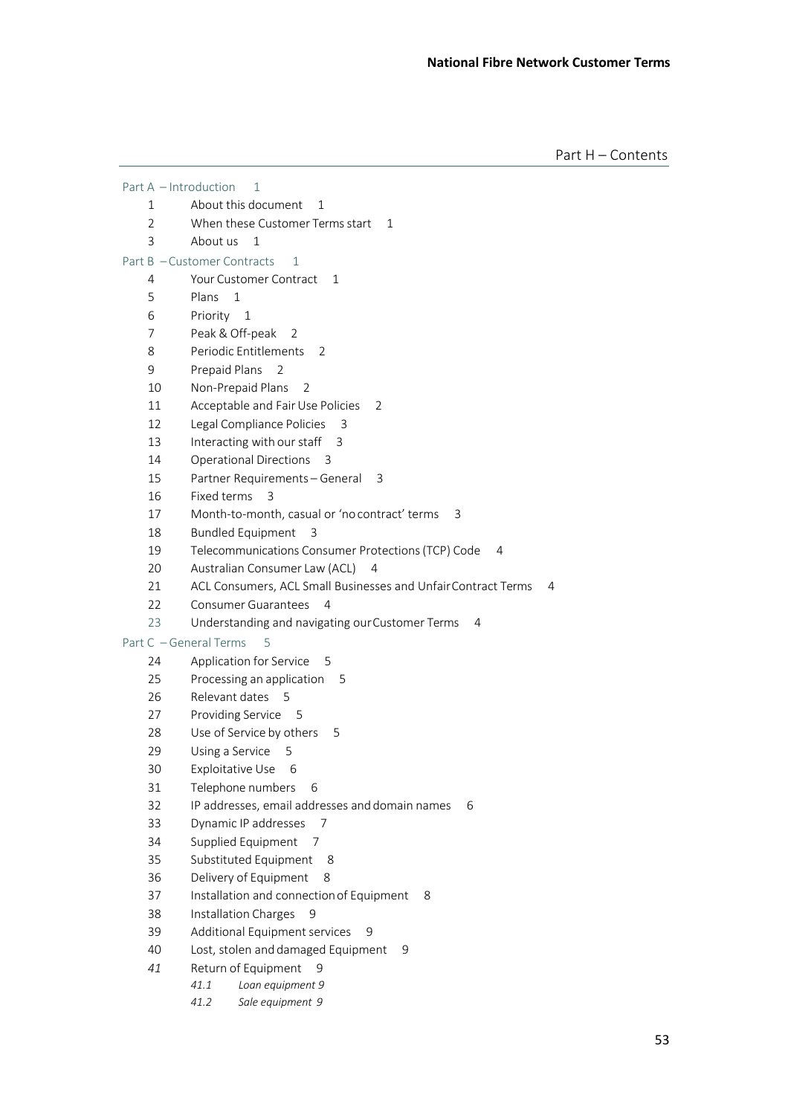Part H – Contents

|                | Part A - Introduction<br>1                                         |
|----------------|--------------------------------------------------------------------|
| 1              | About this document<br>1                                           |
| $\overline{2}$ | When these Customer Terms start<br>1                               |
| 3              | About us<br>1                                                      |
|                | Part B - Customer Contracts<br>1                                   |
| 4              | Your Customer Contract<br>1                                        |
| 5              | Plans<br>$\mathbf{1}$                                              |
| 6              | Priority 1                                                         |
| 7              | Peak & Off-peak<br>2                                               |
| 8              | Periodic Entitlements<br>2                                         |
| 9              | Prepaid Plans<br>2                                                 |
| 10             | Non-Prepaid Plans<br>2                                             |
| 11             | Acceptable and Fair Use Policies<br>2                              |
| 12             | Legal Compliance Policies<br>3                                     |
| 13             | Interacting with our staff<br>3                                    |
| 14             | <b>Operational Directions</b><br>-3                                |
| 15             | Partner Requirements - General<br>3                                |
| 16             | Fixed terms<br>3                                                   |
| 17             | Month-to-month, casual or 'no contract' terms<br>3                 |
| 18             | <b>Bundled Equipment</b><br>3                                      |
| 19             | Telecommunications Consumer Protections (TCP) Code<br>4            |
| 20             | Australian Consumer Law (ACL)<br>- 4                               |
| 21             | ACL Consumers, ACL Small Businesses and Unfair Contract Terms<br>4 |
| 22             | <b>Consumer Guarantees</b><br>4                                    |
| 23             | Understanding and navigating our Customer Terms<br>4               |
|                | Part C - General Terms<br>5                                        |
| 24             | Application for Service<br>- 5                                     |
| 25             | Processing an application<br>5                                     |
| 26             | Relevant dates 5                                                   |
| 27             | Providing Service 5                                                |
| 28             | Use of Service by others<br>5                                      |
| 29             | Using a Service<br>5                                               |
| 30             | Exploitative Use<br>6                                              |
| 31             | Telephone numbers<br>6                                             |
| 32             | IP addresses, email addresses and domain names<br>6                |
| 33             | Dynamic IP addresses<br>7                                          |
| 34             | Supplied Equipment<br>-7                                           |
| 35             | Substituted Equipment<br>8                                         |
| 36             | Delivery of Equipment<br>8                                         |
| 37             | Installation and connection of Equipment<br>8                      |
| 38             | Installation Charges<br>9                                          |
| 39             | Additional Equipment services<br>9                                 |
| 40             | Lost, stolen and damaged Equipment<br>9                            |
| 41             | Return of Equipment<br>9                                           |
|                | 41.1<br>Loan equipment 9                                           |

*41.2 Sale equipment 9*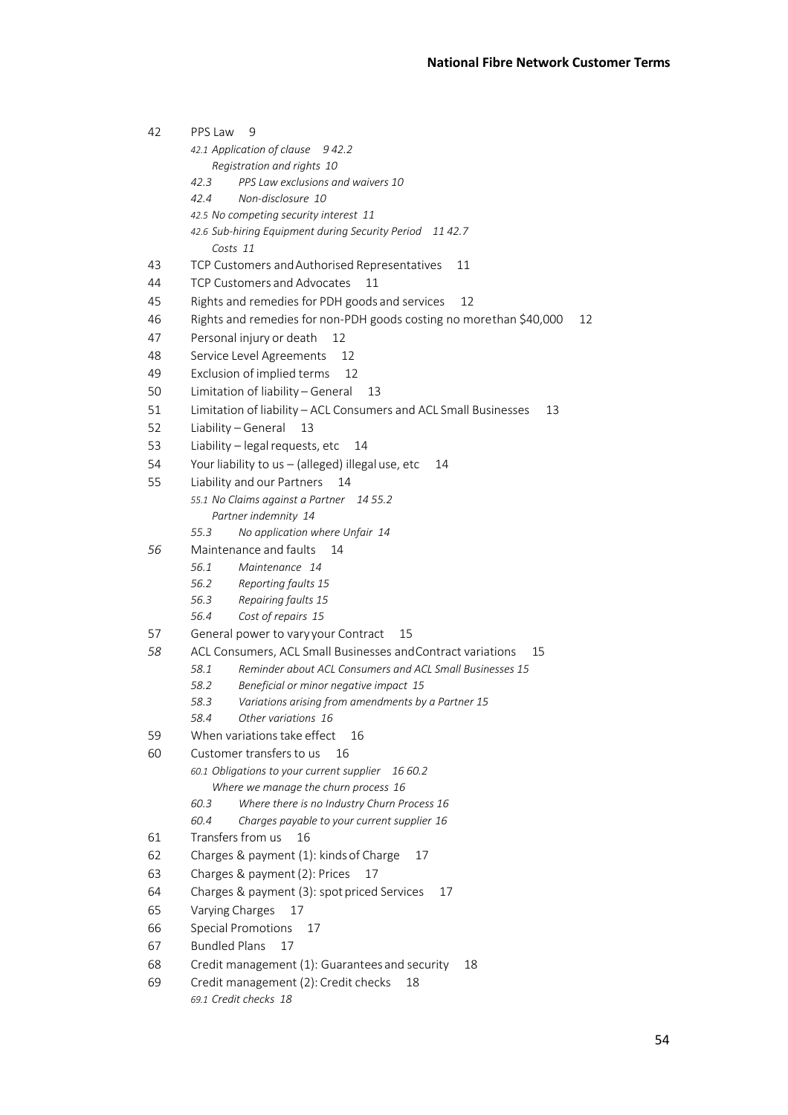| 42                                               | PPS Law<br>9                                                             |  |  |
|--------------------------------------------------|--------------------------------------------------------------------------|--|--|
|                                                  | 42.1 Application of clause 942.2                                         |  |  |
|                                                  | Registration and rights 10                                               |  |  |
|                                                  | PPS Law exclusions and waivers 10<br>42.3                                |  |  |
|                                                  | Non-disclosure 10<br>42.4                                                |  |  |
|                                                  | 42.5 No competing security interest 11                                   |  |  |
|                                                  | 42.6 Sub-hiring Equipment during Security Period 11 42.7                 |  |  |
|                                                  | Costs 11                                                                 |  |  |
| 43                                               | TCP Customers and Authorised Representatives<br>11                       |  |  |
| 44                                               | TCP Customers and Advocates<br>11                                        |  |  |
| 45                                               | Rights and remedies for PDH goods and services<br>12                     |  |  |
| 46                                               | Rights and remedies for non-PDH goods costing no morethan \$40,000<br>12 |  |  |
| 47                                               | Personal injury or death<br>12                                           |  |  |
| 48                                               | Service Level Agreements<br>12                                           |  |  |
| 49                                               | Exclusion of implied terms<br>12                                         |  |  |
| 50                                               | Limitation of liability - General<br>13                                  |  |  |
| 51                                               | Limitation of liability - ACL Consumers and ACL Small Businesses<br>13   |  |  |
| 52                                               | Liability - General<br>13                                                |  |  |
| 53                                               | Liability - legal requests, etc<br>14                                    |  |  |
| 54                                               | Your liability to us - (alleged) illegal use, etc<br>14                  |  |  |
| 55                                               | Liability and our Partners<br>14                                         |  |  |
|                                                  | 55.1 No Claims against a Partner 14 55.2                                 |  |  |
|                                                  | Partner indemnity 14                                                     |  |  |
|                                                  | No application where Unfair 14<br>55.3                                   |  |  |
| 56                                               | Maintenance and faults<br>14                                             |  |  |
|                                                  | Maintenance 14<br>56.1                                                   |  |  |
|                                                  | Reporting faults 15<br>56.2                                              |  |  |
|                                                  | 56.3<br>Repairing faults 15                                              |  |  |
|                                                  | 56.4<br>Cost of repairs 15                                               |  |  |
| 57                                               | General power to vary your Contract<br>15                                |  |  |
| 58                                               | ACL Consumers, ACL Small Businesses and Contract variations<br>15        |  |  |
|                                                  | Reminder about ACL Consumers and ACL Small Businesses 15<br>58.1         |  |  |
|                                                  | Beneficial or minor negative impact 15<br>58.2                           |  |  |
|                                                  | Variations arising from amendments by a Partner 15<br>58.3               |  |  |
|                                                  | 58.4<br>Other variations 16                                              |  |  |
| 59                                               | When variations take effect<br>16                                        |  |  |
| 60                                               | Customer transfers to us<br>16                                           |  |  |
|                                                  | 60.1 Obligations to your current supplier<br>16 60.2                     |  |  |
|                                                  | Where we manage the churn process 16                                     |  |  |
|                                                  | Where there is no Industry Churn Process 16<br>60.3                      |  |  |
|                                                  | 60.4<br>Charges payable to your current supplier 16                      |  |  |
| 61                                               | Transfers from us<br>16                                                  |  |  |
| 62                                               | Charges & payment (1): kinds of Charge<br>17                             |  |  |
| 63                                               | Charges & payment (2): Prices<br>17                                      |  |  |
| 64                                               | Charges & payment (3): spot priced Services<br>17                        |  |  |
| 65                                               | Varying Charges<br>17                                                    |  |  |
| 66                                               | <b>Special Promotions</b><br>17                                          |  |  |
| 67                                               | <b>Bundled Plans</b><br>17                                               |  |  |
| 68                                               | Credit management (1): Guarantees and security<br>18                     |  |  |
| Credit management (2): Credit checks<br>69<br>18 |                                                                          |  |  |
|                                                  | 69.1 Credit checks 18                                                    |  |  |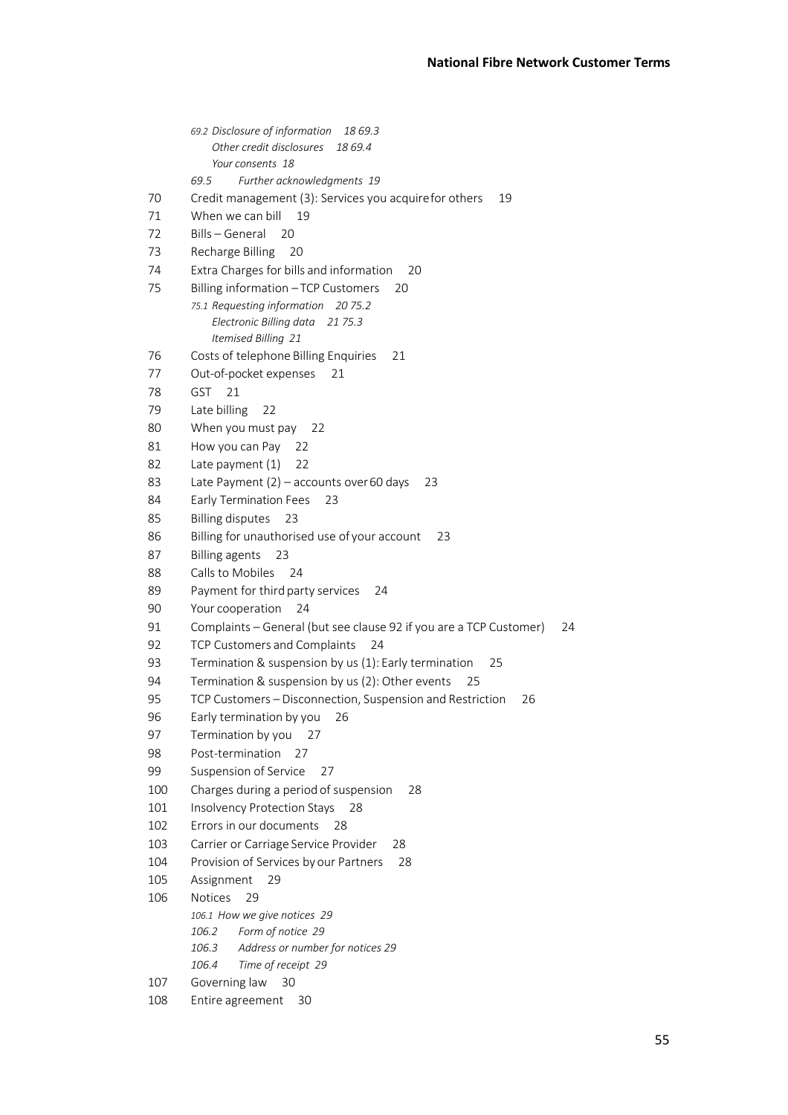|     | 69.2 Disclosure of information<br>18 69.3                                |  |  |  |
|-----|--------------------------------------------------------------------------|--|--|--|
|     | Other credit disclosures<br>18 69.4                                      |  |  |  |
|     | Your consents 18                                                         |  |  |  |
|     | Further acknowledgments 19<br>69.5                                       |  |  |  |
| 70  | Credit management (3): Services you acquirefor others<br>19              |  |  |  |
| 71  | When we can bill<br>19                                                   |  |  |  |
| 72  | Bills - General<br>20                                                    |  |  |  |
| 73  | Recharge Billing                                                         |  |  |  |
|     | 20                                                                       |  |  |  |
| 74  | Extra Charges for bills and information<br>20                            |  |  |  |
| 75  | Billing information - TCP Customers<br>20                                |  |  |  |
|     | 75.1 Requesting information 20 75.2                                      |  |  |  |
|     | Electronic Billing data<br>21 75.3                                       |  |  |  |
|     | Itemised Billing 21                                                      |  |  |  |
| 76  | Costs of telephone Billing Enquiries<br>21                               |  |  |  |
| 77  | Out-of-pocket expenses<br>21                                             |  |  |  |
| 78  | GST<br>21                                                                |  |  |  |
| 79  | Late billing<br>22                                                       |  |  |  |
| 80  | When you must pay<br>22                                                  |  |  |  |
| 81  | How you can Pay<br>22                                                    |  |  |  |
| 82  | Late payment (1)<br>22                                                   |  |  |  |
| 83  | Late Payment $(2)$ – accounts over 60 days<br>23                         |  |  |  |
| 84  | <b>Early Termination Fees</b><br>23                                      |  |  |  |
| 85  | <b>Billing disputes</b><br>23                                            |  |  |  |
| 86  | Billing for unauthorised use of your account<br>23                       |  |  |  |
| 87  | <b>Billing agents</b><br>23                                              |  |  |  |
| 88  | Calls to Mobiles<br>24                                                   |  |  |  |
| 89  | Payment for third party services<br>24                                   |  |  |  |
| 90  |                                                                          |  |  |  |
| 91  | Your cooperation<br>24                                                   |  |  |  |
|     | Complaints - General (but see clause 92 if you are a TCP Customer)<br>24 |  |  |  |
| 92  | TCP Customers and Complaints<br>24                                       |  |  |  |
| 93  | Termination & suspension by us (1): Early termination<br>25              |  |  |  |
| 94  | Termination & suspension by us (2): Other events<br>25                   |  |  |  |
| 95  | TCP Customers - Disconnection, Suspension and Restriction<br>26          |  |  |  |
| 96  | Early termination by you 26                                              |  |  |  |
| 97  | Termination by you<br>27                                                 |  |  |  |
| 98  | Post-termination<br>27                                                   |  |  |  |
| 99  | Suspension of Service<br>27                                              |  |  |  |
| 100 | Charges during a period of suspension<br>28                              |  |  |  |
| 101 | Insolvency Protection Stays 28                                           |  |  |  |
| 102 | Errors in our documents<br>28                                            |  |  |  |
| 103 | Carrier or Carriage Service Provider<br>28                               |  |  |  |
| 104 | Provision of Services by our Partners<br>28                              |  |  |  |
| 105 | Assignment<br>29                                                         |  |  |  |
| 106 | <b>Notices</b><br>29                                                     |  |  |  |
|     | 106.1 How we give notices 29                                             |  |  |  |
|     | Form of notice 29<br>106.2                                               |  |  |  |
|     | Address or number for notices 29<br>106.3                                |  |  |  |
|     | 106.4<br>Time of receipt 29                                              |  |  |  |
| 107 | Governing law<br>30                                                      |  |  |  |
| 108 | Entire agreement<br>30                                                   |  |  |  |
|     |                                                                          |  |  |  |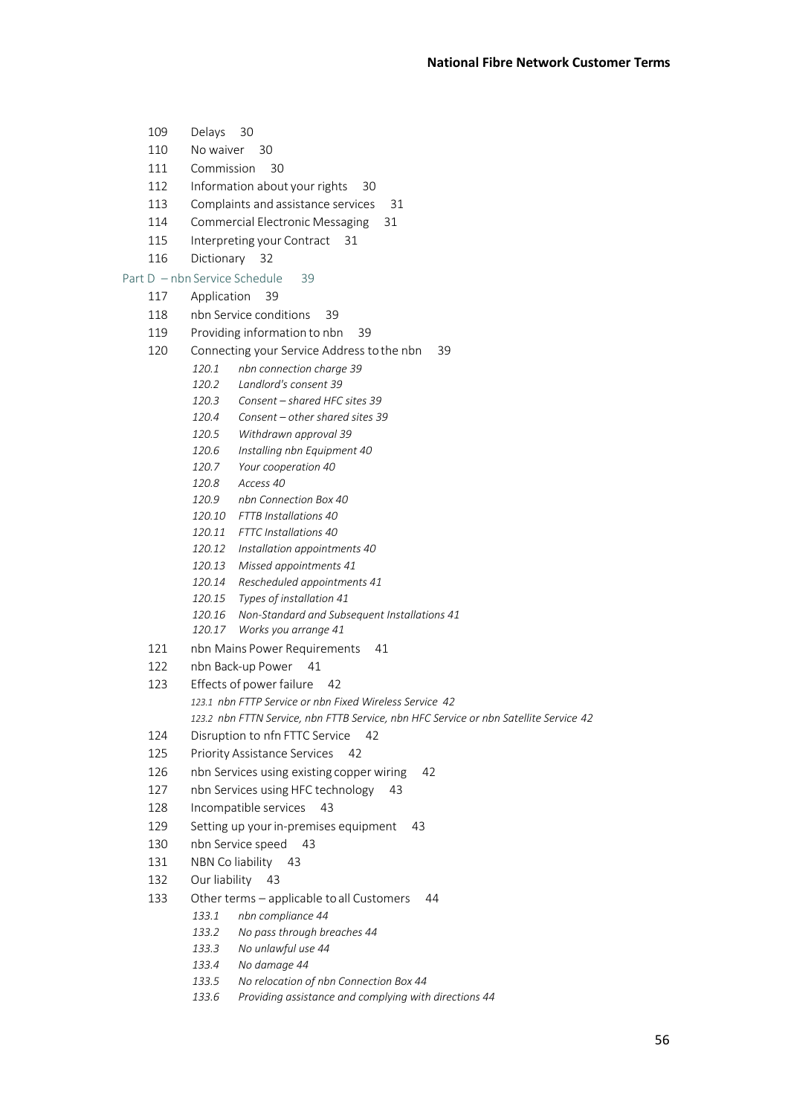- 109 Delays 30
- 110 No waiver 30
- 111 Commission 30
- 112 Information about your rights 30
- 113 Complaints and assistance services 31
- 114 Commercial Electronic Messaging 31
- 115 Interpreting your Contract 31
- 116 Dictionary 32

#### Part D – nbn Service Schedule 39

- 117 Application 39
- 118 nbn Service conditions 39
- 119 Providing information to nbn 39
- 120 Connecting your Service Address tothe nbn 39
	- *120.1 nbn connection charge 39*
	- *120.2 Landlord's consent 39*
	- *120.3 Consent – shared HFC sites 39*
	- *120.4 Consent – other shared sites 39*
	- *120.5 Withdrawn approval 39*
	- *120.6 Installing nbn Equipment 40*
	- *120.7 Your cooperation 40*
	- *120.8 Access 40*
	- *120.9 nbn Connection Box 40*
	- *120.10 FTTB Installations 40*
	- *120.11 FTTC Installations 40*
	- *120.12 Installation appointments 40*
	- *120.13 Missed appointments 41*
	- *120.14 Rescheduled appointments 41*
	- *120.15 Types of installation 41*
	- *120.16 Non-Standard and Subsequent Installations 41*
	- *120.17 Works you arrange 41*
- 121 nbn Mains Power Requirements 41
- 122 nbn Back-up Power 41
- 123 Effects of power failure 42 *123.1 nbn FTTP Service or nbn Fixed Wireless Service 42 123.2 nbn FTTN Service, nbn FTTB Service, nbn HFC Service or nbn Satellite Service 42*
- 124 Disruption to nfn FTTC Service 42
- 125 Priority Assistance Services 42
- 126 nbn Services using existing copper wiring 42
- 127 nbn Services using HFC technology 43
- 128 Incompatible services 43
- 129 Setting up your in-premises equipment 43
- 130 nbn Service speed 43
- 131 NBN Co liability 43
- 132 Our liability 43
- 133 Other terms applicable toall Customers 44
	- *133.1 nbn compliance 44*
	- *133.2 No pass through breaches 44*
	- *133.3 No unlawful use 44*
	- *133.4 No damage 44*
	- *133.5 No relocation of nbn Connection Box 44*
	- *133.6 Providing assistance and complying with directions 44*